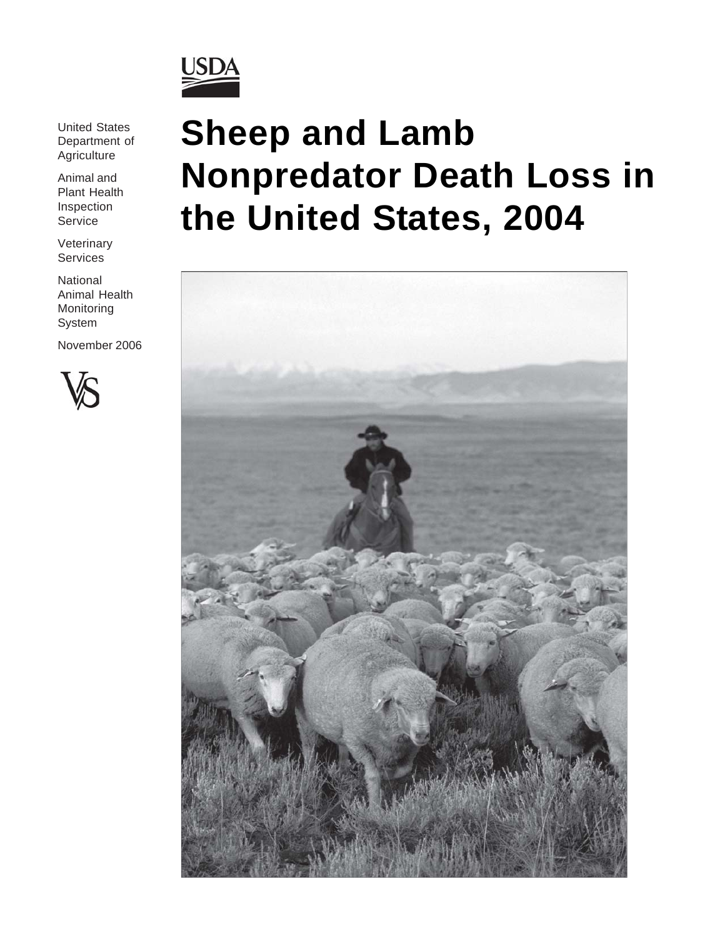

United States Department of Agriculture

Animal and Plant Health Inspection **Service** 

Veterinary Services

National Animal Health Monitoring System

November 2006



# **Sheep and Lamb Nonpredator Death Loss in the United States, 2004**

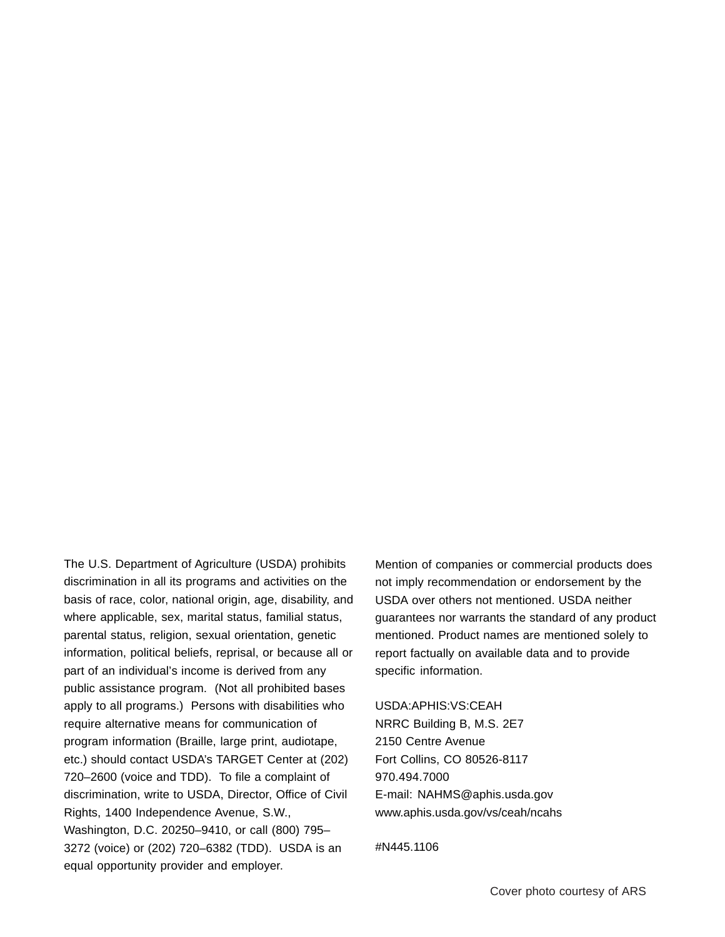The U.S. Department of Agriculture (USDA) prohibits discrimination in all its programs and activities on the basis of race, color, national origin, age, disability, and where applicable, sex, marital status, familial status, parental status, religion, sexual orientation, genetic information, political beliefs, reprisal, or because all or part of an individual's income is derived from any public assistance program. (Not all prohibited bases apply to all programs.) Persons with disabilities who require alternative means for communication of program information (Braille, large print, audiotape, etc.) should contact USDA's TARGET Center at (202) 720–2600 (voice and TDD). To file a complaint of discrimination, write to USDA, Director, Office of Civil Rights, 1400 Independence Avenue, S.W., Washington, D.C. 20250–9410, or call (800) 795– 3272 (voice) or (202) 720–6382 (TDD). USDA is an equal opportunity provider and employer.

Mention of companies or commercial products does not imply recommendation or endorsement by the USDA over others not mentioned. USDA neither guarantees nor warrants the standard of any product mentioned. Product names are mentioned solely to report factually on available data and to provide specific information.

USDA:APHIS:VS:CEAH NRRC Building B, M.S. 2E7 2150 Centre Avenue Fort Collins, CO 80526-8117 970.494.7000 E-mail: NAHMS@aphis.usda.gov www.aphis.usda.gov/vs/ceah/ncahs

#N445.1106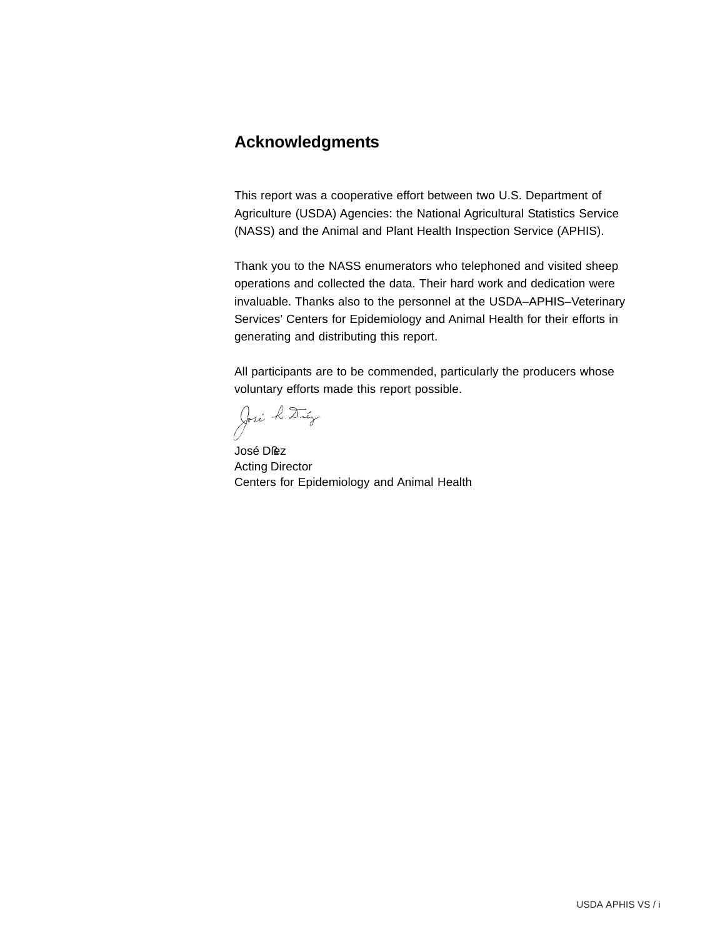# **Acknowledgments**

This report was a cooperative effort between two U.S. Department of Agriculture (USDA) Agencies: the National Agricultural Statistics Service (NASS) and the Animal and Plant Health Inspection Service (APHIS).

Thank you to the NASS enumerators who telephoned and visited sheep operations and collected the data. Their hard work and dedication were invaluable. Thanks also to the personnel at the USDA–APHIS–Veterinary Services' Centers for Epidemiology and Animal Health for their efforts in generating and distributing this report.

All participants are to be commended, particularly the producers whose voluntary efforts made this report possible.

José k. Dúy

José Dßez Acting Director Centers for Epidemiology and Animal Health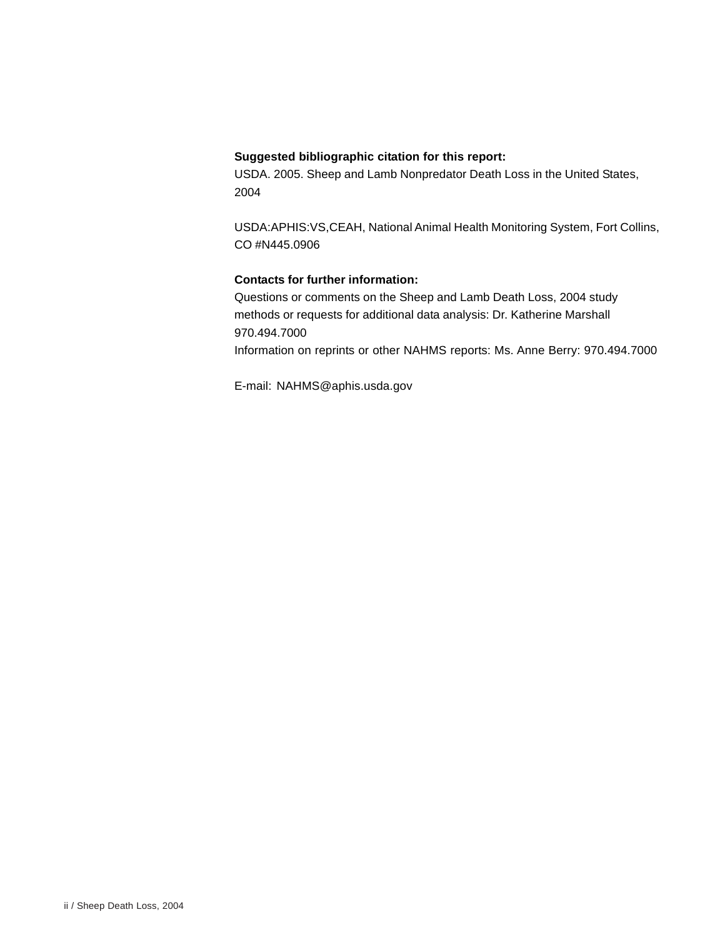#### **Suggested bibliographic citation for this report:**

USDA. 2005. Sheep and Lamb Nonpredator Death Loss in the United States, 2004

USDA:APHIS:VS,CEAH, National Animal Health Monitoring System, Fort Collins, CO #N445.0906

#### **Contacts for further information:**

Questions or comments on the Sheep and Lamb Death Loss, 2004 study methods or requests for additional data analysis: Dr. Katherine Marshall 970.494.7000 Information on reprints or other NAHMS reports: Ms. Anne Berry: 970.494.7000

E-mail: NAHMS@aphis.usda.gov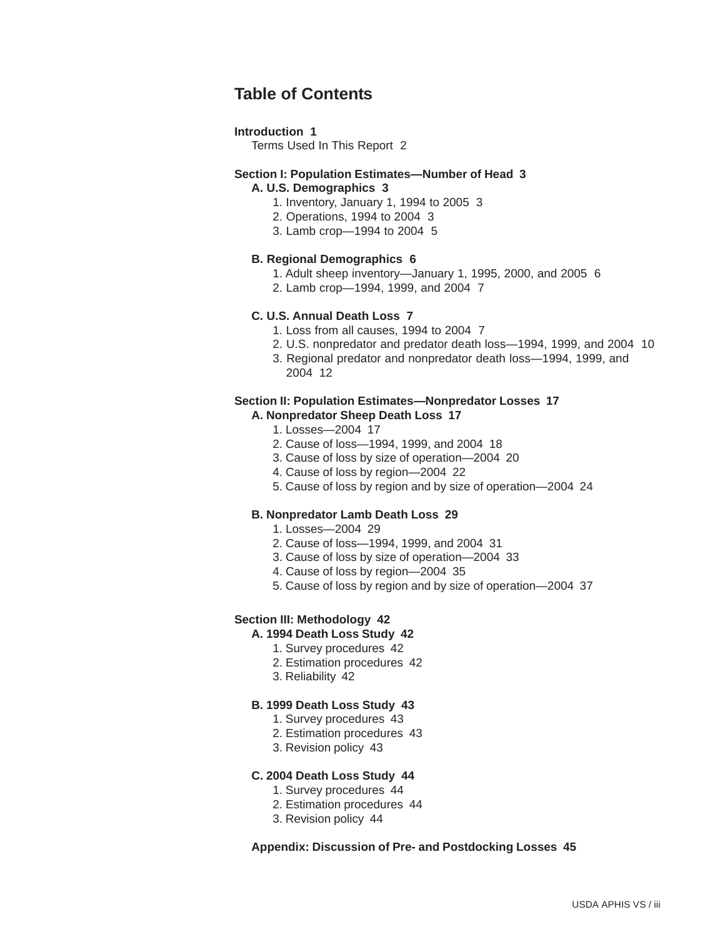# **Table of Contents**

#### **Introduction 1**

Terms Used In This Report 2

# **Section I: Population Estimates—Number of Head 3**

#### **A. U.S. Demographics 3**

- 1. Inventory, January 1, 1994 to 2005 3
- 2. Operations, 1994 to 2004 3
- 3. Lamb crop—1994 to 2004 5

#### **B. Regional Demographics 6**

- 1. Adult sheep inventory—January 1, 1995, 2000, and 2005 6
- 2. Lamb crop—1994, 1999, and 2004 7

#### **C. U.S. Annual Death Loss 7**

- 1. Loss from all causes, 1994 to 2004 7
- 2. U.S. nonpredator and predator death loss—1994, 1999, and 2004 10
- 3. Regional predator and nonpredator death loss—1994, 1999, and 2004 12

#### **Section II: Population Estimates—Nonpredator Losses 17**

#### **A. Nonpredator Sheep Death Loss 17**

- 1. Losses—2004 17
- 2. Cause of loss—1994, 1999, and 2004 18
- 3. Cause of loss by size of operation—2004 20
- 4. Cause of loss by region—2004 22
- 5. Cause of loss by region and by size of operation—2004 24

#### **B. Nonpredator Lamb Death Loss 29**

- 1. Losses—2004 29
- 2. Cause of loss—1994, 1999, and 2004 31
- 3. Cause of loss by size of operation—2004 33
- 4. Cause of loss by region—2004 35
- 5. Cause of loss by region and by size of operation—2004 37

#### **Section III: Methodology 42**

#### **A. 1994 Death Loss Study 42**

- 1. Survey procedures 42
- 2. Estimation procedures 42
- 3. Reliability 42

#### **B. 1999 Death Loss Study 43**

- 1. Survey procedures 43
- 2. Estimation procedures 43
- 3. Revision policy 43

#### **C. 2004 Death Loss Study 44**

- 1. Survey procedures 44
- 2. Estimation procedures 44
- 3. Revision policy 44

#### **Appendix: Discussion of Pre- and Postdocking Losses 45**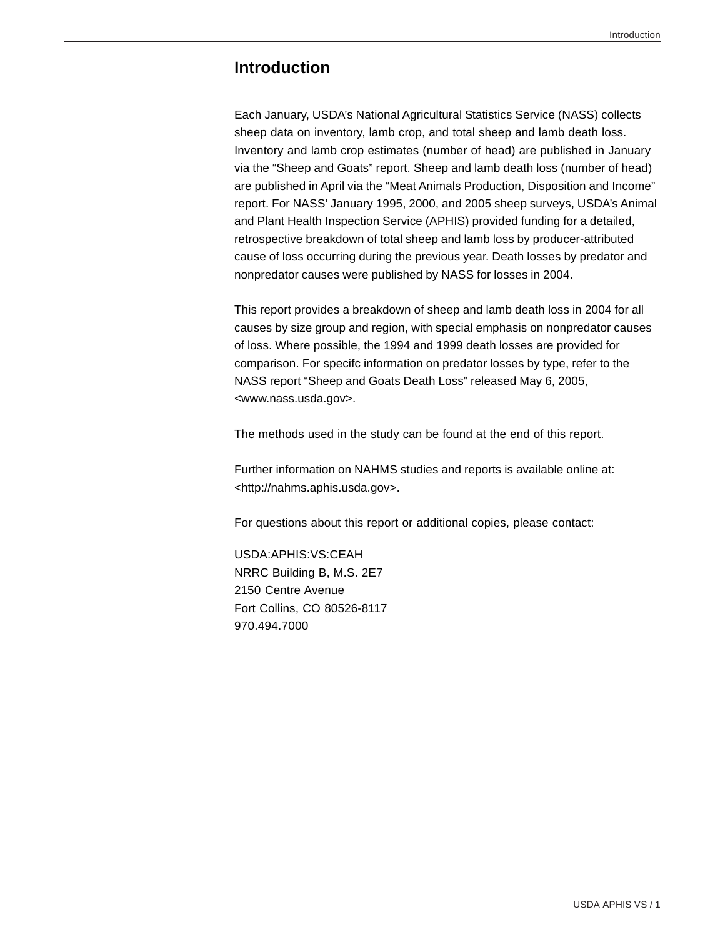# **Introduction**

Each January, USDA's National Agricultural Statistics Service (NASS) collects sheep data on inventory, lamb crop, and total sheep and lamb death loss. Inventory and lamb crop estimates (number of head) are published in January via the "Sheep and Goats" report. Sheep and lamb death loss (number of head) are published in April via the "Meat Animals Production, Disposition and Income" report. For NASS' January 1995, 2000, and 2005 sheep surveys, USDA's Animal and Plant Health Inspection Service (APHIS) provided funding for a detailed, retrospective breakdown of total sheep and lamb loss by producer-attributed cause of loss occurring during the previous year. Death losses by predator and nonpredator causes were published by NASS for losses in 2004.

This report provides a breakdown of sheep and lamb death loss in 2004 for all causes by size group and region, with special emphasis on nonpredator causes of loss. Where possible, the 1994 and 1999 death losses are provided for comparison. For specifc information on predator losses by type, refer to the NASS report "Sheep and Goats Death Loss" released May 6, 2005, <www.nass.usda.gov>.

The methods used in the study can be found at the end of this report.

Further information on NAHMS studies and reports is available online at: <http://nahms.aphis.usda.gov>.

For questions about this report or additional copies, please contact:

USDA:APHIS:VS:CEAH NRRC Building B, M.S. 2E7 2150 Centre Avenue Fort Collins, CO 80526-8117 970.494.7000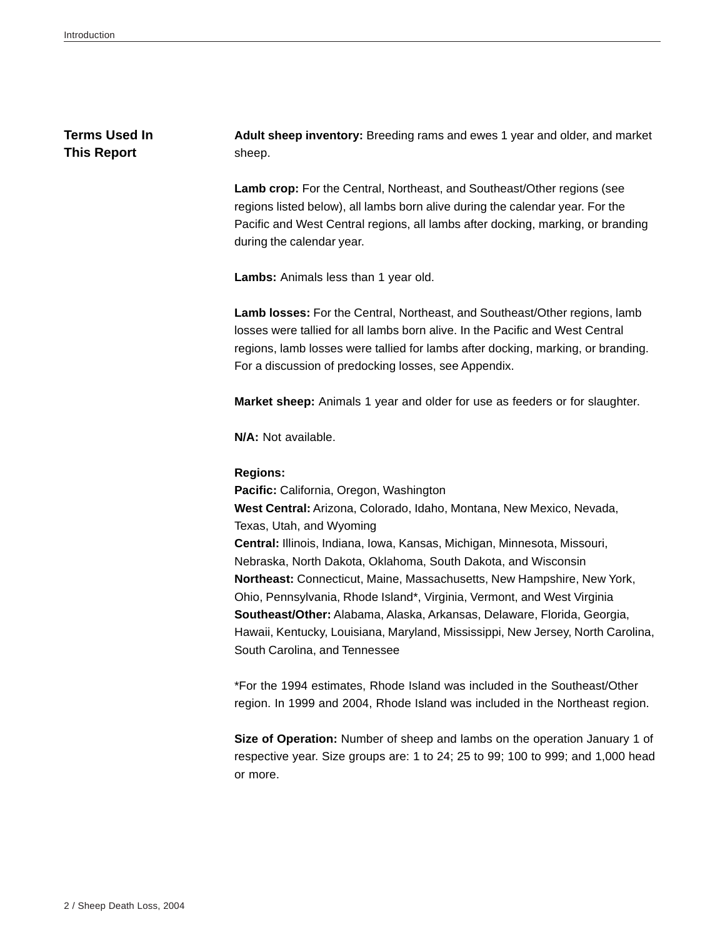### **Terms Used In This Report**

**Adult sheep inventory:** Breeding rams and ewes 1 year and older, and market sheep.

Lamb crop: For the Central, Northeast, and Southeast/Other regions (see regions listed below), all lambs born alive during the calendar year. For the Pacific and West Central regions, all lambs after docking, marking, or branding during the calendar year.

**Lambs:** Animals less than 1 year old.

**Lamb losses:** For the Central, Northeast, and Southeast/Other regions, lamb losses were tallied for all lambs born alive. In the Pacific and West Central regions, lamb losses were tallied for lambs after docking, marking, or branding. For a discussion of predocking losses, see Appendix.

**Market sheep:** Animals 1 year and older for use as feeders or for slaughter.

**N/A:** Not available.

#### **Regions:**

**Pacific:** California, Oregon, Washington **West Central:** Arizona, Colorado, Idaho, Montana, New Mexico, Nevada, Texas, Utah, and Wyoming **Central:** Illinois, Indiana, Iowa, Kansas, Michigan, Minnesota, Missouri, Nebraska, North Dakota, Oklahoma, South Dakota, and Wisconsin **Northeast:** Connecticut, Maine, Massachusetts, New Hampshire, New York, Ohio, Pennsylvania, Rhode Island\*, Virginia, Vermont, and West Virginia **Southeast/Other:** Alabama, Alaska, Arkansas, Delaware, Florida, Georgia, Hawaii, Kentucky, Louisiana, Maryland, Mississippi, New Jersey, North Carolina, South Carolina, and Tennessee

\*For the 1994 estimates, Rhode Island was included in the Southeast/Other region. In 1999 and 2004, Rhode Island was included in the Northeast region.

**Size of Operation:** Number of sheep and lambs on the operation January 1 of respective year. Size groups are: 1 to 24; 25 to 99; 100 to 999; and 1,000 head or more.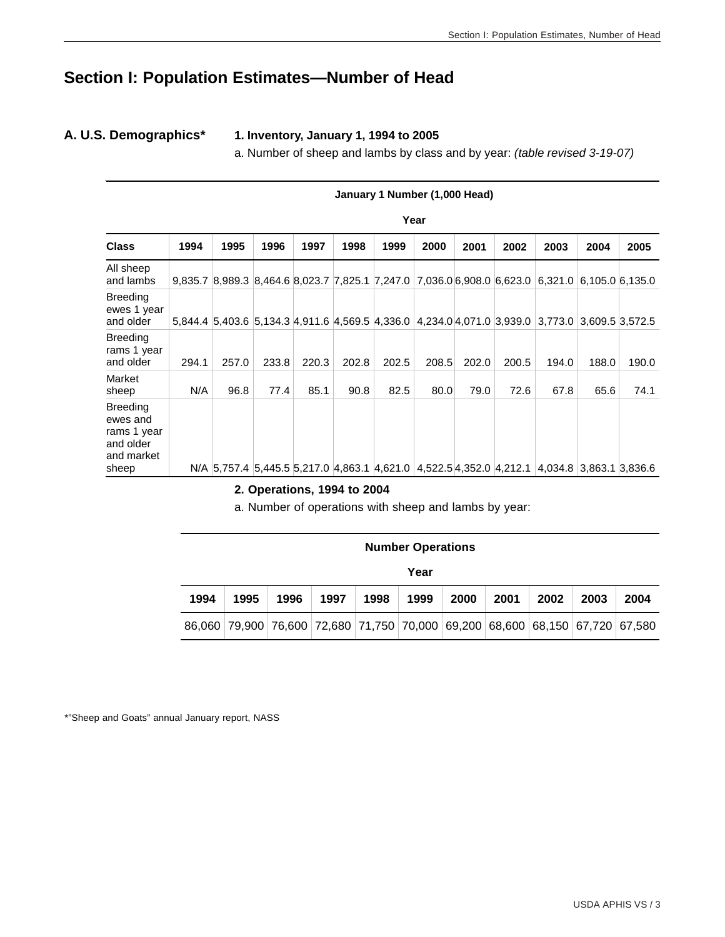# **Section I: Population Estimates—Number of Head**

**A. U.S. Demographics\* 1. Inventory, January 1, 1994 to 2005**

a. Number of sheep and lambs by class and by year: *(table revised 3-19-07)*

|                                                                                | January 1 Number (1,000 Head) |       |                                                                     |       |       |       |       |       |       |                                                                                 |       |                 |
|--------------------------------------------------------------------------------|-------------------------------|-------|---------------------------------------------------------------------|-------|-------|-------|-------|-------|-------|---------------------------------------------------------------------------------|-------|-----------------|
|                                                                                |                               |       |                                                                     |       |       |       | Year  |       |       |                                                                                 |       |                 |
| <b>Class</b>                                                                   | 1994                          | 1995  | 1996                                                                | 1997  | 1998  | 1999  | 2000  | 2001  | 2002  | 2003                                                                            | 2004  | 2005            |
| All sheep<br>and lambs                                                         |                               |       |                                                                     |       |       |       |       |       |       | 9,835.7 8,989.3 8,464.6 8,023.7 7,825.1 7,247.0 7,036.0 6,908.0 6,623.0 6,321.0 |       | 6,105.0 6,135.0 |
| <b>Breeding</b><br>ewes 1 year<br>and older                                    |                               |       | 5,844.4 5,403.6 5,134.3 4,911.6 4,569.5 4,336.0                     |       |       |       |       |       |       | 4,234.0 4,071.0 3,939.0 3,773.0 3,609.5 3,572.5                                 |       |                 |
| <b>Breeding</b><br>rams 1 year<br>and older                                    | 294.1                         | 257.0 | 233.8                                                               | 220.3 | 202.8 | 202.5 | 208.5 | 202.0 | 200.5 | 194.0                                                                           | 188.0 | 190.0           |
| Market<br>sheep                                                                | N/A                           | 96.8  | 77.4                                                                | 85.1  | 90.8  | 82.5  | 80.0  | 79.0  | 72.6  | 67.8                                                                            | 65.6  | 74.1            |
| <b>Breeding</b><br>ewes and<br>rams 1 year<br>and older<br>and market<br>sheep |                               |       | N/A 5,757.4 5,445.5 5,217.0 4,863.1 4,621.0 4,522.5 4,352.0 4,212.1 |       |       |       |       |       |       | 4,034.8                                                                         |       | 3,863.1 3,836.6 |

**2. Operations, 1994 to 2004**

a. Number of operations with sheep and lambs by year:

|      | <b>Number Operations</b> |      |      |      |      |                                                                              |      |      |      |      |  |  |  |
|------|--------------------------|------|------|------|------|------------------------------------------------------------------------------|------|------|------|------|--|--|--|
|      | Year                     |      |      |      |      |                                                                              |      |      |      |      |  |  |  |
| 1994 | 1995                     | 1996 | 1997 | 1998 | 1999 | 2000                                                                         | 2001 | 2002 | 2003 | 2004 |  |  |  |
|      |                          |      |      |      |      | 86,060 79,900 76,600 72,680 71,750 70,000 69,200 68,600 68,150 67,720 67,580 |      |      |      |      |  |  |  |

\*"Sheep and Goats" annual January report, NASS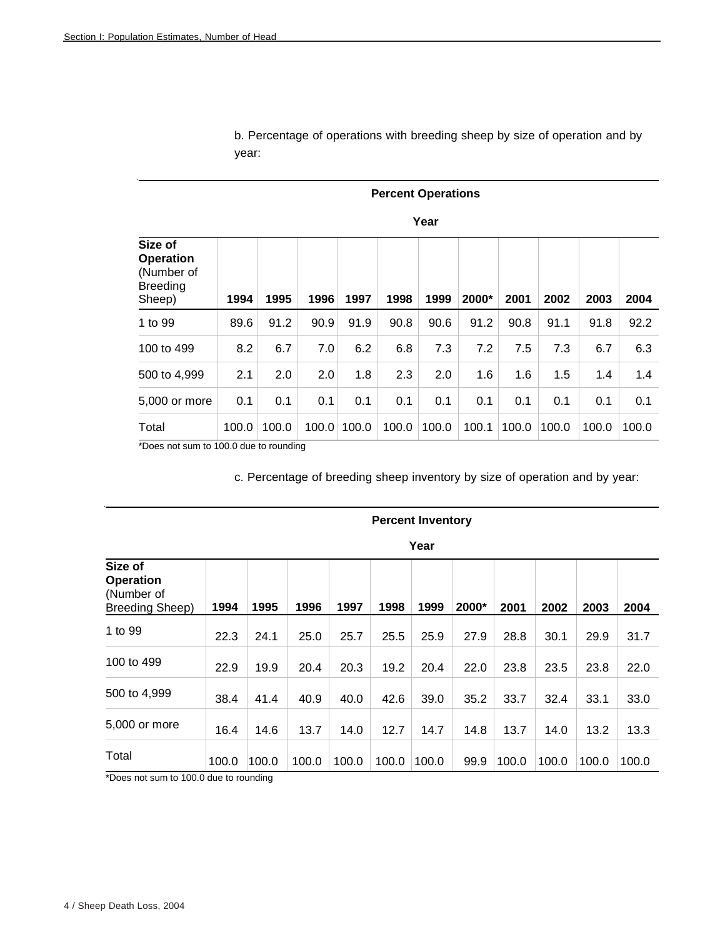|                                                                        | <b>Percent Operations</b> |       |       |       |       |       |       |       |       |       |       |  |  |
|------------------------------------------------------------------------|---------------------------|-------|-------|-------|-------|-------|-------|-------|-------|-------|-------|--|--|
|                                                                        | Year                      |       |       |       |       |       |       |       |       |       |       |  |  |
| Size of<br><b>Operation</b><br>(Number of<br><b>Breeding</b><br>Sheep) | 1994                      | 1995  | 1996  | 1997  | 1998  | 1999  | 2000* | 2001  | 2002  | 2003  | 2004  |  |  |
| 1 to 99                                                                | 89.6                      | 91.2  | 90.9  | 91.9  | 90.8  | 90.6  | 91.2  | 90.8  | 91.1  | 91.8  | 92.2  |  |  |
| 100 to 499                                                             | 8.2                       | 6.7   | 7.0   | 6.2   | 6.8   | 7.3   | 7.2   | 7.5   | 7.3   | 6.7   | 6.3   |  |  |
| 500 to 4,999                                                           | 2.1                       | 2.0   | 2.0   | 1.8   | 2.3   | 2.0   | 1.6   | 1.6   | 1.5   | 1.4   | 1.4   |  |  |
| 5,000 or more                                                          | 0.1                       | 0.1   | 0.1   | 0.1   | 0.1   | 0.1   | 0.1   | 0.1   | 0.1   | 0.1   | 0.1   |  |  |
| Total                                                                  | 100.0                     | 100.0 | 100.0 | 100.0 | 100.0 | 100.0 | 100.1 | 100.0 | 100.0 | 100.0 | 100.0 |  |  |

b. Percentage of operations with breeding sheep by size of operation and by year:

\*Does not sum to 100.0 due to rounding

c. Percentage of breeding sheep inventory by size of operation and by year:

|                                                              |       |       |       |       |       | i cai |       |       |       |       |       |
|--------------------------------------------------------------|-------|-------|-------|-------|-------|-------|-------|-------|-------|-------|-------|
| Size of<br><b>Operation</b><br>(Number of<br>Breeding Sheep) | 1994  | 1995  | 1996  | 1997  | 1998  | 1999  | 2000* | 2001  | 2002  | 2003  | 2004  |
| 1 to 99                                                      | 22.3  | 24.1  | 25.0  | 25.7  | 25.5  | 25.9  | 27.9  | 28.8  | 30.1  | 29.9  | 31.7  |
| 100 to 499                                                   | 22.9  | 19.9  | 20.4  | 20.3  | 19.2  | 20.4  | 22.0  | 23.8  | 23.5  | 23.8  | 22.0  |
| 500 to 4,999                                                 | 38.4  | 41.4  | 40.9  | 40.0  | 42.6  | 39.0  | 35.2  | 33.7  | 32.4  | 33.1  | 33.0  |
| 5,000 or more                                                | 16.4  | 14.6  | 13.7  | 14.0  | 12.7  | 14.7  | 14.8  | 13.7  | 14.0  | 13.2  | 13.3  |
| Total                                                        | 100.0 | 100.0 | 100.0 | 100.0 | 100.0 | 100.0 | 99.9  | 100.0 | 100.0 | 100.0 | 100.0 |
| *Doge not sum to 100.0 dug to rounding                       |       |       |       |       |       |       |       |       |       |       |       |

#### **Percent Inventory**

**Year** 

\*Does not sum to 100.0 due to rounding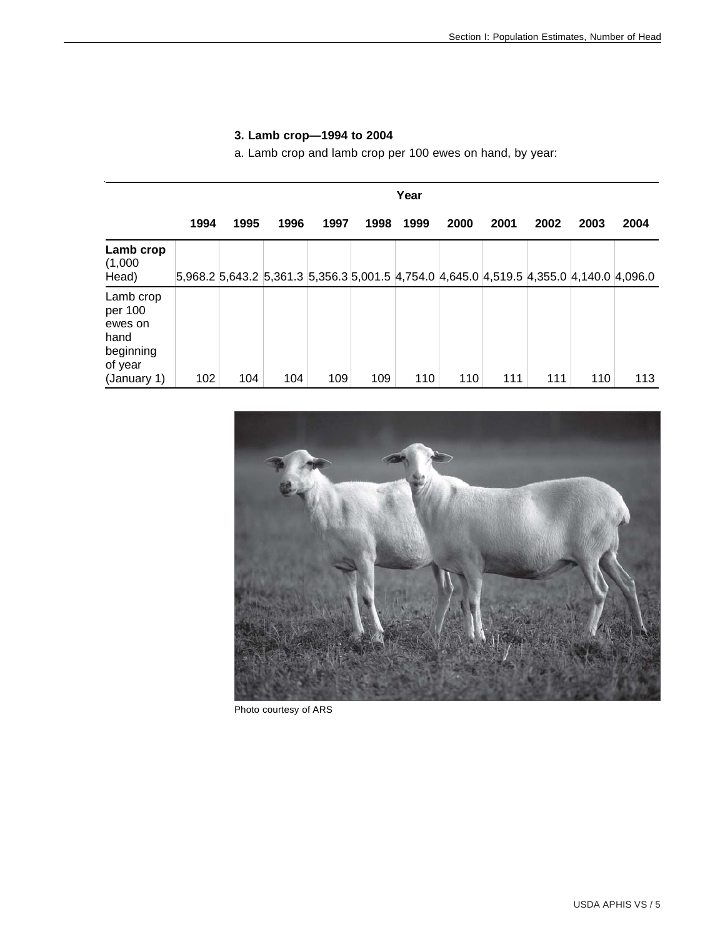| 1994 | 1995 | 1996 |      |      |      |      |      |      |      | Year                                                                                           |  |  |  |  |  |  |  |  |  |  |  |  |
|------|------|------|------|------|------|------|------|------|------|------------------------------------------------------------------------------------------------|--|--|--|--|--|--|--|--|--|--|--|--|
|      |      |      | 1997 | 1998 | 1999 | 2000 | 2001 | 2002 | 2003 | 2004                                                                                           |  |  |  |  |  |  |  |  |  |  |  |  |
|      |      |      |      |      |      |      |      |      |      |                                                                                                |  |  |  |  |  |  |  |  |  |  |  |  |
|      |      |      |      |      |      |      |      |      |      | 113                                                                                            |  |  |  |  |  |  |  |  |  |  |  |  |
|      | 102  | 104  | 104  | 109  | 109  | 110  | 110  | 111  | 111  | 5,968.2 5,643.2 5,361.3 5,356.3 5,001.5 4,754.0 4,645.0 4,519.5 4,355.0 4,140.0 4,096.0<br>110 |  |  |  |  |  |  |  |  |  |  |  |  |

# **3. Lamb crop—1994 to 2004**

a. Lamb crop and lamb crop per 100 ewes on hand, by year:



Photo courtesy of ARS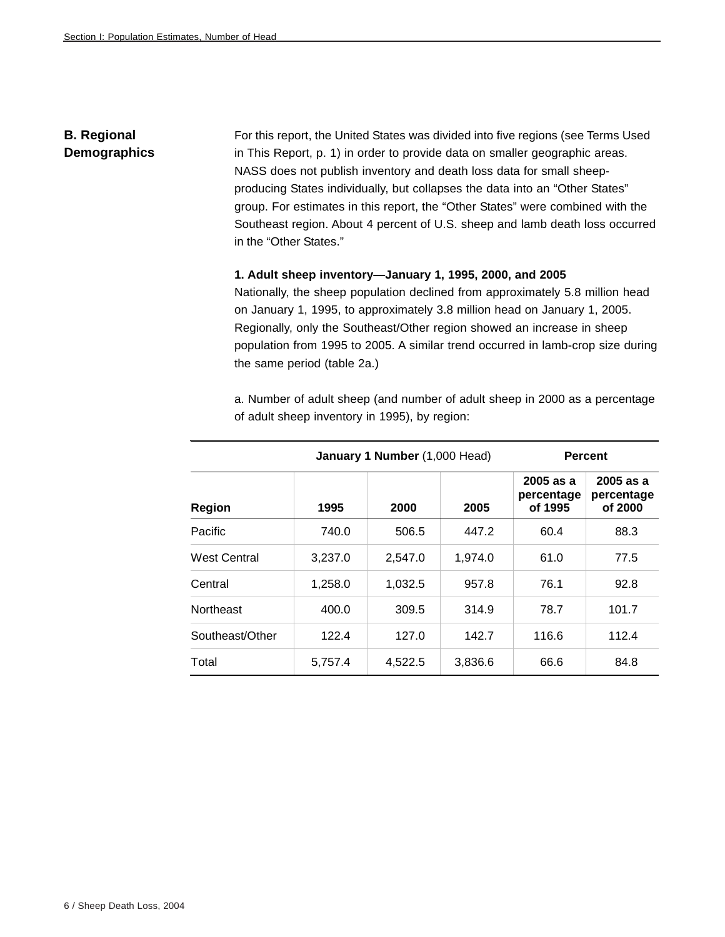# **B. Regional Demographics**

For this report, the United States was divided into five regions (see Terms Used in This Report, p. 1) in order to provide data on smaller geographic areas. NASS does not publish inventory and death loss data for small sheepproducing States individually, but collapses the data into an "Other States" group. For estimates in this report, the "Other States" were combined with the Southeast region. About 4 percent of U.S. sheep and lamb death loss occurred in the "Other States."

#### **1. Adult sheep inventory—January 1, 1995, 2000, and 2005**

Nationally, the sheep population declined from approximately 5.8 million head on January 1, 1995, to approximately 3.8 million head on January 1, 2005. Regionally, only the Southeast/Other region showed an increase in sheep population from 1995 to 2005. A similar trend occurred in lamb-crop size during the same period (table 2a.)

a. Number of adult sheep (and number of adult sheep in 2000 as a percentage of adult sheep inventory in 1995), by region:

|                     |         | January 1 Number (1,000 Head) |         | <b>Percent</b>                       |                                      |  |  |
|---------------------|---------|-------------------------------|---------|--------------------------------------|--------------------------------------|--|--|
| Region              | 1995    | 2000                          | 2005    | $2005$ as a<br>percentage<br>of 1995 | $2005$ as a<br>percentage<br>of 2000 |  |  |
| Pacific             | 740.0   | 506.5                         | 447.2   | 60.4                                 | 88.3                                 |  |  |
| <b>West Central</b> | 3,237.0 | 2,547.0                       | 1,974.0 | 61.0                                 | 77.5                                 |  |  |
| Central             | 1,258.0 | 1,032.5                       | 957.8   | 76.1                                 | 92.8                                 |  |  |
| <b>Northeast</b>    | 400.0   | 309.5                         | 314.9   | 78.7                                 | 101.7                                |  |  |
| Southeast/Other     | 122.4   | 127.0                         | 142.7   | 116.6                                | 112.4                                |  |  |
| Total               | 5,757.4 | 4,522.5                       | 3,836.6 | 66.6                                 | 84.8                                 |  |  |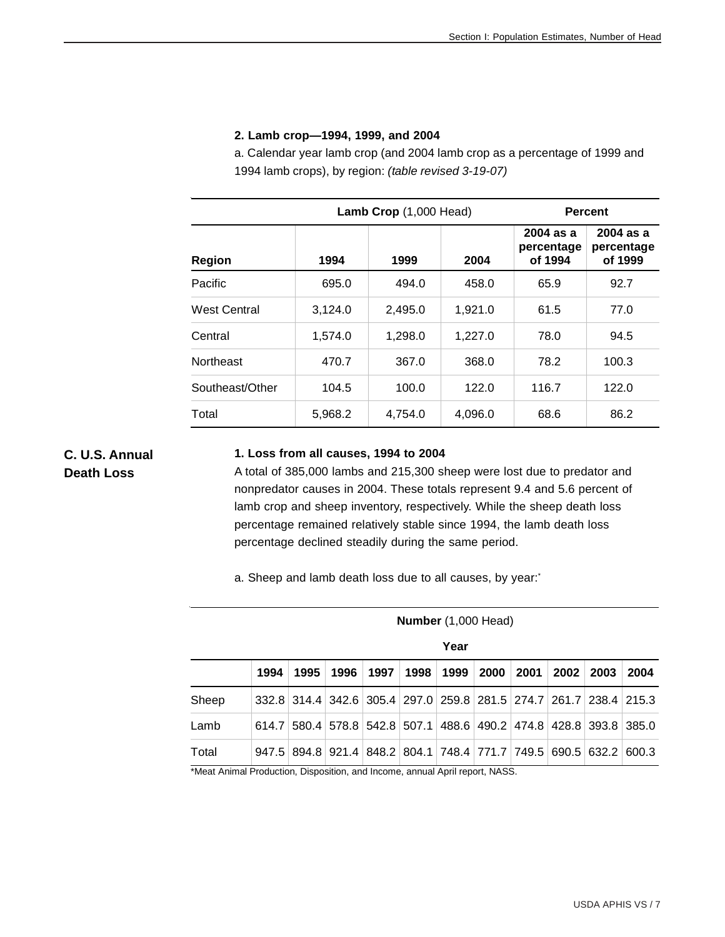#### **2. Lamb crop—1994, 1999, and 2004**

a. Calendar year lamb crop (and 2004 lamb crop as a percentage of 1999 and 1994 lamb crops), by region: *(table revised 3-19-07)*

|                     |         | <b>Lamb Crop</b> $(1,000$ Head) |         | <b>Percent</b>                       |                                      |  |  |
|---------------------|---------|---------------------------------|---------|--------------------------------------|--------------------------------------|--|--|
| <b>Region</b>       | 1994    | 1999                            | 2004    | $2004$ as a<br>percentage<br>of 1994 | $2004$ as a<br>percentage<br>of 1999 |  |  |
| Pacific             | 695.0   | 494.0                           | 458.0   | 65.9                                 | 92.7                                 |  |  |
| <b>West Central</b> | 3,124.0 | 2,495.0                         | 1.921.0 | 61.5                                 | 77.0                                 |  |  |
| Central             | 1,574.0 | 1,298.0                         | 1,227.0 | 78.0                                 | 94.5                                 |  |  |
| Northeast           | 470.7   | 367.0                           | 368.0   | 78.2                                 | 100.3                                |  |  |
| Southeast/Other     | 104.5   | 100.0                           | 122.0   | 116.7                                | 122.0                                |  |  |
| Total               | 5,968.2 | 4,754.0                         | 4,096.0 | 68.6                                 | 86.2                                 |  |  |

**C. U.S. Annual Death Loss**

#### **1. Loss from all causes, 1994 to 2004**

A total of 385,000 lambs and 215,300 sheep were lost due to predator and nonpredator causes in 2004. These totals represent 9.4 and 5.6 percent of lamb crop and sheep inventory, respectively. While the sheep death loss percentage remained relatively stable since 1994, the lamb death loss percentage declined steadily during the same period.

 **Number** (1,000 Head)

a. Sheep and lamb death loss due to all causes, by year:

|       |      |      |      |      |      | Year                                                              |      |      |      |      |       |
|-------|------|------|------|------|------|-------------------------------------------------------------------|------|------|------|------|-------|
|       | 1994 | 1995 | 1996 | 1997 | 1998 | 1999                                                              | 2000 | 2001 | 2002 | 2003 | 2004  |
| Sheep |      |      |      |      |      | 332.8 314.4 342.6 305.4 297.0 259.8 281.5 274.7 261.7 238.4 215.3 |      |      |      |      |       |
| Lamb  |      |      |      |      |      | 614.7 580.4 578.8 542.8 507.1 488.6 490.2 474.8 428.8 393.8 385.0 |      |      |      |      |       |
| Total |      |      |      |      |      | 947.5 894.8 921.4 848.2 804.1 748.4 771.7 749.5 690.5 632.2       |      |      |      |      | 600.3 |

\*Meat Animal Production, Disposition, and Income, annual April report, NASS.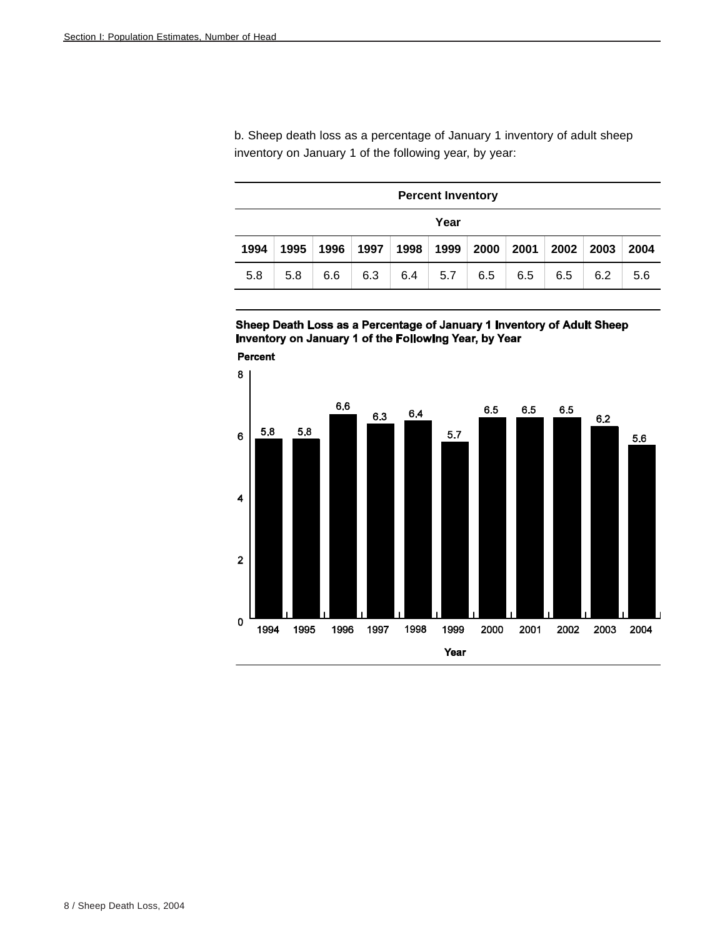b. Sheep death loss as a percentage of January 1 inventory of adult sheep inventory on January 1 of the following year, by year:

|      | <b>Percent Inventory</b>                                                     |     |     |     |     |     |     |     |     |     |  |  |  |
|------|------------------------------------------------------------------------------|-----|-----|-----|-----|-----|-----|-----|-----|-----|--|--|--|
|      | Year                                                                         |     |     |     |     |     |     |     |     |     |  |  |  |
| 1994 | 2002<br>1998<br>1999<br>2000<br>2001<br>2003<br>1997<br>1995<br>1996<br>2004 |     |     |     |     |     |     |     |     |     |  |  |  |
| 5.8  | 5.8                                                                          | 6.6 | 6.3 | 6.4 | 5.7 | 6.5 | 6.5 | 6.5 | 6.2 | 5.6 |  |  |  |

Sheep Death Loss as a Percentage of January 1 Inventory of Adult Sheep Inventory on January 1 of the Following Year, by Year



8 / Sheep Death Loss, 2004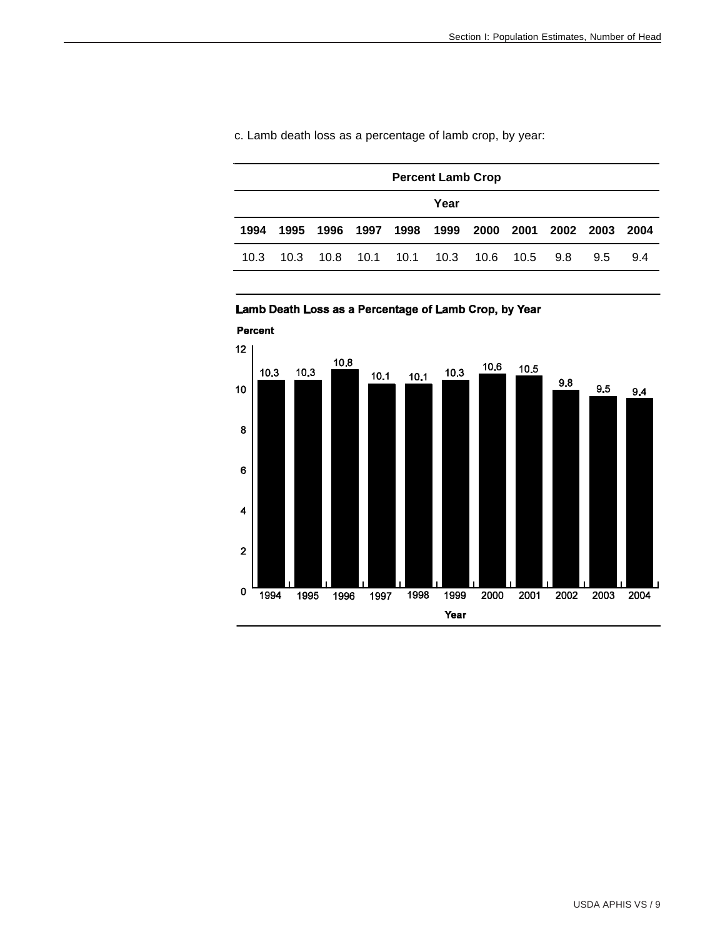|      | <b>Percent Lamb Crop</b> |      |           |           |                     |  |  |           |               |      |  |  |
|------|--------------------------|------|-----------|-----------|---------------------|--|--|-----------|---------------|------|--|--|
|      | Year                     |      |           |           |                     |  |  |           |               |      |  |  |
| 1994 | 1995                     |      | 1996 1997 |           | 1998 1999 2000 2001 |  |  | 2002 2003 |               | 2004 |  |  |
| 10.3 | 10.3                     | 10.8 |           | 10.1 10.1 |                     |  |  | 9.8       | $9.5^{\circ}$ | 9.4  |  |  |

c. Lamb death loss as a percentage of lamb crop, by year:



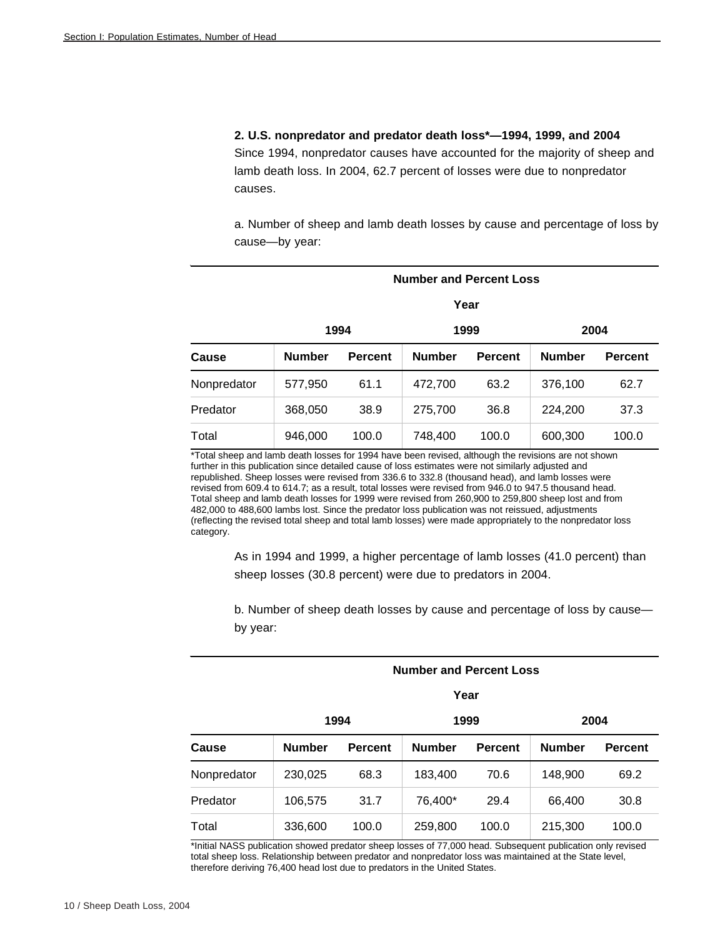**2. U.S. nonpredator and predator death loss\*—1994, 1999, and 2004**

Since 1994, nonpredator causes have accounted for the majority of sheep and lamb death loss. In 2004, 62.7 percent of losses were due to nonpredator causes.

a. Number of sheep and lamb death losses by cause and percentage of loss by cause—by year:

| <b>Number and Percent Loss</b> |               |                |               |                |               |                |  |  |  |  |
|--------------------------------|---------------|----------------|---------------|----------------|---------------|----------------|--|--|--|--|
|                                |               |                |               | Year           |               |                |  |  |  |  |
|                                |               | 1994           |               | 1999           |               | 2004           |  |  |  |  |
| Cause                          | <b>Number</b> | <b>Percent</b> | <b>Number</b> | <b>Percent</b> | <b>Number</b> | <b>Percent</b> |  |  |  |  |
| Nonpredator                    | 577,950       | 61.1           | 472,700       | 63.2           | 376,100       | 62.7           |  |  |  |  |
| Predator                       | 368,050       | 38.9           | 275,700       | 36.8           | 224,200       | 37.3           |  |  |  |  |
| Total                          | 946,000       | 100.0          | 748,400       | 100.0          | 600,300       | 100.0          |  |  |  |  |

\*Total sheep and lamb death losses for 1994 have been revised, although the revisions are not shown further in this publication since detailed cause of loss estimates were not similarly adjusted and republished. Sheep losses were revised from 336.6 to 332.8 (thousand head), and lamb losses were revised from 609.4 to 614.7; as a result, total losses were revised from 946.0 to 947.5 thousand head. Total sheep and lamb death losses for 1999 were revised from 260,900 to 259,800 sheep lost and from 482,000 to 488,600 lambs lost. Since the predator loss publication was not reissued, adjustments (reflecting the revised total sheep and total lamb losses) were made appropriately to the nonpredator loss category.

As in 1994 and 1999, a higher percentage of lamb losses (41.0 percent) than sheep losses (30.8 percent) were due to predators in 2004.

b. Number of sheep death losses by cause and percentage of loss by cause by year:

| <b>Number and Percent Loss</b> |               |                |               |                |               |                |  |  |  |  |
|--------------------------------|---------------|----------------|---------------|----------------|---------------|----------------|--|--|--|--|
|                                |               |                |               | Year           |               |                |  |  |  |  |
|                                |               | 1994           |               | 1999           |               | 2004           |  |  |  |  |
| Cause                          | <b>Number</b> | <b>Percent</b> | <b>Number</b> | <b>Percent</b> | <b>Number</b> | <b>Percent</b> |  |  |  |  |
| Nonpredator                    | 230,025       | 68.3           | 183,400       | 70.6           | 148,900       | 69.2           |  |  |  |  |
| Predator                       | 106,575       | 31.7           | 76,400*       | 29.4           | 66,400        | 30.8           |  |  |  |  |
| Total                          | 336,600       | 100.0          | 259,800       | 100.0          | 215,300       | 100.0          |  |  |  |  |

\*Initial NASS publication showed predator sheep losses of 77,000 head. Subsequent publication only revised total sheep loss. Relationship between predator and nonpredator loss was maintained at the State level, therefore deriving 76,400 head lost due to predators in the United States.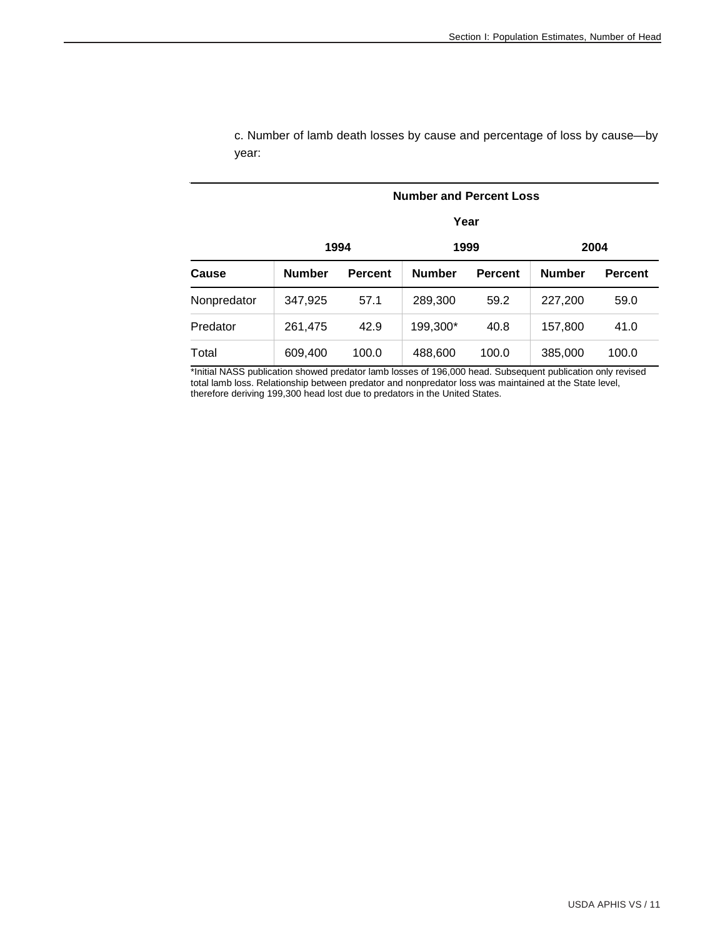|             |               |                | <b>Number and Percent Loss</b> |                |               |                |
|-------------|---------------|----------------|--------------------------------|----------------|---------------|----------------|
|             |               |                | Year                           |                |               |                |
|             |               | 1994           | 1999                           | 2004           |               |                |
| Cause       | <b>Number</b> | <b>Percent</b> | <b>Number</b>                  | <b>Percent</b> | <b>Number</b> | <b>Percent</b> |
| Nonpredator | 347,925       | 57.1           | 289,300                        | 59.2           | 227,200       | 59.0           |
| Predator    | 261,475       | 42.9           | 199,300*                       | 40.8           | 157,800       | 41.0           |
| Total       | 609,400       | 100.0          | 488,600                        | 100.0          | 385,000       | 100.0          |

c. Number of lamb death losses by cause and percentage of loss by cause—by year:

\*Initial NASS publication showed predator lamb losses of 196,000 head. Subsequent publication only revised total lamb loss. Relationship between predator and nonpredator loss was maintained at the State level, therefore deriving 199,300 head lost due to predators in the United States.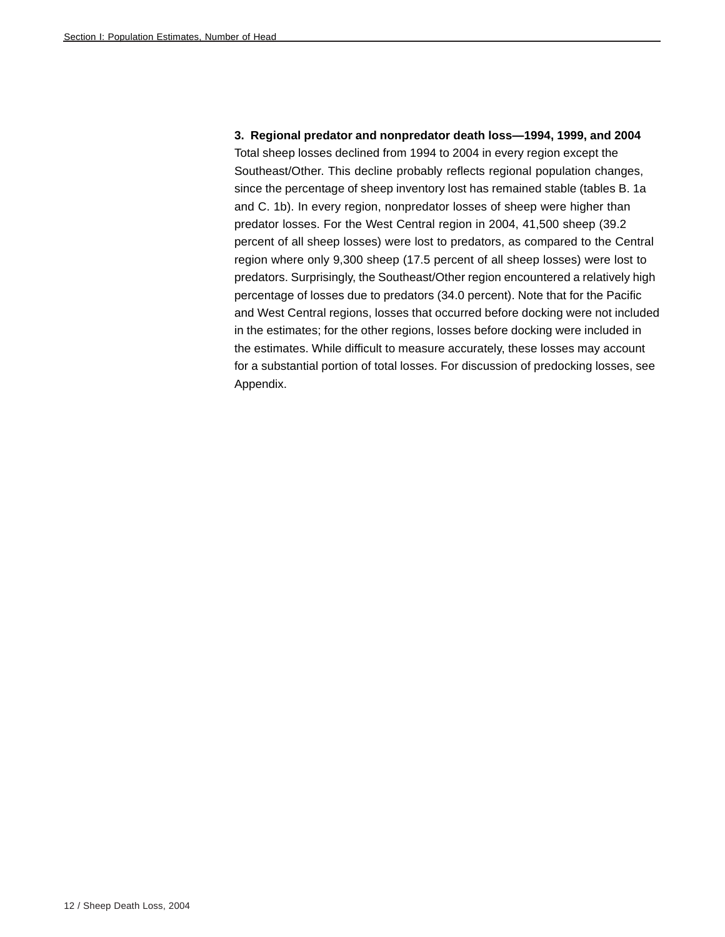**3. Regional predator and nonpredator death loss—1994, 1999, and 2004** Total sheep losses declined from 1994 to 2004 in every region except the Southeast/Other. This decline probably reflects regional population changes, since the percentage of sheep inventory lost has remained stable (tables B. 1a and C. 1b). In every region, nonpredator losses of sheep were higher than predator losses. For the West Central region in 2004, 41,500 sheep (39.2 percent of all sheep losses) were lost to predators, as compared to the Central region where only 9,300 sheep (17.5 percent of all sheep losses) were lost to predators. Surprisingly, the Southeast/Other region encountered a relatively high percentage of losses due to predators (34.0 percent). Note that for the Pacific and West Central regions, losses that occurred before docking were not included in the estimates; for the other regions, losses before docking were included in the estimates. While difficult to measure accurately, these losses may account for a substantial portion of total losses. For discussion of predocking losses, see Appendix.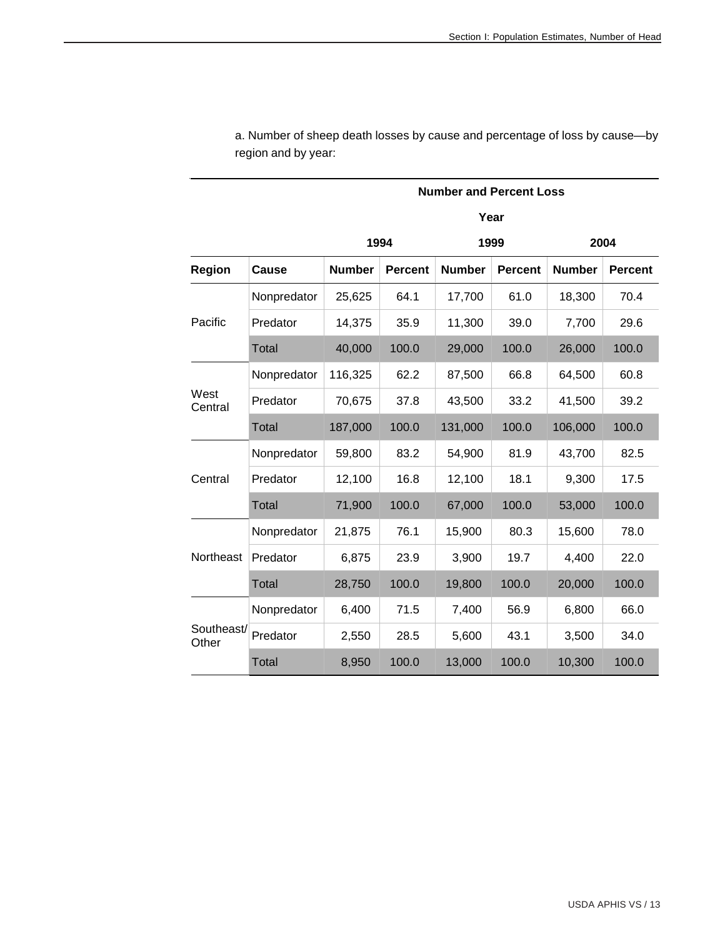|                     |              |               |                | <b>Number and Percent Loss</b> |                |               |                |
|---------------------|--------------|---------------|----------------|--------------------------------|----------------|---------------|----------------|
|                     |              |               |                |                                | Year           |               |                |
|                     |              |               | 1994           |                                | 1999           |               | 2004           |
| <b>Region</b>       | Cause        | <b>Number</b> | <b>Percent</b> | <b>Number</b>                  | <b>Percent</b> | <b>Number</b> | <b>Percent</b> |
|                     | Nonpredator  | 25,625        | 64.1           | 17,700                         | 61.0           | 18,300        | 70.4           |
| Pacific             | Predator     | 14,375        | 35.9           | 11,300                         | 39.0           | 7,700         | 29.6           |
|                     | <b>Total</b> | 40,000        | 100.0          | 29,000                         | 100.0          | 26,000        | 100.0          |
|                     | Nonpredator  | 116,325       | 62.2           | 87,500                         | 66.8           | 64,500        | 60.8           |
| West<br>Central     | Predator     | 70,675        | 37.8           | 43,500                         | 33.2           | 41,500        | 39.2           |
|                     | <b>Total</b> | 187,000       | 100.0          | 131,000                        | 100.0          | 106,000       | 100.0          |
|                     | Nonpredator  | 59,800        | 83.2           | 54,900                         | 81.9           | 43,700        | 82.5           |
| Central             | Predator     | 12,100        | 16.8           | 12,100                         | 18.1           | 9,300         | 17.5           |
|                     | <b>Total</b> | 71,900        | 100.0          | 67,000                         | 100.0          | 53,000        | 100.0          |
|                     | Nonpredator  | 21,875        | 76.1           | 15,900                         | 80.3           | 15,600        | 78.0           |
| Northeast           | Predator     | 6,875         | 23.9           | 3,900                          | 19.7           | 4,400         | 22.0           |
|                     | <b>Total</b> | 28,750        | 100.0          | 19,800                         | 100.0          | 20,000        | 100.0          |
|                     | Nonpredator  | 6,400         | 71.5           | 7,400                          | 56.9           | 6,800         | 66.0           |
| Southeast/<br>Other | Predator     | 2,550         | 28.5           | 5,600                          | 43.1           | 3,500         | 34.0           |
|                     | <b>Total</b> | 8,950         | 100.0          | 13,000                         | 100.0          | 10,300        | 100.0          |

a. Number of sheep death losses by cause and percentage of loss by cause—by region and by year: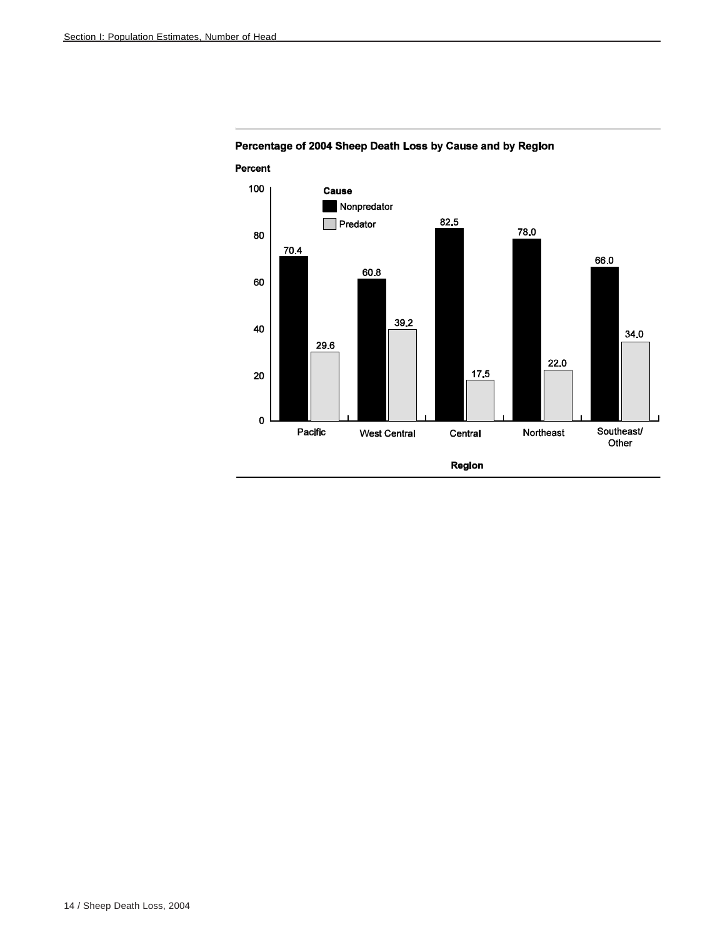

# Percentage of 2004 Sheep Death Loss by Cause and by Region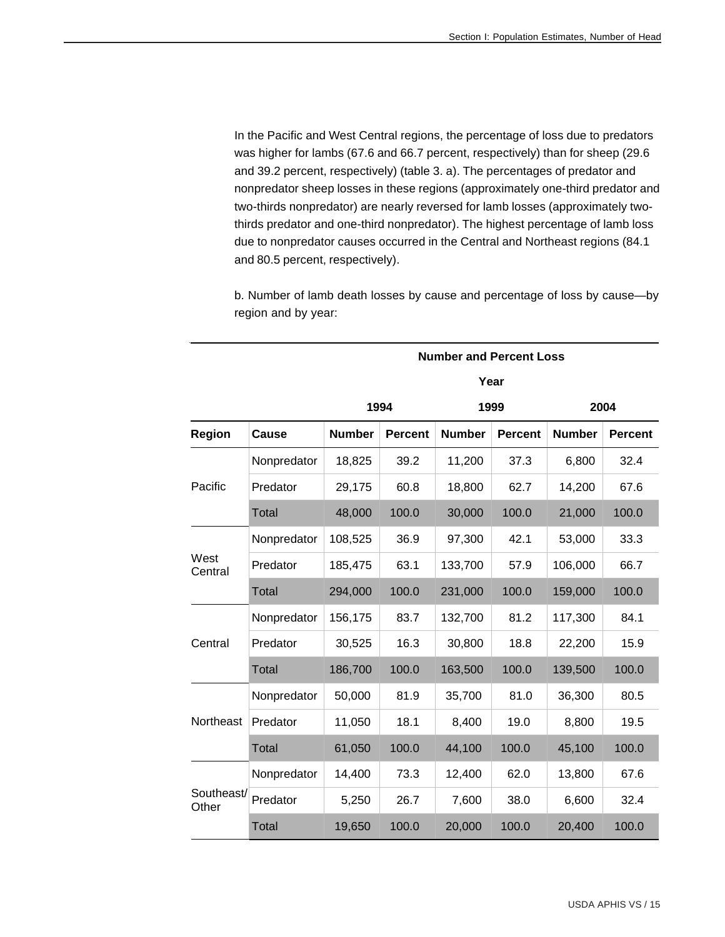In the Pacific and West Central regions, the percentage of loss due to predators was higher for lambs (67.6 and 66.7 percent, respectively) than for sheep (29.6 and 39.2 percent, respectively) (table 3. a). The percentages of predator and nonpredator sheep losses in these regions (approximately one-third predator and two-thirds nonpredator) are nearly reversed for lamb losses (approximately twothirds predator and one-third nonpredator). The highest percentage of lamb loss due to nonpredator causes occurred in the Central and Northeast regions (84.1 and 80.5 percent, respectively).

b. Number of lamb death losses by cause and percentage of loss by cause—by region and by year:

|                     |              |               | <b>Number and Percent Loss</b><br>Year<br>1994<br>1999<br><b>Percent</b><br><b>Number</b><br><b>Percent</b><br>39.2<br>11,200<br>37.3<br>60.8<br>62.7<br>18,800<br>100.0<br>30,000<br>100.0<br>36.9<br>97,300<br>42.1<br>63.1<br>133,700<br>57.9<br>100.0<br>231,000<br>100.0<br>83.7<br>132,700<br>81.2<br>16.3<br>30,800<br>18.8<br>100.0<br>163,500<br>100.0<br>81.9<br>35,700<br>81.0<br>18.1<br>8,400<br>19.0<br>44,100<br>100.0<br>100.0<br>73.3<br>62.0<br>12,400<br>26.7<br>7,600<br>38.0 |        | 2004  |                                                                                                   |                |
|---------------------|--------------|---------------|---------------------------------------------------------------------------------------------------------------------------------------------------------------------------------------------------------------------------------------------------------------------------------------------------------------------------------------------------------------------------------------------------------------------------------------------------------------------------------------------------|--------|-------|---------------------------------------------------------------------------------------------------|----------------|
| <b>Region</b>       | Cause        | <b>Number</b> |                                                                                                                                                                                                                                                                                                                                                                                                                                                                                                   |        |       | <b>Number</b>                                                                                     | <b>Percent</b> |
|                     | Nonpredator  | 18,825        |                                                                                                                                                                                                                                                                                                                                                                                                                                                                                                   |        |       | 6,800                                                                                             | 32.4           |
| Pacific             | Predator     | 29,175        |                                                                                                                                                                                                                                                                                                                                                                                                                                                                                                   |        |       | 14,200                                                                                            | 67.6           |
|                     | <b>Total</b> | 48,000        |                                                                                                                                                                                                                                                                                                                                                                                                                                                                                                   |        |       | 21,000                                                                                            | 100.0          |
|                     | Nonpredator  | 108,525       |                                                                                                                                                                                                                                                                                                                                                                                                                                                                                                   |        |       | 53,000                                                                                            | 33.3           |
| West<br>Central     | Predator     | 185,475       |                                                                                                                                                                                                                                                                                                                                                                                                                                                                                                   |        |       | 106,000                                                                                           | 66.7           |
|                     | <b>Total</b> | 294,000       |                                                                                                                                                                                                                                                                                                                                                                                                                                                                                                   |        |       | 159,000<br>117,300<br>22,200<br>139,500<br>36,300<br>8,800<br>45,100<br>13,800<br>6,600<br>20,400 | 100.0          |
|                     | Nonpredator  | 156,175       |                                                                                                                                                                                                                                                                                                                                                                                                                                                                                                   |        |       |                                                                                                   | 84.1           |
| Central             | Predator     | 30,525        |                                                                                                                                                                                                                                                                                                                                                                                                                                                                                                   |        |       |                                                                                                   | 15.9           |
|                     | Total        | 186,700       |                                                                                                                                                                                                                                                                                                                                                                                                                                                                                                   |        |       |                                                                                                   | 100.0          |
|                     | Nonpredator  | 50,000        |                                                                                                                                                                                                                                                                                                                                                                                                                                                                                                   |        |       |                                                                                                   | 80.5           |
| Northeast           | Predator     | 11,050        |                                                                                                                                                                                                                                                                                                                                                                                                                                                                                                   |        |       |                                                                                                   | 19.5           |
|                     | <b>Total</b> | 61,050        |                                                                                                                                                                                                                                                                                                                                                                                                                                                                                                   |        |       |                                                                                                   | 100.0          |
|                     | Nonpredator  | 14,400        |                                                                                                                                                                                                                                                                                                                                                                                                                                                                                                   |        |       |                                                                                                   | 67.6           |
| Southeast/<br>Other | Predator     | 5,250         |                                                                                                                                                                                                                                                                                                                                                                                                                                                                                                   |        |       |                                                                                                   | 32.4           |
|                     | <b>Total</b> | 19,650        | 100.0                                                                                                                                                                                                                                                                                                                                                                                                                                                                                             | 20,000 | 100.0 |                                                                                                   | 100.0          |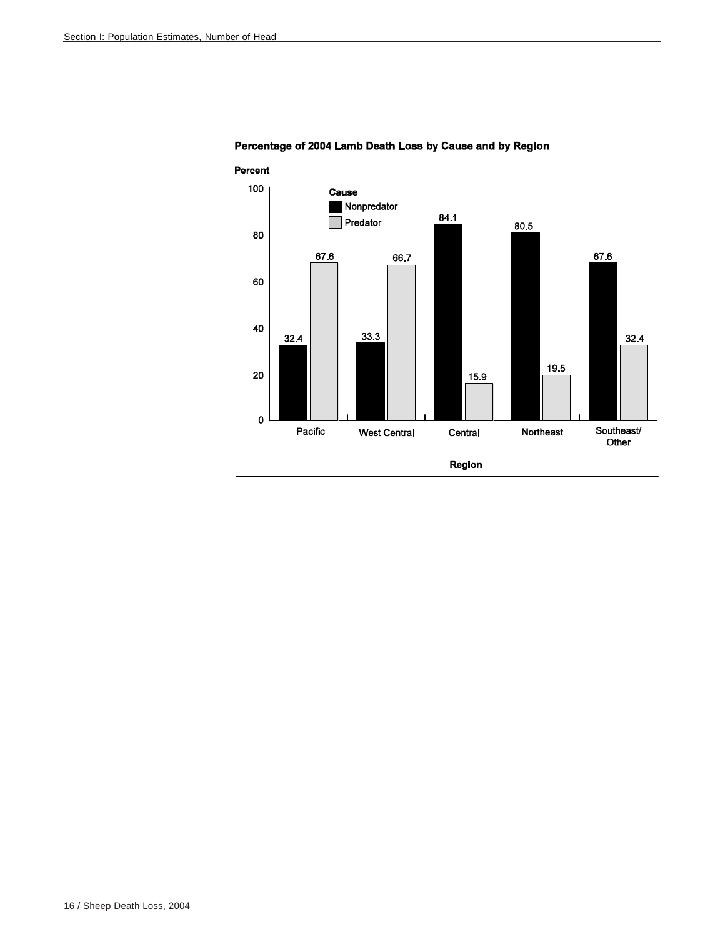

Percentage of 2004 Lamb Death Loss by Cause and by Region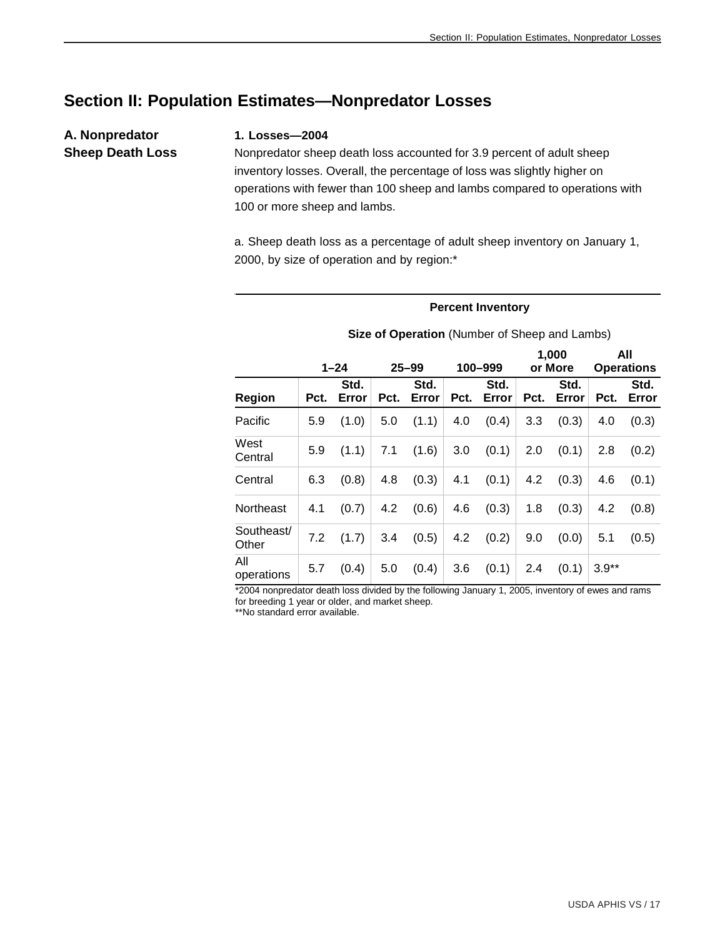# **Section II: Population Estimates—Nonpredator Losses**

# **A. Nonpredator Sheep Death Loss**

#### **1. Losses—2004**

Nonpredator sheep death loss accounted for 3.9 percent of adult sheep inventory losses. Overall, the percentage of loss was slightly higher on operations with fewer than 100 sheep and lambs compared to operations with 100 or more sheep and lambs.

a. Sheep death loss as a percentage of adult sheep inventory on January 1, 2000, by size of operation and by region:\*

#### **Percent Inventory**

|                     |      | $1 - 24$      |      | $25 - 99$     |      | 100-999       |      | 1,000<br>or More |         | All<br><b>Operations</b> |
|---------------------|------|---------------|------|---------------|------|---------------|------|------------------|---------|--------------------------|
| Region              | Pct. | Std.<br>Error | Pct. | Std.<br>Error | Pct. | Std.<br>Error | Pct. | Std.<br>Error    | Pct.    | Std.<br>Error            |
| Pacific             | 5.9  | (1.0)         | 5.0  | (1.1)         | 4.0  | (0.4)         | 3.3  | (0.3)            | 4.0     | (0.3)                    |
| West<br>Central     | 5.9  | (1.1)         | 7.1  | (1.6)         | 3.0  | (0.1)         | 2.0  | (0.1)            | 2.8     | (0.2)                    |
| Central             | 6.3  | (0.8)         | 4.8  | (0.3)         | 4.1  | (0.1)         | 4.2  | (0.3)            | 4.6     | (0.1)                    |
| Northeast           | 4.1  | (0.7)         | 4.2  | (0.6)         | 4.6  | (0.3)         | 1.8  | (0.3)            | 4.2     | (0.8)                    |
| Southeast/<br>Other | 7.2  | (1.7)         | 3.4  | (0.5)         | 4.2  | (0.2)         | 9.0  | (0.0)            | 5.1     | (0.5)                    |
| All<br>operations   | 5.7  | (0.4)         | 5.0  | (0.4)         | 3.6  | (0.1)         | 2.4  | (0.1)            | $3.9**$ |                          |

#### **Size of Operation** (Number of Sheep and Lambs)

\*2004 nonpredator death loss divided by the following January 1, 2005, inventory of ewes and rams for breeding 1 year or older, and market sheep.

\*\*No standard error available.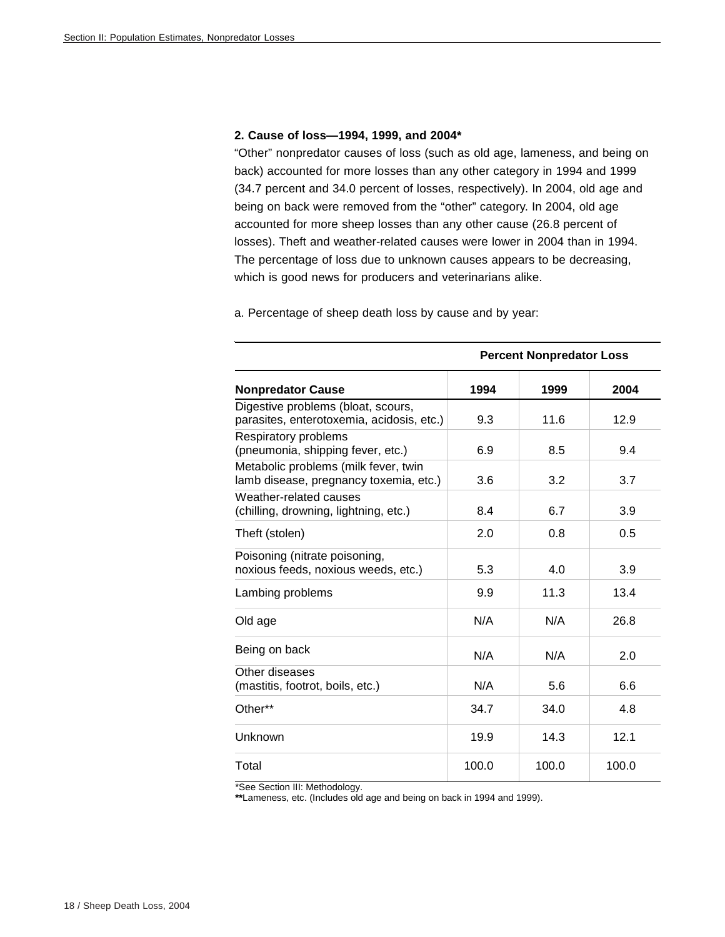#### **2. Cause of loss—1994, 1999, and 2004\***

"Other" nonpredator causes of loss (such as old age, lameness, and being on back) accounted for more losses than any other category in 1994 and 1999 (34.7 percent and 34.0 percent of losses, respectively). In 2004, old age and being on back were removed from the "other" category. In 2004, old age accounted for more sheep losses than any other cause (26.8 percent of losses). Theft and weather-related causes were lower in 2004 than in 1994. The percentage of loss due to unknown causes appears to be decreasing, which is good news for producers and veterinarians alike.

a. Percentage of sheep death loss by cause and by year:

|                                                                                 |       | <b>Percent Nonpredator Loss</b> |       |
|---------------------------------------------------------------------------------|-------|---------------------------------|-------|
| <b>Nonpredator Cause</b>                                                        | 1994  | 1999                            | 2004  |
| Digestive problems (bloat, scours,<br>parasites, enterotoxemia, acidosis, etc.) | 9.3   | 11.6                            | 12.9  |
| Respiratory problems<br>(pneumonia, shipping fever, etc.)                       | 6.9   | 8.5                             | 9.4   |
| Metabolic problems (milk fever, twin<br>lamb disease, pregnancy toxemia, etc.)  | 3.6   | 3.2                             | 3.7   |
| Weather-related causes<br>(chilling, drowning, lightning, etc.)                 | 8.4   | 6.7                             | 3.9   |
| Theft (stolen)                                                                  | 2.0   | 0.8                             | 0.5   |
| Poisoning (nitrate poisoning,<br>noxious feeds, noxious weeds, etc.)            | 5.3   | 4.0                             | 3.9   |
| Lambing problems                                                                | 9.9   | 11.3                            | 13.4  |
| Old age                                                                         | N/A   | N/A                             | 26.8  |
| Being on back                                                                   | N/A   | N/A                             | 2.0   |
| Other diseases<br>(mastitis, footrot, boils, etc.)                              | N/A   | 5.6                             | 6.6   |
| Other**                                                                         | 34.7  | 34.0                            | 4.8   |
| Unknown                                                                         | 19.9  | 14.3                            | 12.1  |
| Total                                                                           | 100.0 | 100.0                           | 100.0 |

\*See Section III: Methodology.

**\*\***Lameness, etc. (Includes old age and being on back in 1994 and 1999).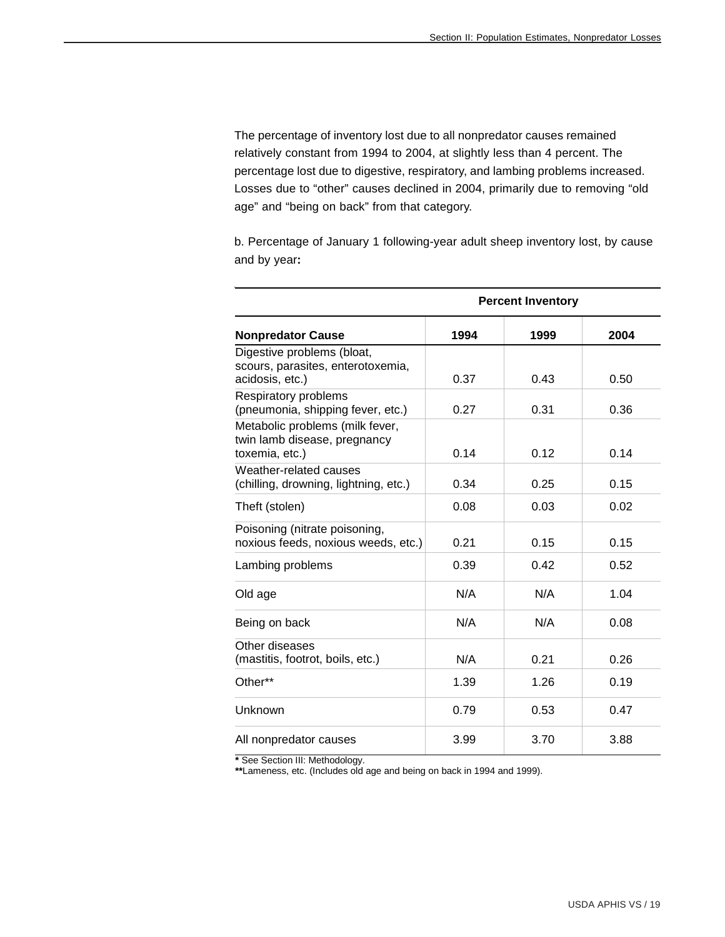The percentage of inventory lost due to all nonpredator causes remained relatively constant from 1994 to 2004, at slightly less than 4 percent. The percentage lost due to digestive, respiratory, and lambing problems increased. Losses due to "other" causes declined in 2004, primarily due to removing "old age" and "being on back" from that category.

b. Percentage of January 1 following-year adult sheep inventory lost, by cause and by year**:**

|                                                                                    |      | <b>Percent Inventory</b> |      |
|------------------------------------------------------------------------------------|------|--------------------------|------|
| <b>Nonpredator Cause</b>                                                           | 1994 | 1999                     | 2004 |
| Digestive problems (bloat,<br>scours, parasites, enterotoxemia,<br>acidosis, etc.) | 0.37 | 0.43                     | 0.50 |
| Respiratory problems<br>(pneumonia, shipping fever, etc.)                          | 0.27 | 0.31                     | 0.36 |
| Metabolic problems (milk fever,<br>twin lamb disease, pregnancy<br>toxemia, etc.)  | 0.14 | 0.12                     | 0.14 |
| Weather-related causes<br>(chilling, drowning, lightning, etc.)                    | 0.34 | 0.25                     | 0.15 |
| Theft (stolen)                                                                     | 0.08 | 0.03                     | 0.02 |
| Poisoning (nitrate poisoning,<br>noxious feeds, noxious weeds, etc.)               | 0.21 | 0.15                     | 0.15 |
| Lambing problems                                                                   | 0.39 | 0.42                     | 0.52 |
| Old age                                                                            | N/A  | N/A                      | 1.04 |
| Being on back                                                                      | N/A  | N/A                      | 0.08 |
| Other diseases<br>(mastitis, footrot, boils, etc.)                                 | N/A  | 0.21                     | 0.26 |
| Other**                                                                            | 1.39 | 1.26                     | 0.19 |
| Unknown                                                                            | 0.79 | 0.53                     | 0.47 |
| All nonpredator causes                                                             | 3.99 | 3.70                     | 3.88 |

**\*** See Section III: Methodology.

**\*\***Lameness, etc. (Includes old age and being on back in 1994 and 1999).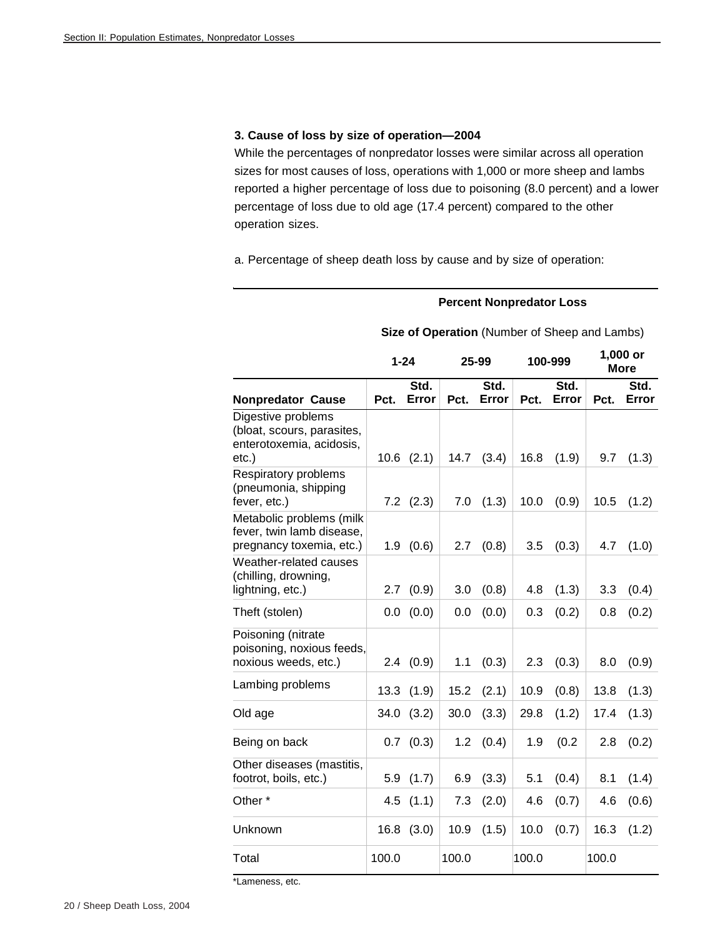#### **3. Cause of loss by size of operation—2004**

While the percentages of nonpredator losses were similar across all operation sizes for most causes of loss, operations with 1,000 or more sheep and lambs reported a higher percentage of loss due to poisoning (8.0 percent) and a lower percentage of loss due to old age (17.4 percent) compared to the other operation sizes.

a. Percentage of sheep death loss by cause and by size of operation:

#### **Percent Nonpredator Loss**

|                                                                                          | $1 - 24$ |               |       | 25-99         |       | 100-999       |       | 1,000 or<br><b>More</b> |
|------------------------------------------------------------------------------------------|----------|---------------|-------|---------------|-------|---------------|-------|-------------------------|
| <b>Nonpredator Cause</b>                                                                 | Pct.     | Std.<br>Error | Pct.  | Std.<br>Error | Pct.  | Std.<br>Error | Pct.  | Std.<br>Error           |
| Digestive problems<br>(bloat, scours, parasites,<br>enterotoxemia, acidosis,<br>$etc.$ ) | 10.6     | (2.1)         | 14.7  | (3.4)         | 16.8  | (1.9)         | 9.7   | (1.3)                   |
| Respiratory problems<br>(pneumonia, shipping<br>fever, etc.)                             |          | $7.2$ $(2.3)$ | 7.0   | (1.3)         | 10.0  | (0.9)         | 10.5  | (1.2)                   |
| Metabolic problems (milk<br>fever, twin lamb disease,<br>pregnancy toxemia, etc.)        | 1.9      | (0.6)         | 2.7   | (0.8)         | 3.5   | (0.3)         | 4.7   | (1.0)                   |
| Weather-related causes<br>(chilling, drowning,<br>lightning, etc.)                       | 2.7      | (0.9)         | 3.0   | (0.8)         | 4.8   | (1.3)         | 3.3   | (0.4)                   |
| Theft (stolen)                                                                           | 0.0      | (0.0)         | 0.0   | (0.0)         | 0.3   | (0.2)         | 0.8   | (0.2)                   |
| Poisoning (nitrate<br>poisoning, noxious feeds,<br>noxious weeds, etc.)                  | 2.4      | (0.9)         | 1.1   | (0.3)         | 2.3   | (0.3)         | 8.0   | (0.9)                   |
| Lambing problems                                                                         | 13.3     | (1.9)         | 15.2  | (2.1)         | 10.9  | (0.8)         | 13.8  | (1.3)                   |
| Old age                                                                                  | 34.0     | (3.2)         | 30.0  | (3.3)         | 29.8  | (1.2)         | 17.4  | (1.3)                   |
| Being on back                                                                            | 0.7      | (0.3)         | 1.2   | (0.4)         | 1.9   | (0.2)         | 2.8   | (0.2)                   |
| Other diseases (mastitis,<br>footrot, boils, etc.)                                       | 5.9      | (1.7)         | 6.9   | (3.3)         | 5.1   | (0.4)         | 8.1   | (1.4)                   |
| Other <sup>*</sup>                                                                       | 4.5      | (1.1)         | 7.3   | (2.0)         | 4.6   | (0.7)         | 4.6   | (0.6)                   |
| Unknown                                                                                  | 16.8     | (3.0)         | 10.9  | (1.5)         | 10.0  | (0.7)         | 16.3  | (1.2)                   |
| Total                                                                                    | 100.0    |               | 100.0 |               | 100.0 |               | 100.0 |                         |

#### **Size of Operation** (Number of Sheep and Lambs)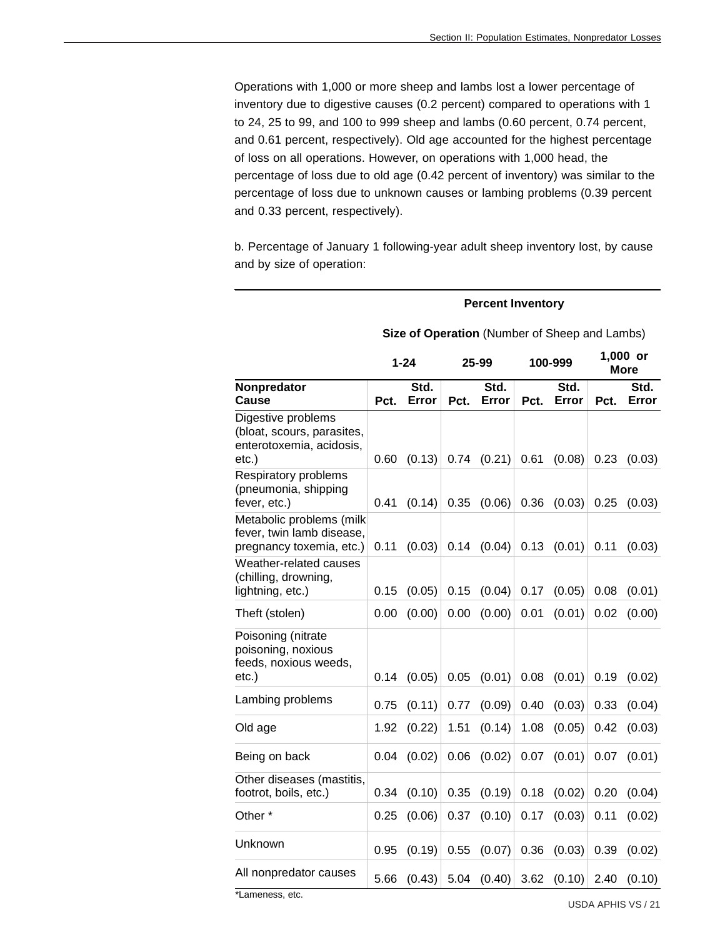Operations with 1,000 or more sheep and lambs lost a lower percentage of inventory due to digestive causes (0.2 percent) compared to operations with 1 to 24, 25 to 99, and 100 to 999 sheep and lambs (0.60 percent, 0.74 percent, and 0.61 percent, respectively). Old age accounted for the highest percentage of loss on all operations. However, on operations with 1,000 head, the percentage of loss due to old age (0.42 percent of inventory) was similar to the percentage of loss due to unknown causes or lambing problems (0.39 percent and 0.33 percent, respectively).

b. Percentage of January 1 following-year adult sheep inventory lost, by cause and by size of operation:

#### **Percent Inventory**

|                                                                                       |      | $1 - 24$      |      | 25-99         | 100-999 |               | 1,000 or<br><b>More</b> |               |
|---------------------------------------------------------------------------------------|------|---------------|------|---------------|---------|---------------|-------------------------|---------------|
| Nonpredator<br>Cause                                                                  | Pct. | Std.<br>Error | Pct. | Std.<br>Error | Pct.    | Std.<br>Error | Pct.                    | Std.<br>Error |
| Digestive problems<br>(bloat, scours, parasites,<br>enterotoxemia, acidosis,<br>etc.) | 0.60 | (0.13)        | 0.74 | (0.21)        | 0.61    | (0.08)        | 0.23                    | (0.03)        |
| Respiratory problems<br>(pneumonia, shipping<br>fever, etc.)                          | 0.41 | (0.14)        | 0.35 | (0.06)        | 0.36    | (0.03)        | 0.25                    | (0.03)        |
| Metabolic problems (milk<br>fever, twin lamb disease,<br>pregnancy toxemia, etc.)     | 0.11 | (0.03)        | 0.14 | (0.04)        | 0.13    | (0.01)        | 0.11                    | (0.03)        |
| Weather-related causes<br>(chilling, drowning,<br>lightning, etc.)                    | 0.15 | (0.05)        | 0.15 | (0.04)        | 0.17    | (0.05)        | 0.08                    | (0.01)        |
| Theft (stolen)                                                                        | 0.00 | (0.00)        | 0.00 | (0.00)        | 0.01    | (0.01)        | 0.02                    | (0.00)        |
| Poisoning (nitrate<br>poisoning, noxious<br>feeds, noxious weeds,<br>etc.)            | 0.14 | (0.05)        | 0.05 | (0.01)        | 0.08    | (0.01)        | 0.19                    | (0.02)        |
| Lambing problems                                                                      | 0.75 | (0.11)        | 0.77 | (0.09)        | 0.40    | (0.03)        | 0.33                    | (0.04)        |
| Old age                                                                               | 1.92 | (0.22)        | 1.51 | (0.14)        | 1.08    | (0.05)        | 0.42                    | (0.03)        |
| Being on back                                                                         | 0.04 | (0.02)        | 0.06 | (0.02)        | 0.07    | (0.01)        | 0.07                    | (0.01)        |
| Other diseases (mastitis,<br>footrot, boils, etc.)                                    | 0.34 | (0.10)        | 0.35 | (0.19)        | 0.18    | (0.02)        | 0.20                    | (0.04)        |
| Other <sup>*</sup>                                                                    | 0.25 | (0.06)        | 0.37 | (0.10)        | 0.17    | (0.03)        | 0.11                    | (0.02)        |
| Unknown                                                                               | 0.95 | (0.19)        | 0.55 | (0.07)        | 0.36    | (0.03)        | 0.39                    | (0.02)        |
| All nonpredator causes<br>$+1$                                                        | 5.66 | (0.43)        | 5.04 | (0.40)        | 3.62    | (0.10)        | 2.40                    | (0.10)        |

#### **Size of Operation** (Number of Sheep and Lambs)

\*Lameness, etc.

USDA APHIS VS / 21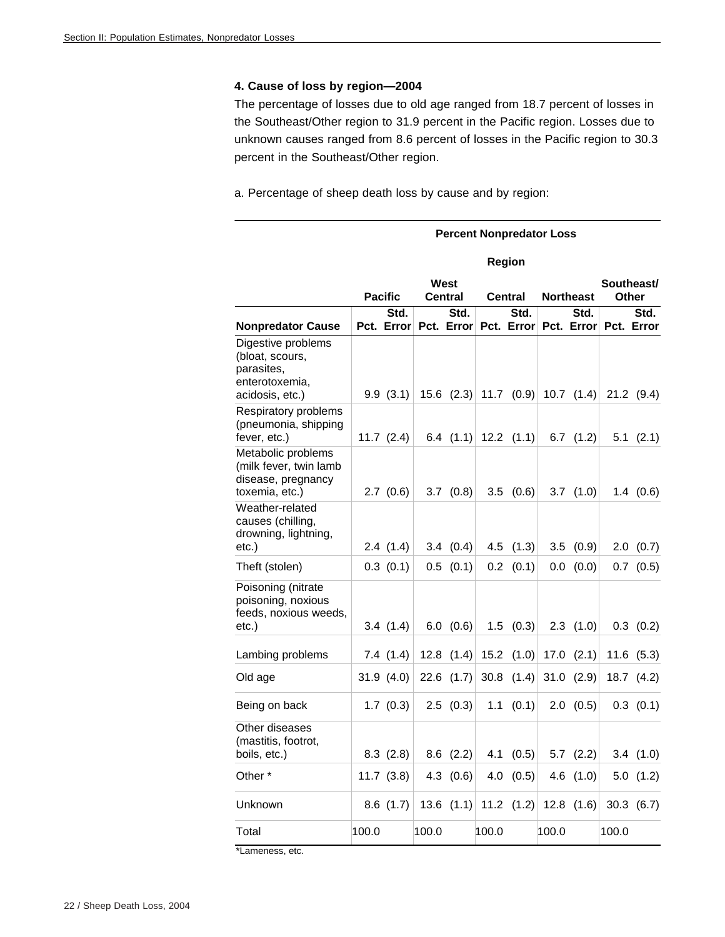#### **4. Cause of loss by region—2004**

The percentage of losses due to old age ranged from 18.7 percent of losses in the Southeast/Other region to 31.9 percent in the Pacific region. Losses due to unknown causes ranged from 8.6 percent of losses in the Pacific region to 30.3 percent in the Southeast/Other region.

a. Percentage of sheep death loss by cause and by region:

|                                                                                          |       |                    |       |                        |       | <b>Percent Nonpredator Loss</b> |         |                                                 |                                                     |                |
|------------------------------------------------------------------------------------------|-------|--------------------|-------|------------------------|-------|---------------------------------|---------|-------------------------------------------------|-----------------------------------------------------|----------------|
|                                                                                          |       |                    |       |                        |       | Region                          |         |                                                 |                                                     |                |
|                                                                                          |       | <b>Pacific</b>     |       | West<br><b>Central</b> |       | <b>Central</b>                  |         | <b>Northeast</b>                                | <b>Other</b>                                        | Southeast/     |
| <b>Nonpredator Cause</b>                                                                 |       | Std.<br>Pct. Error |       | Std.                   |       | Std.<br>Pct. Error Pct. Error   |         | Std.                                            | Pct. Error Pct. Error                               | Std.           |
| Digestive problems<br>(bloat, scours,<br>parasites,<br>enterotoxemia,<br>acidosis, etc.) |       | 9.9(3.1)           |       |                        |       |                                 |         | 15.6 $(2.3)$ 11.7 $(0.9)$ 10.7 $(1.4)$          |                                                     | $21.2$ (9.4)   |
| Respiratory problems<br>(pneumonia, shipping<br>fever, etc.)                             |       | $11.7$ $(2.4)$     |       |                        |       |                                 |         | 6.4 $(1.1)$ 12.2 $(1.1)$ 6.7 $(1.2)$            |                                                     | $5.1$ $(2.1)$  |
| Metabolic problems<br>(milk fever, twin lamb<br>disease, pregnancy<br>toxemia, etc.)     |       | 2.7(0.6)           |       | 3.7 $(0.8)$            |       | 3.5 $(0.6)$                     |         | 3.7 $(1.0)$                                     |                                                     | 1.4(0.6)       |
| Weather-related<br>causes (chilling,<br>drowning, lightning,<br>etc.)                    |       | 2.4(1.4)           |       | 3.4 $(0.4)$            |       | 4.5 $(1.3)$                     | 3.5     | (0.9)                                           |                                                     | 2.0(0.7)       |
| Theft (stolen)                                                                           |       | 0.3(0.1)           | 0.5   | (0.1)                  |       | $0.2$ $(0.1)$                   | $0.0\,$ | (0.0)                                           |                                                     | $0.7$ $(0.5)$  |
| Poisoning (nitrate<br>poisoning, noxious<br>feeds, noxious weeds,<br>$etc.$ )            |       | 3.4(1.4)           |       | 6.0 $(0.6)$            |       | $1.5$ $(0.3)$                   |         | $2.3$ $(1.0)$                                   |                                                     | $0.3$ $(0.2)$  |
| Lambing problems                                                                         |       | 7.4(1.4)           |       |                        |       | 12.8 $(1.4)$ 15.2 $(1.0)$       |         | 17.0 $(2.1)$                                    |                                                     | $11.6$ $(5.3)$ |
| Old age                                                                                  |       | 31.9(4.0)          |       | $22.6$ $(1.7)$         |       | 30.8 $(1.4)$                    |         | 31.0 $(2.9)$                                    |                                                     | 18.7 $(4.2)$   |
| Being on back                                                                            |       | 1.7(0.3)           |       | $2.5$ (0.3)            | 1.1   |                                 |         | $(0.1)$ 2.0 $(0.5)$                             |                                                     | $0.3$ $(0.1)$  |
| Other diseases<br>(mastitis, footrot,<br>boils, etc.)                                    |       |                    |       |                        |       |                                 |         | 8.3 $(2.8)$ 8.6 $(2.2)$ 4.1 $(0.5)$ 5.7 $(2.2)$ |                                                     | 3.4(1.0)       |
| Other*                                                                                   |       | 11.7 $(3.8)$       |       | 4.3 $(0.6)$            |       |                                 |         | 4.0 $(0.5)$ 4.6 $(1.0)$                         |                                                     | 5.0(1.2)       |
| Unknown                                                                                  |       | $8.6$ (1.7)        |       |                        |       |                                 |         |                                                 | 13.6 $(1.1)$ 11.2 $(1.2)$ 12.8 $(1.6)$ 30.3 $(6.7)$ |                |
| Total                                                                                    | 100.0 |                    | 100.0 |                        | 100.0 |                                 | 100.0   |                                                 | 100.0                                               |                |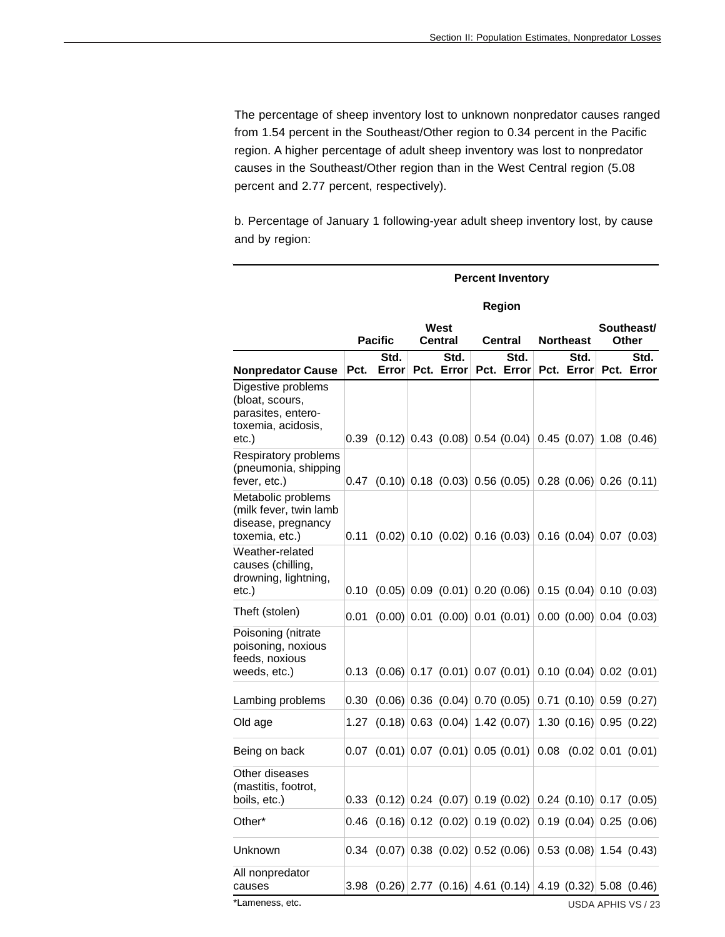The percentage of sheep inventory lost to unknown nonpredator causes ranged from 1.54 percent in the Southeast/Other region to 0.34 percent in the Pacific region. A higher percentage of adult sheep inventory was lost to nonpredator causes in the Southeast/Other region than in the West Central region (5.08 percent and 2.77 percent, respectively).

b. Percentage of January 1 following-year adult sheep inventory lost, by cause and by region:

|                                                                                            |      | <b>Percent Inventory</b>                                                         |  |                                                                  |  |                               |  |                  |  |                                                                       |  |  |
|--------------------------------------------------------------------------------------------|------|----------------------------------------------------------------------------------|--|------------------------------------------------------------------|--|-------------------------------|--|------------------|--|-----------------------------------------------------------------------|--|--|
|                                                                                            |      |                                                                                  |  |                                                                  |  | <b>Region</b>                 |  |                  |  |                                                                       |  |  |
|                                                                                            |      |                                                                                  |  | West                                                             |  |                               |  |                  |  | Southeast/                                                            |  |  |
|                                                                                            |      | <b>Pacific</b>                                                                   |  | <b>Central</b>                                                   |  | Central                       |  | <b>Northeast</b> |  | <b>Other</b>                                                          |  |  |
| <b>Nonpredator Cause</b>                                                                   | Pct. | Std.<br>Error                                                                    |  | Std.<br>Pct. Error                                               |  | Std.<br>Pct. Error Pct. Error |  | Std.             |  | Std.<br>Pct. Error                                                    |  |  |
| Digestive problems<br>(bloat, scours,<br>parasites, entero-<br>toxemia, acidosis,<br>etc.) |      | $0.39$ (0.12) 0.43 (0.08) 0.54 (0.04) 0.45 (0.07) 1.08 (0.46)                    |  |                                                                  |  |                               |  |                  |  |                                                                       |  |  |
| Respiratory problems<br>(pneumonia, shipping<br>fever, etc.)                               |      | $0.47$ (0.10) 0.18 (0.03) 0.56 (0.05) 0.28 (0.06) 0.26 (0.11)                    |  |                                                                  |  |                               |  |                  |  |                                                                       |  |  |
| Metabolic problems<br>(milk fever, twin lamb<br>disease, pregnancy<br>toxemia, etc.)       | 0.11 |                                                                                  |  | $(0.02)$ 0.10 $(0.02)$ 0.16 $(0.03)$ 0.16 $(0.04)$ 0.07 $(0.03)$ |  |                               |  |                  |  |                                                                       |  |  |
| Weather-related<br>causes (chilling,<br>drowning, lightning,<br>etc.)                      |      | $0.10$ (0.05) 0.09 (0.01) 0.20 (0.06) 0.15 (0.04) 0.10 (0.03)                    |  |                                                                  |  |                               |  |                  |  |                                                                       |  |  |
| Theft (stolen)                                                                             | 0.01 |                                                                                  |  | $(0.00)$ 0.01 $(0.00)$ 0.01 $(0.01)$ 0.00 $(0.00)$ 0.04 $(0.03)$ |  |                               |  |                  |  |                                                                       |  |  |
| Poisoning (nitrate<br>poisoning, noxious<br>feeds, noxious<br>weeds, etc.)                 | 0.13 |                                                                                  |  | $(0.06)$ 0.17 $(0.01)$ 0.07 $(0.01)$ 0.10 $(0.04)$ 0.02 $(0.01)$ |  |                               |  |                  |  |                                                                       |  |  |
| Lambing problems                                                                           | 0.30 |                                                                                  |  | $(0.06)$ 0.36 $(0.04)$ 0.70 $(0.05)$ 0.71 $(0.10)$ 0.59 $(0.27)$ |  |                               |  |                  |  |                                                                       |  |  |
| Old age                                                                                    |      | 1.27 $(0.18)$ 0.63 $(0.04)$ 1.42 $(0.07)$ 1.30 $(0.16)$ 0.95 $(0.22)$            |  |                                                                  |  |                               |  |                  |  |                                                                       |  |  |
| Being on back                                                                              |      | $[0.07 \ (0.01) \ 0.07 \ (0.01) \ 0.05 \ (0.01) \ 0.08 \ (0.02 \ 0.01 \ (0.01))$ |  |                                                                  |  |                               |  |                  |  |                                                                       |  |  |
| Other diseases<br>(mastitis, footrot,<br>boils, etc.)                                      |      |                                                                                  |  |                                                                  |  |                               |  |                  |  | 0.33 $(0.12)$ 0.24 $(0.07)$ 0.19 $(0.02)$ 0.24 $(0.10)$ 0.17 $(0.05)$ |  |  |
| Other*                                                                                     |      | 0.46 $(0.16)$ 0.12 $(0.02)$ 0.19 $(0.02)$ 0.19 $(0.04)$ 0.25 $(0.06)$            |  |                                                                  |  |                               |  |                  |  |                                                                       |  |  |
| Unknown                                                                                    |      | $0.34$ (0.07) 0.38 (0.02) 0.52 (0.06) 0.53 (0.08) 1.54 (0.43)                    |  |                                                                  |  |                               |  |                  |  |                                                                       |  |  |
| All nonpredator<br>causes                                                                  | 3.98 |                                                                                  |  | $(0.26)$ 2.77 $(0.16)$ 4.61 $(0.14)$ 4.19 $(0.32)$ 5.08 $(0.46)$ |  |                               |  |                  |  |                                                                       |  |  |
| *Lameness, etc.                                                                            |      |                                                                                  |  |                                                                  |  |                               |  |                  |  | USDA APHIS VS / 23                                                    |  |  |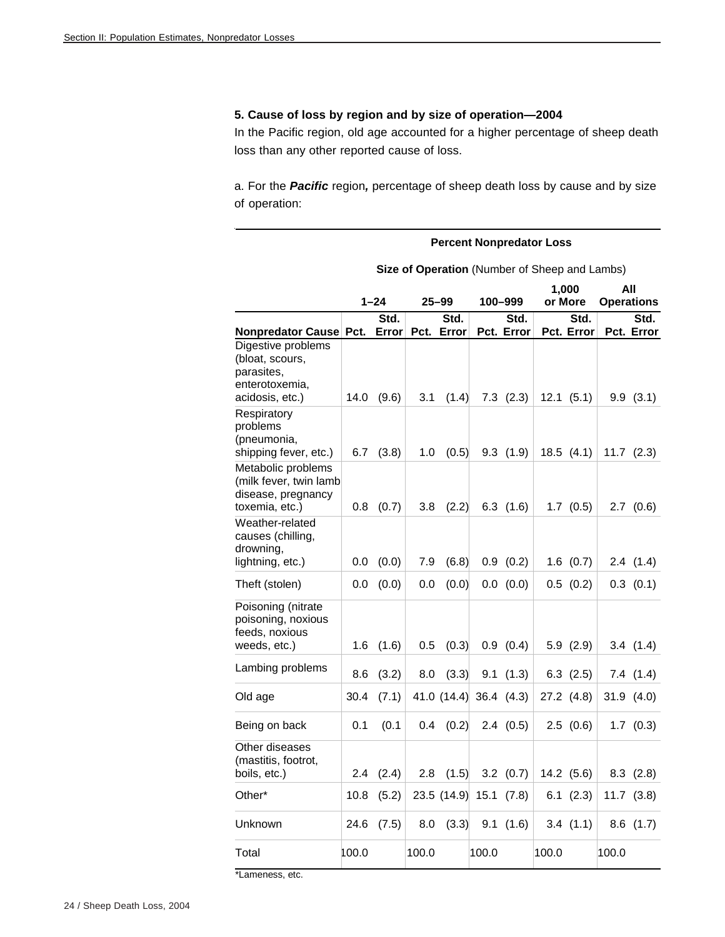# **5. Cause of loss by region and by size of operation—2004**

In the Pacific region, old age accounted for a higher percentage of sheep death loss than any other reported cause of loss.

a. For the *Pacific* region*,* percentage of sheep death loss by cause and by size of operation:

|                                                                                          | <b>Percent Nonpredator Loss</b> |               |       |                                               |       |                    |       |                    |       |                    |
|------------------------------------------------------------------------------------------|---------------------------------|---------------|-------|-----------------------------------------------|-------|--------------------|-------|--------------------|-------|--------------------|
|                                                                                          |                                 |               |       | Size of Operation (Number of Sheep and Lambs) |       |                    |       |                    |       |                    |
|                                                                                          |                                 |               |       |                                               |       |                    |       | 1,000              |       | All                |
|                                                                                          |                                 | $1 - 24$      |       | $25 - 99$                                     |       | 100-999            |       | or More            |       | <b>Operations</b>  |
| Nonpredator Cause Pct.                                                                   |                                 | Std.<br>Error |       | Std.<br>Pct. Error                            |       | Std.<br>Pct. Error |       | Std.<br>Pct. Error |       | Std.<br>Pct. Error |
| Digestive problems<br>(bloat, scours,<br>parasites,<br>enterotoxemia,<br>acidosis, etc.) | 14.0                            | (9.6)         | 3.1   | (1.4)                                         |       | $7.3$ $(2.3)$      |       | 12.1(5.1)          |       | 9.9(3.1)           |
| Respiratory<br>problems<br>(pneumonia,<br>shipping fever, etc.)                          | 6.7                             | (3.8)         | 1.0   | (0.5)                                         |       | 9.3(1.9)           |       | 18.5(4.1)          | 11.7  | (2.3)              |
| Metabolic problems<br>(milk fever, twin lamb<br>disease, pregnancy<br>toxemia, etc.)     | 0.8                             | (0.7)         | 3.8   | (2.2)                                         |       | $6.3$ $(1.6)$      |       | $1.7$ $(0.5)$      | 2.7   | (0.6)              |
| Weather-related<br>causes (chilling,<br>drowning,<br>lightning, etc.)                    | 0.0                             | (0.0)         | 7.9   | (6.8)                                         |       | 0.9(0.2)           |       | $1.6$ $(0.7)$      |       | 2.4(1.4)           |
| Theft (stolen)                                                                           | 0.0                             | (0.0)         | 0.0   | (0.0)                                         |       | 0.0 (0.0)          |       | 0.5(0.2)           |       | $0.3$ $(0.1)$      |
| Poisoning (nitrate<br>poisoning, noxious<br>feeds, noxious<br>weeds, etc.)               | 1.6                             | (1.6)         | 0.5   | (0.3)                                         |       | 0.9(0.4)           |       | 5.9(2.9)           |       | 3.4(1.4)           |
| Lambing problems                                                                         | 8.6                             | (3.2)         | 8.0   | (3.3)                                         | 9.1   | (1.3)              |       | $6.3$ $(2.5)$      |       | 7.4(1.4)           |
| Old age                                                                                  | 30.4                            | (7.1)         |       | 41.0 $(14.4)$ 36.4 $(4.3)$                    |       |                    |       | 27.2 (4.8)         |       | 31.9(4.0)          |
| Being on back                                                                            | 0.1                             | (0.1)         | 0.4   | (0.2)                                         |       | 2.4(0.5)           |       | 2.5(0.6)           |       | $1.7$ $(0.3)$      |
| Other diseases<br>(mastitis, footrot,<br>boils, etc.)                                    | 2.4                             | (2.4)         | 2.8   | (1.5)                                         |       | $3.2$ $(0.7)$      |       | 14.2 (5.6)         |       | $8.3$ $(2.8)$      |
| Other*                                                                                   | 10.8                            | (5.2)         |       | $23.5$ (14.9) 15.1 (7.8)                      |       |                    |       | 6.1(2.3)           |       | $11.7$ $(3.8)$     |
| Unknown                                                                                  | 24.6                            | (7.5)         | 8.0   | (3.3)                                         |       | 9.1(1.6)           |       | 3.4(1.1)           |       | $8.6$ $(1.7)$      |
| Total                                                                                    | 100.0                           |               | 100.0 |                                               | 100.0 |                    | 100.0 |                    | 100.0 |                    |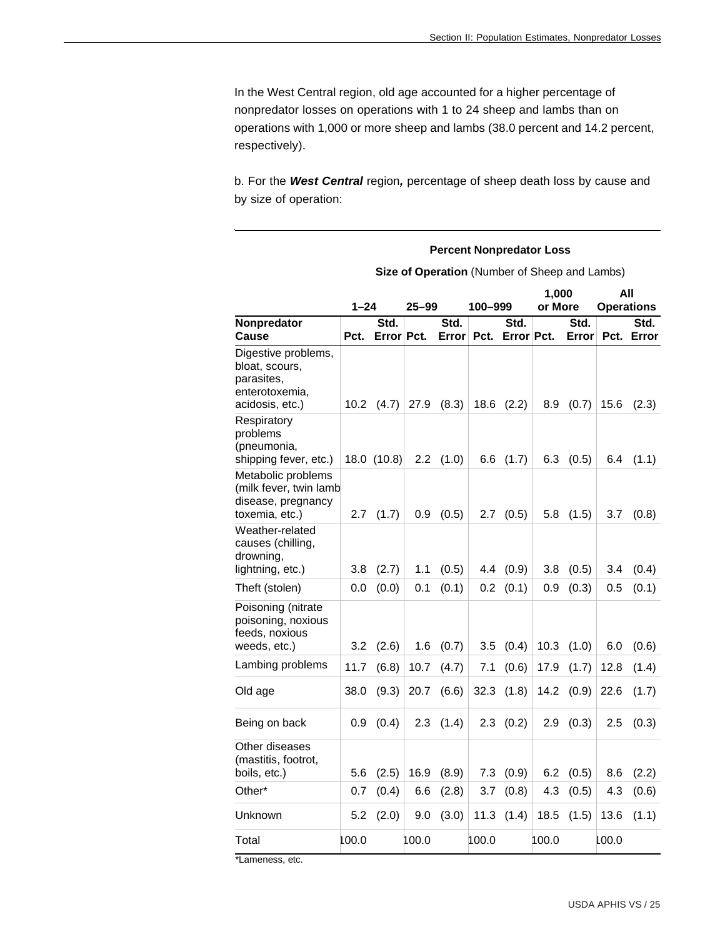In the West Central region, old age accounted for a higher percentage of nonpredator losses on operations with 1 to 24 sheep and lambs than on operations with 1,000 or more sheep and lambs (38.0 percent and 14.2 percent, respectively).

b. For the *West Central* region*,* percentage of sheep death loss by cause and by size of operation:

**Percent Nonpredator Loss** 

|                                                                                          |          | Size of Operation (Number of Sheep and Lambs) |           |               |         |                    |                  |               |       |                          |  |  |
|------------------------------------------------------------------------------------------|----------|-----------------------------------------------|-----------|---------------|---------|--------------------|------------------|---------------|-------|--------------------------|--|--|
|                                                                                          | $1 - 24$ |                                               | $25 - 99$ |               | 100–999 |                    | 1.000<br>or More |               |       | All<br><b>Operations</b> |  |  |
| Nonpredator<br>Cause                                                                     | Pct.     | Std.<br>Error Pct.                            |           | Std.<br>Error | Pct.    | Std.<br>Error Pct. |                  | Std.<br>Error |       | Std.<br>Pct. Error       |  |  |
| Digestive problems,<br>bloat, scours,<br>parasites,<br>enterotoxemia,<br>acidosis, etc.) | 10.2     | (4.7)                                         | 27.9      | (8.3)         | 18.6    | (2.2)              | 8.9              | (0.7)         | 15.6  | (2.3)                    |  |  |
| Respiratory<br>problems<br>(pneumonia,<br>shipping fever, etc.)                          |          | 18.0 (10.8)                                   | 2.2       | (1.0)         | 6.6     | (1.7)              | 6.3              | (0.5)         | 6.4   | (1.1)                    |  |  |
| Metabolic problems<br>(milk fever, twin lamb<br>disease, pregnancy<br>toxemia, etc.)     | 2.7      | (1.7)                                         | 0.9       | (0.5)         | 2.7     | (0.5)              | 5.8              | (1.5)         | 3.7   | (0.8)                    |  |  |
| Weather-related<br>causes (chilling,<br>drowning,<br>lightning, etc.)                    | 3.8      | (2.7)                                         | 1.1       | (0.5)         | 4.4     | (0.9)              | 3.8              | (0.5)         | 3.4   | (0.4)                    |  |  |
| Theft (stolen)                                                                           | 0.0      | (0.0)                                         | 0.1       | (0.1)         | 0.2     | (0.1)              | 0.9              | (0.3)         | 0.5   | (0.1)                    |  |  |
| Poisoning (nitrate<br>poisoning, noxious<br>feeds, noxious<br>weeds, etc.)               | 3.2      | (2.6)                                         | 1.6       | (0.7)         | $3.5\,$ | (0.4)              | 10.3             | (1.0)         | 6.0   | (0.6)                    |  |  |
| Lambing problems                                                                         | 11.7     | (6.8)                                         | 10.7      | (4.7)         | 7.1     | (0.6)              | 17.9             | (1.7)         | 12.8  | (1.4)                    |  |  |
| Old age                                                                                  | 38.0     | (9.3)                                         | 20.7      | (6.6)         | 32.3    | (1.8)              | 14.2             | (0.9)         | 22.6  | (1.7)                    |  |  |
| Being on back                                                                            | 0.9      | (0.4)                                         | 2.3       | (1.4)         | 2.3     | (0.2)              | 2.9              | (0.3)         | 2.5   | (0.3)                    |  |  |
| Other diseases<br>(mastitis, footrot,<br>boils, etc.)                                    | 5.6      | (2.5)                                         | 16.9      | (8.9)         | 7.3     | (0.9)              | 6.2              | (0.5)         | 8.6   | (2.2)                    |  |  |
| Other*                                                                                   | 0.7      | (0.4)                                         | 6.6       | (2.8)         | 3.7     | (0.8)              | 4.3              | (0.5)         | 4.3   | (0.6)                    |  |  |
| Unknown                                                                                  | 5.2      | (2.0)                                         | 9.0       | (3.0)         | 11.3    | (1.4)              | 18.5             | (1.5)         | 13.6  | (1.1)                    |  |  |
| Total                                                                                    | 100.0    |                                               | 100.0     |               | 100.0   |                    | 100.0            |               | 100.0 |                          |  |  |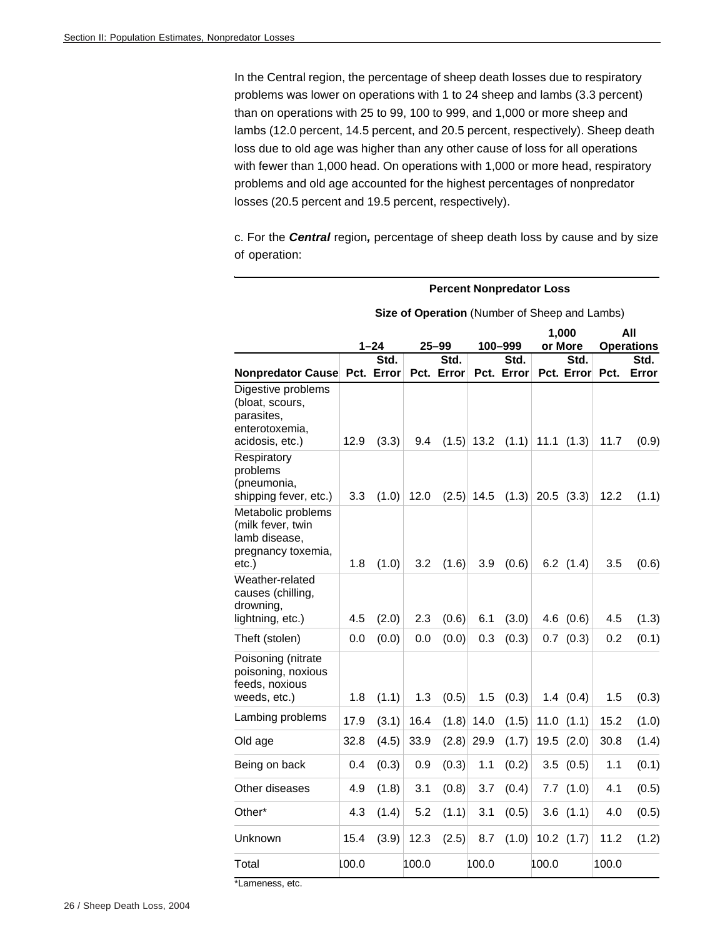In the Central region, the percentage of sheep death losses due to respiratory problems was lower on operations with 1 to 24 sheep and lambs (3.3 percent) than on operations with 25 to 99, 100 to 999, and 1,000 or more sheep and lambs (12.0 percent, 14.5 percent, and 20.5 percent, respectively). Sheep death loss due to old age was higher than any other cause of loss for all operations with fewer than 1,000 head. On operations with 1,000 or more head, respiratory problems and old age accounted for the highest percentages of nonpredator losses (20.5 percent and 19.5 percent, respectively).

c. For the *Central* region*,* percentage of sheep death loss by cause and by size of operation:

|                                                                                          |       |                  |       | Size of Operation (Number of Sheep and Lambs) |              |                 |       |                 |       |                           |
|------------------------------------------------------------------------------------------|-------|------------------|-------|-----------------------------------------------|--------------|-----------------|-------|-----------------|-------|---------------------------|
|                                                                                          |       |                  |       |                                               |              |                 |       | 1,000           |       | All                       |
|                                                                                          |       | $1 - 24$<br>Std. |       | 25–99<br>Std.                                 |              | 100-999<br>Std. |       | or More<br>Std. |       | <b>Operations</b><br>Std. |
| Nonpredator Cause Pct. Error                                                             |       |                  |       | Pct. Error                                    |              | Pct. Error      |       | Pct. Error      | Pct.  | Error                     |
| Digestive problems<br>(bloat, scours,<br>parasites,<br>enterotoxemia,<br>acidosis, etc.) | 12.9  | (3.3)            | 9.4   |                                               | $(1.5)$ 13.2 | (1.1)           | 11.1  | (1.3)           | 11.7  | (0.9)                     |
| Respiratory<br>problems<br>(pneumonia,<br>shipping fever, etc.)                          | 3.3   | (1.0)            | 12.0  | (2.5)                                         | 14.5         | (1.3)           |       | $20.5$ $(3.3)$  | 12.2  | (1.1)                     |
| Metabolic problems<br>(milk fever, twin<br>lamb disease,<br>pregnancy toxemia,<br>etc.)  | 1.8   | (1.0)            | 3.2   | (1.6)                                         | 3.9          | (0.6)           |       | $6.2$ $(1.4)$   | 3.5   | (0.6)                     |
| Weather-related<br>causes (chilling,<br>drowning,<br>lightning, etc.)                    | 4.5   | (2.0)            | 2.3   | (0.6)                                         | 6.1          | (3.0)           |       | $4.6$ $(0.6)$   | 4.5   | (1.3)                     |
| Theft (stolen)                                                                           | 0.0   | (0.0)            | 0.0   | (0.0)                                         | 0.3          | (0.3)           | 0.7   | (0.3)           | 0.2   | (0.1)                     |
| Poisoning (nitrate<br>poisoning, noxious<br>feeds, noxious<br>weeds, etc.)               | 1.8   | (1.1)            | 1.3   | (0.5)                                         | 1.5          | (0.3)           |       | 1.4(0.4)        | 1.5   | (0.3)                     |
| Lambing problems                                                                         | 17.9  | (3.1)            | 16.4  | (1.8)                                         | 14.0         | (1.5)           |       | $11.0$ $(1.1)$  | 15.2  | (1.0)                     |
| Old age                                                                                  | 32.8  | (4.5)            | 33.9  | (2.8)                                         | 29.9         | (1.7)           | 19.5  | (2.0)           | 30.8  | (1.4)                     |
| Being on back                                                                            | 0.4   | (0.3)            | 0.9   | (0.3)                                         | 1.1          | (0.2)           |       | 3.5(0.5)        | 1.1   | (0.1)                     |
| Other diseases                                                                           | 4.9   | (1.8)            | 3.1   | (0.8)                                         | 3.7          | (0.4)           |       | $7.7$ $(1.0)$   | 4.1   | (0.5)                     |
| Other*                                                                                   | 4.3   | (1.4)            | 5.2   | (1.1)                                         | 3.1          | (0.5)           | 3.6   | (1.1)           | 4.0   | (0.5)                     |
| Unknown                                                                                  | 15.4  | (3.9)            | 12.3  | (2.5)                                         | 8.7          | (1.0)           |       | $10.2$ $(1.7)$  | 11.2  | (1.2)                     |
| Total                                                                                    | 100.0 |                  | 100.0 |                                               | 100.0        |                 | 100.0 |                 | 100.0 |                           |

#### **Size of Operation** (Number of Sheep and Lambs)

**Percent Nonpredator Loss**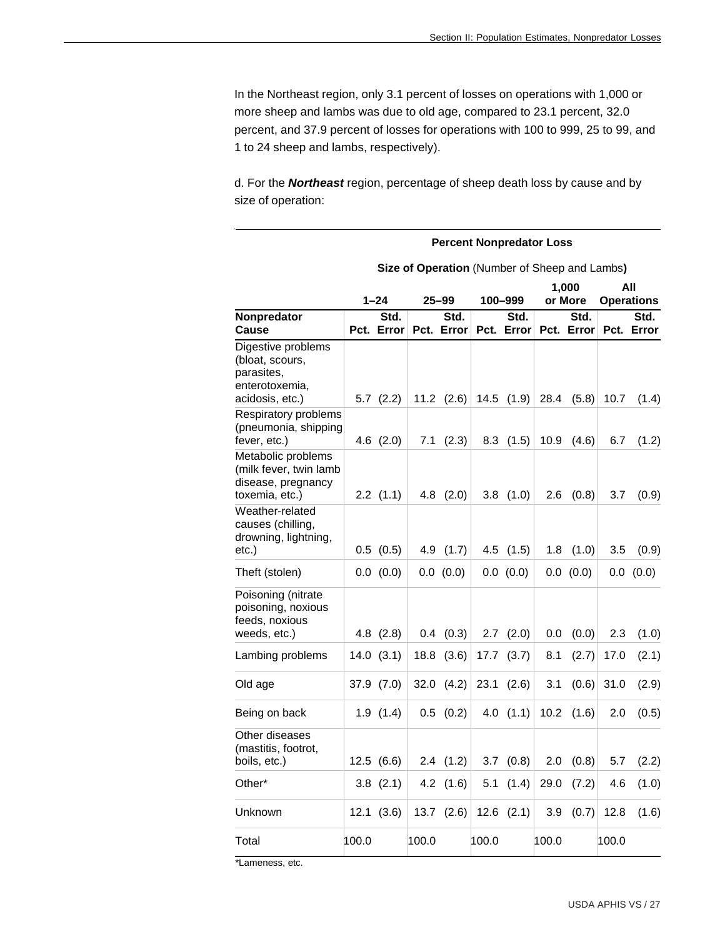In the Northeast region, only 3.1 percent of losses on operations with 1,000 or more sheep and lambs was due to old age, compared to 23.1 percent, 32.0 percent, and 37.9 percent of losses for operations with 100 to 999, 25 to 99, and 1 to 24 sheep and lambs, respectively).

d. For the *Northeast* region, percentage of sheep death loss by cause and by size of operation:

|                                                                                          |       | <b>Percent Nonpredator Loss</b> |       |                    |       |                    |       |                                               |       |                    |  |  |  |
|------------------------------------------------------------------------------------------|-------|---------------------------------|-------|--------------------|-------|--------------------|-------|-----------------------------------------------|-------|--------------------|--|--|--|
|                                                                                          |       |                                 |       |                    |       |                    |       | Size of Operation (Number of Sheep and Lambs) |       |                    |  |  |  |
|                                                                                          |       |                                 |       |                    |       |                    |       | 1,000                                         |       | All                |  |  |  |
|                                                                                          |       | $1 - 24$                        |       | $25 - 99$          |       | 100-999            |       | or More                                       |       | <b>Operations</b>  |  |  |  |
| Nonpredator<br>Cause                                                                     |       | Std.<br>Pct. Error              |       | Std.<br>Pct. Error |       | Std.<br>Pct. Error |       | Std.<br>Pct. Error                            |       | Std.<br>Pct. Error |  |  |  |
| Digestive problems<br>(bloat, scours,<br>parasites,<br>enterotoxemia,<br>acidosis, etc.) |       | $5.7$ $(2.2)$                   |       | $11.2$ $(2.6)$     |       | $14.5$ $(1.9)$     | 28.4  | (5.8)                                         | 10.7  | (1.4)              |  |  |  |
| Respiratory problems<br>(pneumonia, shipping<br>fever, etc.)                             |       | $4.6$ $(2.0)$                   | 7.1   | (2.3)              | 8.3   | (1.5)              | 10.9  | (4.6)                                         | 6.7   | (1.2)              |  |  |  |
| Metabolic problems<br>(milk fever, twin lamb<br>disease, pregnancy<br>toxemia, etc.)     |       | $2.2$ $(1.1)$                   |       | $4.8$ $(2.0)$      |       | $3.8$ $(1.0)$      | 2.6   | (0.8)                                         | 3.7   | (0.9)              |  |  |  |
| Weather-related<br>causes (chilling,<br>drowning, lightning,<br>$etc.$ )                 |       | $0.5$ $(0.5)$                   | 4.9   | (1.7)              |       | $4.5$ $(1.5)$      | 1.8   | (1.0)                                         | 3.5   | (0.9)              |  |  |  |
| Theft (stolen)                                                                           |       | 0.0 (0.0)                       |       | 0.0 (0.0)          |       | 0.0 (0.0)          |       | 0.0 (0.0)                                     |       | 0.0 (0.0)          |  |  |  |
| Poisoning (nitrate<br>poisoning, noxious<br>feeds, noxious<br>weeds, etc.)               |       | $4.8$ $(2.8)$                   |       | $0.4$ $(0.3)$      | 2.7   | (2.0)              | 0.0   | (0.0)                                         | 2.3   | (1.0)              |  |  |  |
| Lambing problems                                                                         |       | $14.0$ $(3.1)$                  | 18.8  | (3.6)              | 17.7  | (3.7)              | 8.1   | (2.7)                                         | 17.0  | (2.1)              |  |  |  |
| Old age                                                                                  |       | 37.9 (7.0)                      | 32.0  | (4.2)              | 23.1  | (2.6)              | 3.1   | (0.6)                                         | 31.0  | (2.9)              |  |  |  |
| Being on back                                                                            |       | 1.9(1.4)                        |       | $0.5$ $(0.2)$      | 4.0   | (1.1)              | 10.2  | (1.6)                                         | 2.0   | (0.5)              |  |  |  |
| Other diseases<br>(mastitis, footrot,<br>boils, etc.)                                    |       | 12.5(6.6)                       |       | 2.4(1.2)           | 3.7   | (0.8)              | 2.0   | (0.8)                                         | 5.7   | (2.2)              |  |  |  |
| Other*                                                                                   |       | $3.8$ $(2.1)$                   |       | 4.2 $(1.6)$        |       | 5.1 $(1.4)$        | 29.0  | (7.2)                                         | 4.6   | (1.0)              |  |  |  |
| Unknown                                                                                  |       | 12.1(3.6)                       |       | 13.7 $(2.6)$       |       | $12.6$ $(2.1)$     | 3.9   | (0.7)                                         | 12.8  | (1.6)              |  |  |  |
| Total                                                                                    | 100.0 |                                 | 100.0 |                    | 100.0 |                    | 100.0 |                                               | 100.0 |                    |  |  |  |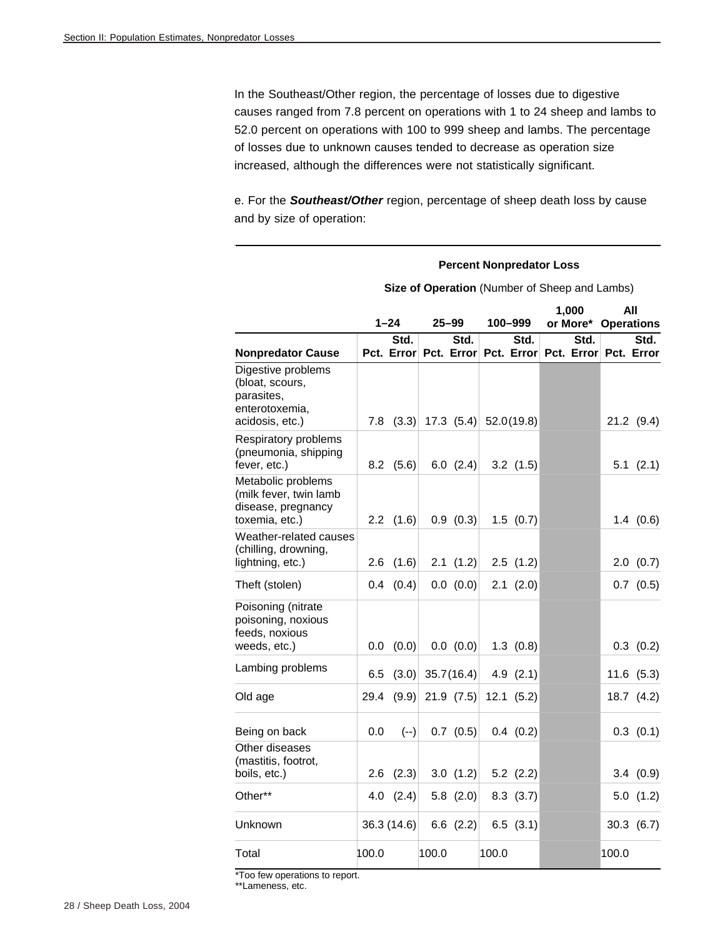In the Southeast/Other region, the percentage of losses due to digestive causes ranged from 7.8 percent on operations with 1 to 24 sheep and lambs to 52.0 percent on operations with 100 to 999 sheep and lambs. The percentage of losses due to unknown causes tended to decrease as operation size increased, although the differences were not statistically significant.

e. For the *Southeast/Other* region, percentage of sheep death loss by cause and by size of operation:

#### **Percent Nonpredator Loss Size of Operation** (Number of Sheep and Lambs) **1–24 25–99 100–999 1,000 or More\* Operations All Nonpredator Cause Std. Error Pct. Error Pct. Error Pct. Error Pct. Error Std. Std. Std. Std.**  Digestive problems (bloat, scours, parasites, enterotoxemia, acidosis, etc.) 7.8 (3.3) 17.3 (5.4) 52.0 (19.8) 21.2 (9.4) Respiratory problems (pneumonia, shipping fever, etc.) 8.2 (5.6) 6.0 (2.4) 3.2 (1.5) 5.1 (2.1) Metabolic problems (milk fever, twin lamb disease, pregnancy toxemia, etc.) 2.2 (1.6) 0.9 (0.3) 1.5 (0.7) 1.4 (0.6) Weather-related causes (chilling, drowning, lightning, etc.) 2.6 (1.6) 2.1 (1.2) 2.5 (1.2) 2.0 (0.7) Theft (stolen) 0.4 (0.4) 0.0 (0.0) 2.1 (2.0) 0.7 (0.5) Poisoning (nitrate poisoning, noxious feeds, noxious weeds, etc.)  $\vert$  0.0 (0.0) 0.0 (0.0) 1.3 (0.8) 0.3 (0.2) Lambing problems  $\begin{array}{|c|c|c|c|c|c|c|c|c|}\n\hline\n6.5 & (3.0) & 35.7 & (16.4) & 4.9 & (2.1) & (11.6 & (5.3) & (5.3)\n\end{array}$ Old age 29.4  $(9.9)$  21.9  $(7.5)$  12.1  $(5.2)$  18.7  $(4.2)$ Being on back  $| 0.0 (-)| 0.7 (0.5) | 0.4 (0.2)$  0.3 (0.1) Other diseases (mastitis, footrot, boils, etc.) 2.6 (2.3) 3.0 (1.2) 5.2 (2.2) 3.4 (0.9) Other\*\* 4.0 (2.4) 5.8 (2.0) 8.3 (3.7) 5.0 (1.2) Unknown 36.3 (14.6) 6.6 (2.2) 6.5 (3.1) 30.3 (6.7) Total 100.0 100.0 100.0 100.0

\*Too few operations to report.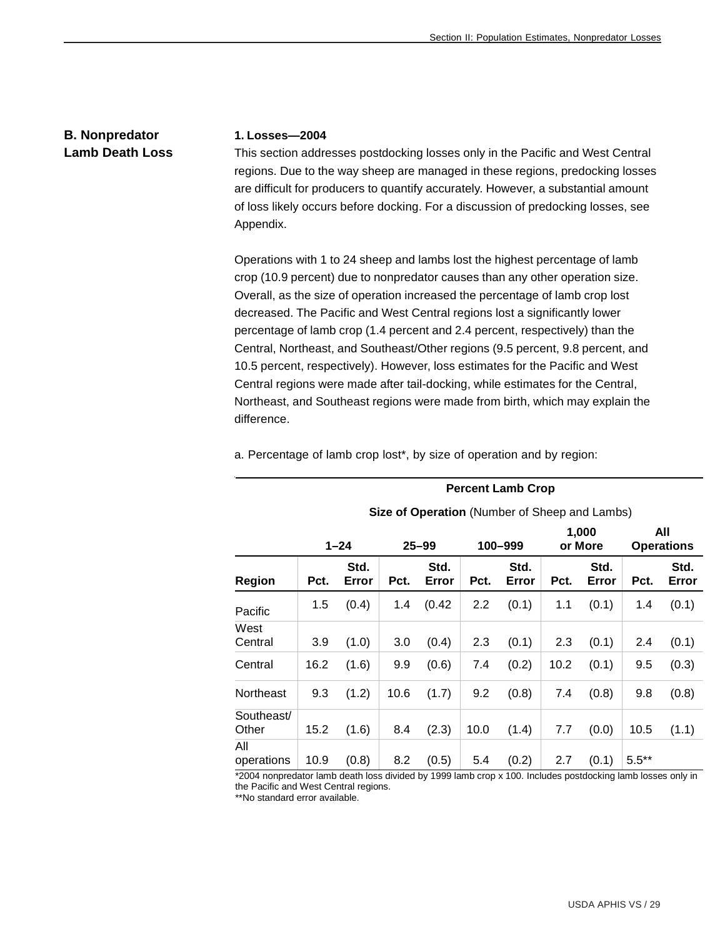# **B. Nonpredator Lamb Death Loss**

#### **1. Losses—2004**

This section addresses postdocking losses only in the Pacific and West Central regions. Due to the way sheep are managed in these regions, predocking losses are difficult for producers to quantify accurately. However, a substantial amount of loss likely occurs before docking. For a discussion of predocking losses, see Appendix.

Operations with 1 to 24 sheep and lambs lost the highest percentage of lamb crop (10.9 percent) due to nonpredator causes than any other operation size. Overall, as the size of operation increased the percentage of lamb crop lost decreased. The Pacific and West Central regions lost a significantly lower percentage of lamb crop (1.4 percent and 2.4 percent, respectively) than the Central, Northeast, and Southeast/Other regions (9.5 percent, 9.8 percent, and 10.5 percent, respectively). However, loss estimates for the Pacific and West Central regions were made after tail-docking, while estimates for the Central, Northeast, and Southeast regions were made from birth, which may explain the difference.

a. Percentage of lamb crop lost\*, by size of operation and by region:

|                     |      |               |      |               |      | Size of Operation (Number of Sheep and Lambs) |      |                  |                          |               |
|---------------------|------|---------------|------|---------------|------|-----------------------------------------------|------|------------------|--------------------------|---------------|
|                     |      | $1 - 24$      |      | $25 - 99$     |      | 100-999                                       |      | 1,000<br>or More | All<br><b>Operations</b> |               |
| Region              | Pct. | Std.<br>Error | Pct. | Std.<br>Error | Pct. | Std.<br>Error                                 | Pct. | Std.<br>Error    | Pct.                     | Std.<br>Error |
| Pacific             | 1.5  | (0.4)         | 1.4  | (0.42)        | 2.2  | (0.1)                                         | 1.1  | (0.1)            | 1.4                      | (0.1)         |
| West<br>Central     | 3.9  | (1.0)         | 3.0  | (0.4)         | 2.3  | (0.1)                                         | 2.3  | (0.1)            | 2.4                      | (0.1)         |
| Central             | 16.2 | (1.6)         | 9.9  | (0.6)         | 7.4  | (0.2)                                         | 10.2 | (0.1)            | 9.5                      | (0.3)         |
| Northeast           | 9.3  | (1.2)         | 10.6 | (1.7)         | 9.2  | (0.8)                                         | 7.4  | (0.8)            | 9.8                      | (0.8)         |
| Southeast/<br>Other | 15.2 | (1.6)         | 8.4  | (2.3)         | 10.0 | (1.4)                                         | 7.7  | (0.0)            | 10.5                     | (1.1)         |
| All<br>operations   | 10.9 | (0.8)         | 8.2  | (0.5)         | 5.4  | (0.2)                                         | 2.7  | (0.1)            | $5.5***$                 |               |

**Percent Lamb Crop Size of Operation** (Number of Sheep and Lambs)

\*2004 nonpredator lamb death loss divided by 1999 lamb crop x 100. Includes postdocking lamb losses only in the Pacific and West Central regions.

\*\*No standard error available.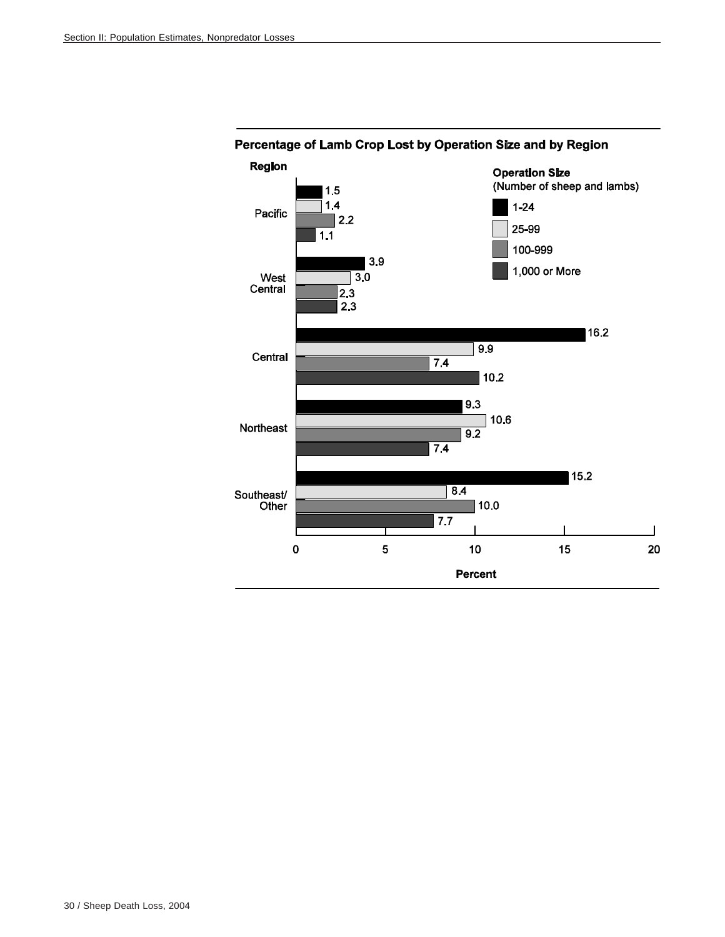

# Percentage of Lamb Crop Lost by Operation Size and by Region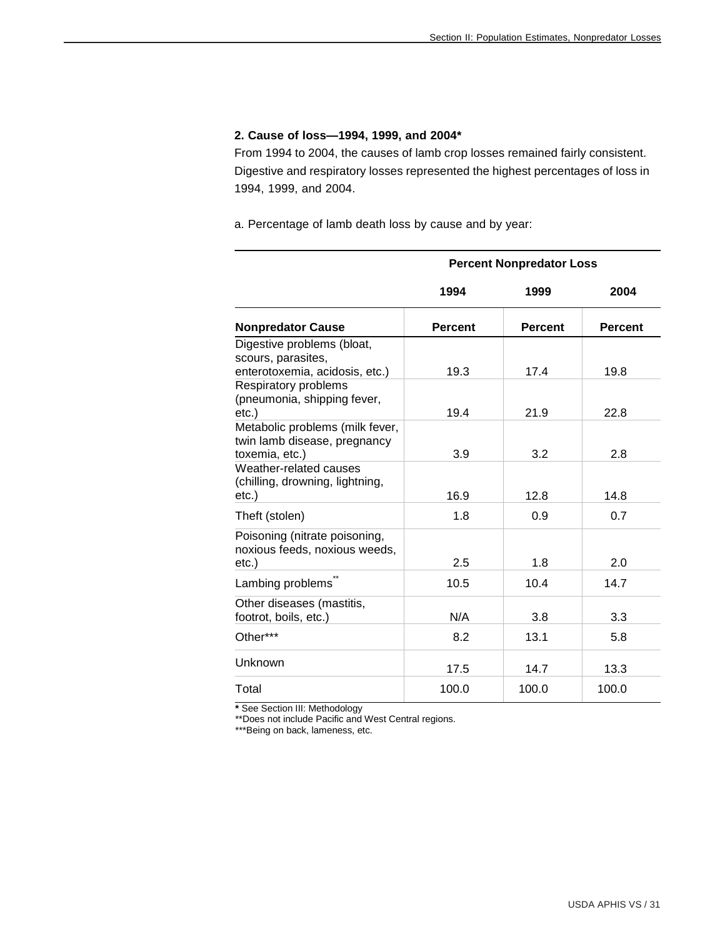#### **2. Cause of loss—1994, 1999, and 2004\***

From 1994 to 2004, the causes of lamb crop losses remained fairly consistent. Digestive and respiratory losses represented the highest percentages of loss in 1994, 1999, and 2004.

a. Percentage of lamb death loss by cause and by year:

|                                                                                   |                | <b>Percent Nonpredator Loss</b> |                |
|-----------------------------------------------------------------------------------|----------------|---------------------------------|----------------|
|                                                                                   | 1994           | 1999                            | 2004           |
| <b>Nonpredator Cause</b>                                                          | <b>Percent</b> | <b>Percent</b>                  | <b>Percent</b> |
| Digestive problems (bloat,<br>scours, parasites,                                  |                |                                 |                |
| enterotoxemia, acidosis, etc.)                                                    | 19.3           | 17.4                            | 19.8           |
| Respiratory problems<br>(pneumonia, shipping fever,<br>$etc.$ )                   | 19.4           | 21.9                            | 22.8           |
| Metabolic problems (milk fever,<br>twin lamb disease, pregnancy<br>toxemia, etc.) | 3.9            | 3.2                             | 2.8            |
| Weather-related causes<br>(chilling, drowning, lightning,<br>$etc.$ )             | 16.9           | 12.8                            | 14.8           |
| Theft (stolen)                                                                    | 1.8            | 0.9                             | 0.7            |
| Poisoning (nitrate poisoning,<br>noxious feeds, noxious weeds,<br>$etc.$ )        | 2.5            | 1.8                             | 2.0            |
| Lambing problems                                                                  | 10.5           | 10.4                            | 14.7           |
| Other diseases (mastitis,<br>footrot, boils, etc.)                                | N/A            | 3.8                             | 3.3            |
| Other***                                                                          | 8.2            | 13.1                            | 5.8            |
| Unknown                                                                           | 17.5           | 14.7                            | 13.3           |
| Total                                                                             | 100.0          | 100.0                           | 100.0          |

**\*** See Section III: Methodology

\*\*Does not include Pacific and West Central regions.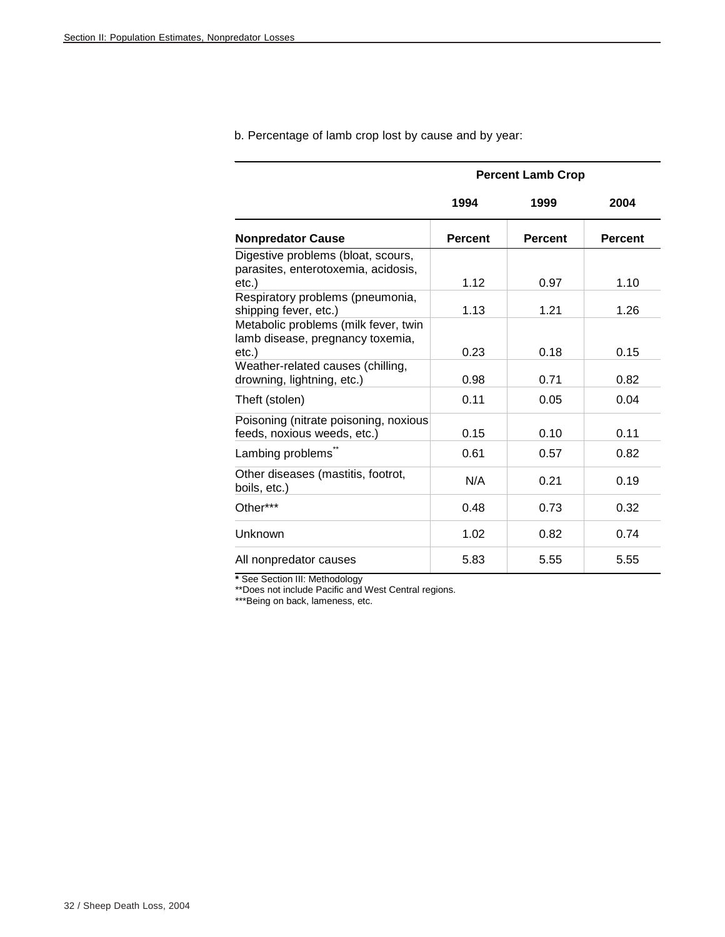|                                                                                       | <b>Percent Lamb Crop</b> |                |                |  |  |  |  |  |  |
|---------------------------------------------------------------------------------------|--------------------------|----------------|----------------|--|--|--|--|--|--|
|                                                                                       | 1994                     | 1999           | 2004           |  |  |  |  |  |  |
| <b>Nonpredator Cause</b>                                                              | <b>Percent</b>           | <b>Percent</b> | <b>Percent</b> |  |  |  |  |  |  |
| Digestive problems (bloat, scours,<br>parasites, enterotoxemia, acidosis,<br>$etc.$ ) | 1.12                     | 0.97           | 1.10           |  |  |  |  |  |  |
| Respiratory problems (pneumonia,<br>shipping fever, etc.)                             | 1.13                     | 1.21           | 1.26           |  |  |  |  |  |  |
| Metabolic problems (milk fever, twin<br>lamb disease, pregnancy toxemia,<br>$etc.$ )  | 0.23                     | 0.18           | 0.15           |  |  |  |  |  |  |
| Weather-related causes (chilling,<br>drowning, lightning, etc.)                       | 0.98                     | 0.71           | 0.82           |  |  |  |  |  |  |
| Theft (stolen)                                                                        | 0.11                     | 0.05           | 0.04           |  |  |  |  |  |  |
| Poisoning (nitrate poisoning, noxious<br>feeds, noxious weeds, etc.)                  | 0.15                     | 0.10           | 0.11           |  |  |  |  |  |  |
| Lambing problems                                                                      | 0.61                     | 0.57           | 0.82           |  |  |  |  |  |  |
| Other diseases (mastitis, footrot,<br>boils, etc.)                                    | N/A                      | 0.21           | 0.19           |  |  |  |  |  |  |
| Other***                                                                              | 0.48                     | 0.73           | 0.32           |  |  |  |  |  |  |
| Unknown                                                                               | 1.02                     | 0.82           | 0.74           |  |  |  |  |  |  |
| All nonpredator causes                                                                | 5.83                     | 5.55           | 5.55           |  |  |  |  |  |  |

b. Percentage of lamb crop lost by cause and by year:

**\*** See Section III: Methodology

\*\*Does not include Pacific and West Central regions.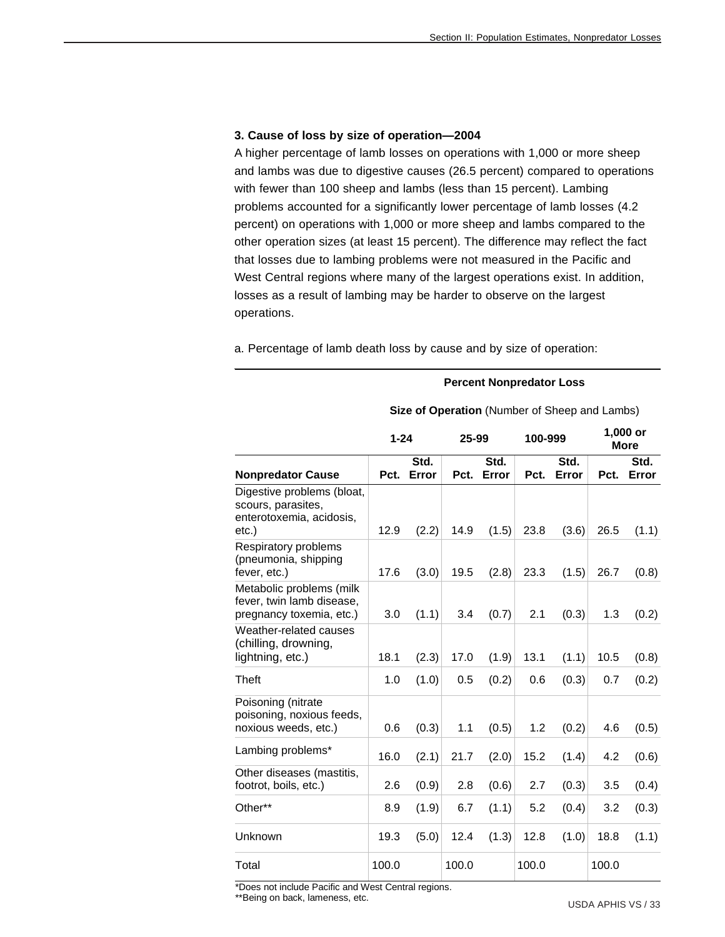#### **3. Cause of loss by size of operation—2004**

A higher percentage of lamb losses on operations with 1,000 or more sheep and lambs was due to digestive causes (26.5 percent) compared to operations with fewer than 100 sheep and lambs (less than 15 percent). Lambing problems accounted for a significantly lower percentage of lamb losses (4.2 percent) on operations with 1,000 or more sheep and lambs compared to the other operation sizes (at least 15 percent). The difference may reflect the fact that losses due to lambing problems were not measured in the Pacific and West Central regions where many of the largest operations exist. In addition, losses as a result of lambing may be harder to observe on the largest operations.

a. Percentage of lamb death loss by cause and by size of operation:

#### **Percent Nonpredator Loss**

|                                                                                       | $1 - 24$ |               | 25-99 |               | 100-999 |               | 1,000 or<br><b>More</b> |               |
|---------------------------------------------------------------------------------------|----------|---------------|-------|---------------|---------|---------------|-------------------------|---------------|
| <b>Nonpredator Cause</b>                                                              | Pct.     | Std.<br>Error | Pct.  | Std.<br>Error | Pct.    | Std.<br>Error | Pct.                    | Std.<br>Error |
| Digestive problems (bloat,<br>scours, parasites,<br>enterotoxemia, acidosis,<br>etc.) | 12.9     | (2.2)         | 14.9  | (1.5)         | 23.8    | (3.6)         | 26.5                    | (1.1)         |
| Respiratory problems<br>(pneumonia, shipping<br>fever, etc.)                          | 17.6     | (3.0)         | 19.5  | (2.8)         | 23.3    | (1.5)         | 26.7                    | (0.8)         |
| Metabolic problems (milk<br>fever, twin lamb disease,<br>pregnancy toxemia, etc.)     | 3.0      | (1.1)         | 3.4   | (0.7)         | 2.1     | (0.3)         | 1.3                     | (0.2)         |
| Weather-related causes<br>(chilling, drowning,<br>lightning, etc.)                    | 18.1     | (2.3)         | 17.0  | (1.9)         | 13.1    | (1.1)         | 10.5                    | (0.8)         |
| Theft                                                                                 | 1.0      | (1.0)         | 0.5   | (0.2)         | 0.6     | (0.3)         | 0.7                     | (0.2)         |
| Poisoning (nitrate<br>poisoning, noxious feeds,<br>noxious weeds, etc.)               | 0.6      | (0.3)         | 1.1   | (0.5)         | 1.2     | (0.2)         | 4.6                     | (0.5)         |
| Lambing problems*                                                                     | 16.0     | (2.1)         | 21.7  | (2.0)         | 15.2    | (1.4)         | 4.2                     | (0.6)         |
| Other diseases (mastitis,<br>footrot, boils, etc.)                                    | 2.6      | (0.9)         | 2.8   | (0.6)         | 2.7     | (0.3)         | 3.5                     | (0.4)         |
| Other**                                                                               | 8.9      | (1.9)         | 6.7   | (1.1)         | 5.2     | (0.4)         | 3.2                     | (0.3)         |
| Unknown                                                                               | 19.3     | (5.0)         | 12.4  | (1.3)         | 12.8    | (1.0)         | 18.8                    | (1.1)         |
| Total                                                                                 | 100.0    |               | 100.0 |               | 100.0   |               | 100.0                   |               |

 **Size of Operation** (Number of Sheep and Lambs)

\*Does not include Pacific and West Central regions.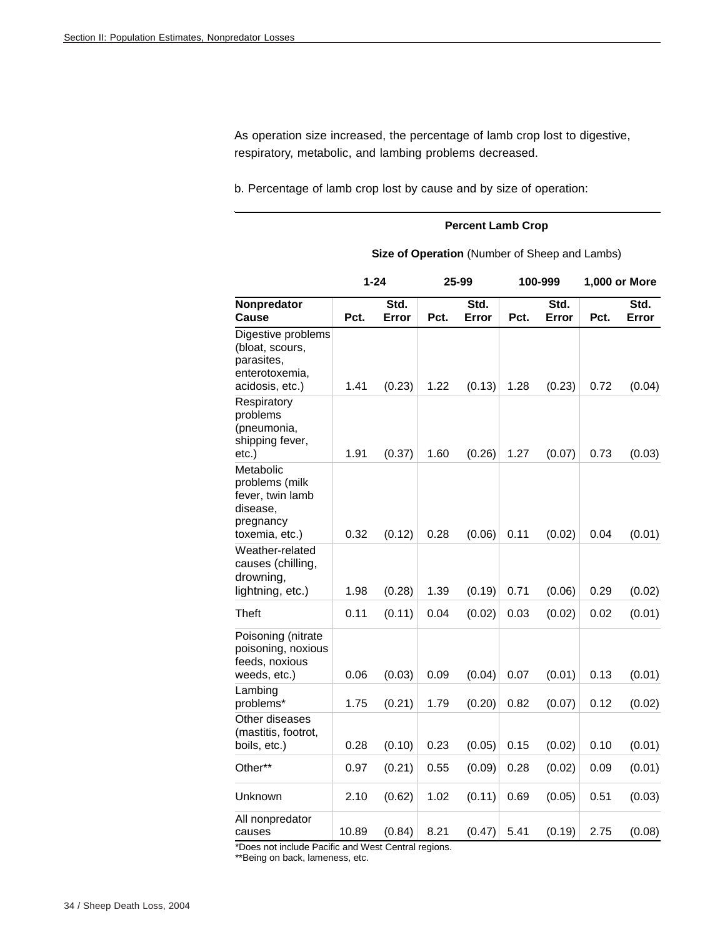As operation size increased, the percentage of lamb crop lost to digestive, respiratory, metabolic, and lambing problems decreased.

b. Percentage of lamb crop lost by cause and by size of operation:

#### **Percent Lamb Crop**

|                                                                                            | $1 - 24$ |               |      | 25-99         |      | 100-999       | 1,000 or More |               |  |
|--------------------------------------------------------------------------------------------|----------|---------------|------|---------------|------|---------------|---------------|---------------|--|
| Nonpredator<br>Cause                                                                       | Pct.     | Std.<br>Error | Pct. | Std.<br>Error | Pct. | Std.<br>Error | Pct.          | Std.<br>Error |  |
| Digestive problems<br>(bloat, scours,<br>parasites,<br>enterotoxemia,<br>acidosis, etc.)   | 1.41     | (0.23)        | 1.22 | (0.13)        | 1.28 | (0.23)        | 0.72          | (0.04)        |  |
| Respiratory<br>problems<br>(pneumonia,<br>shipping fever,<br>etc.)                         | 1.91     | (0.37)        | 1.60 | (0.26)        | 1.27 | (0.07)        | 0.73          | (0.03)        |  |
| Metabolic<br>problems (milk<br>fever, twin lamb<br>disease,<br>pregnancy<br>toxemia, etc.) | 0.32     | (0.12)        | 0.28 | (0.06)        | 0.11 | (0.02)        | 0.04          | (0.01)        |  |
| Weather-related<br>causes (chilling,<br>drowning,<br>lightning, etc.)                      | 1.98     | (0.28)        | 1.39 | (0.19)        | 0.71 | (0.06)        | 0.29          | (0.02)        |  |
| Theft                                                                                      | 0.11     | (0.11)        | 0.04 | (0.02)        | 0.03 | (0.02)        | 0.02          | (0.01)        |  |
| Poisoning (nitrate<br>poisoning, noxious<br>feeds, noxious<br>weeds, etc.)                 | 0.06     | (0.03)        | 0.09 | (0.04)        | 0.07 | (0.01)        | 0.13          | (0.01)        |  |
| Lambing<br>problems*                                                                       | 1.75     | (0.21)        | 1.79 | (0.20)        | 0.82 | (0.07)        | 0.12          | (0.02)        |  |
| Other diseases<br>(mastitis, footrot,<br>boils, etc.)                                      | 0.28     | (0.10)        | 0.23 | (0.05)        | 0.15 | (0.02)        | 0.10          | (0.01)        |  |
| Other**                                                                                    | 0.97     | (0.21)        | 0.55 | (0.09)        | 0.28 | (0.02)        | 0.09          | (0.01)        |  |
| Unknown                                                                                    | 2.10     | (0.62)        | 1.02 | (0.11)        | 0.69 | (0.05)        | 0.51          | (0.03)        |  |
| All nonpredator<br>causes                                                                  | 10.89    | (0.84)        | 8.21 | (0.47)        | 5.41 | (0.19)        | 2.75          | (0.08)        |  |

### **Size of Operation** (Number of Sheep and Lambs)

\*Does not include Pacific and West Central regions.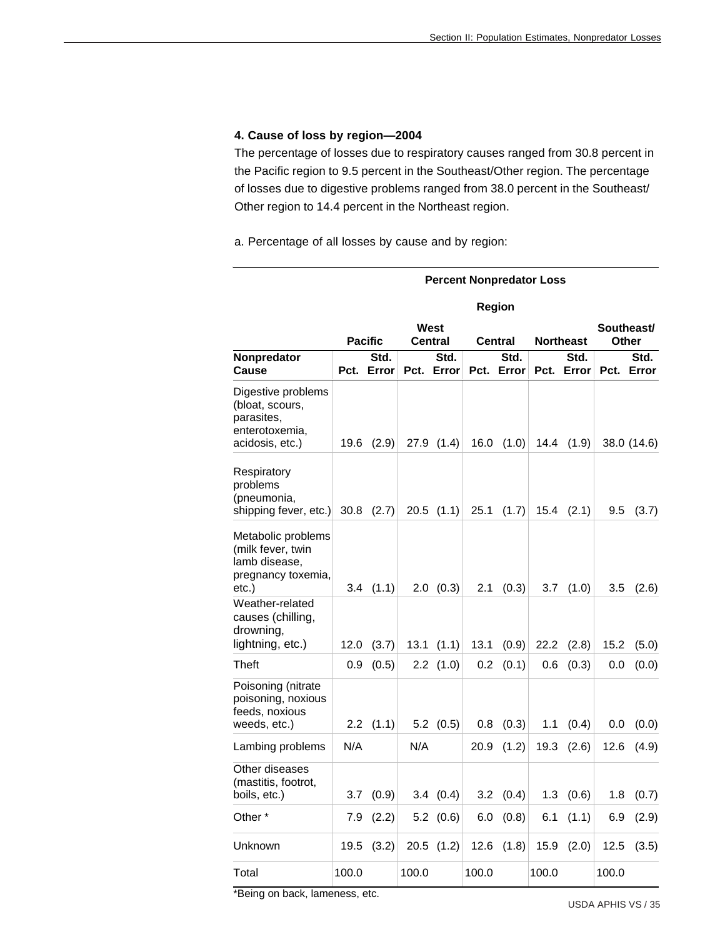#### **4. Cause of loss by region—2004**

The percentage of losses due to respiratory causes ranged from 30.8 percent in the Pacific region to 9.5 percent in the Southeast/Other region. The percentage of losses due to digestive problems ranged from 38.0 percent in the Southeast/ Other region to 14.4 percent in the Northeast region.

a. Percentage of all losses by cause and by region:

|                                                                                          | <b>Percent Nonpredator Loss</b> |                |       |                   |       |               |       |                  |                     |               |  |  |
|------------------------------------------------------------------------------------------|---------------------------------|----------------|-------|-------------------|-------|---------------|-------|------------------|---------------------|---------------|--|--|
|                                                                                          |                                 |                |       |                   |       | Region        |       |                  |                     |               |  |  |
|                                                                                          |                                 | <b>Pacific</b> |       | West<br>Central   |       | Central       |       | <b>Northeast</b> | Southeast/<br>Other |               |  |  |
| Nonpredator<br>Cause                                                                     | Pct.                            | Std.<br>Error  | Pct.  | Std.<br>Error     | Pct.  | Std.<br>Error | Pct.  | Std.<br>Error    | Pct.                | Std.<br>Error |  |  |
| Digestive problems<br>(bloat, scours,<br>parasites,<br>enterotoxemia,<br>acidosis, etc.) | 19.6                            | (2.9)          | 27.9  | (1.4)             | 16.0  | (1.0)         | 14.4  | (1.9)            |                     | 38.0 (14.6)   |  |  |
| Respiratory<br>problems<br>(pneumonia,<br>shipping fever, etc.)                          | 30.8                            | (2.7)          |       | $20.5$ $(1.1)$    | 25.1  | (1.7)         | 15.4  | (2.1)            | 9.5                 | (3.7)         |  |  |
| Metabolic problems<br>(milk fever, twin<br>lamb disease,<br>pregnancy toxemia,<br>etc.)  | 3.4                             | (1.1)          | 2.0   | (0.3)             | 2.1   | (0.3)         | 3.7   | (1.0)            | 3.5                 | (2.6)         |  |  |
| Weather-related<br>causes (chilling,<br>drowning,<br>lightning, etc.)                    | 12.0                            | (3.7)          | 13.1  | (1.1)             | 13.1  | (0.9)         | 22.2  | (2.8)            | 15.2                | (5.0)         |  |  |
| Theft                                                                                    | 0.9                             | (0.5)          |       | $2.2$ $(1.0)$     | 0.2   | (0.1)         | 0.6   | (0.3)            | 0.0                 | (0.0)         |  |  |
| Poisoning (nitrate<br>poisoning, noxious<br>feeds, noxious<br>weeds, etc.)               | 2.2                             | (1.1)          |       | $5.2 \quad (0.5)$ | 0.8   | (0.3)         | 1.1   | (0.4)            | 0.0                 | (0.0)         |  |  |
| Lambing problems                                                                         | N/A                             |                | N/A   |                   | 20.9  | (1.2)         | 19.3  | (2.6)            | 12.6                | (4.9)         |  |  |
| Other diseases<br>(mastitis, footrot,<br>boils, etc.)                                    | 3.7                             | (0.9)          |       | 3.4(0.4)          | 3.2   | (0.4)         | 1.3   | (0.6)            | 1.8                 | (0.7)         |  |  |
| Other *                                                                                  | 7.9                             | (2.2)          |       | $5.2$ $(0.6)$     | 6.0   | (0.8)         | 6.1   | (1.1)            | 6.9                 | (2.9)         |  |  |
| Unknown                                                                                  | 19.5                            | (3.2)          |       | $20.5$ $(1.2)$    | 12.6  | (1.8)         | 15.9  | (2.0)            | 12.5                | (3.5)         |  |  |
| Total                                                                                    | 100.0                           |                | 100.0 |                   | 100.0 |               | 100.0 |                  | 100.0               |               |  |  |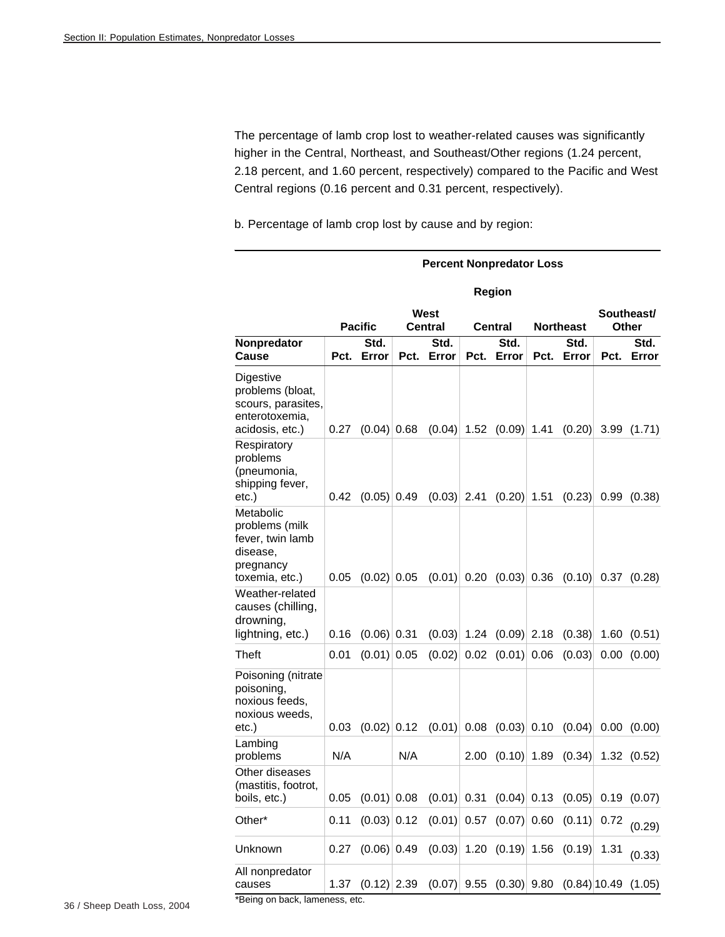The percentage of lamb crop lost to weather-related causes was significantly higher in the Central, Northeast, and Southeast/Other regions (1.24 percent, 2.18 percent, and 1.60 percent, respectively) compared to the Pacific and West Central regions (0.16 percent and 0.31 percent, respectively).

b. Percentage of lamb crop lost by cause and by region:

|                                                                                            | <b>Percent Nonpredator Loss</b> |                |      |                 |      |                             |                  |                |      |                        |  |
|--------------------------------------------------------------------------------------------|---------------------------------|----------------|------|-----------------|------|-----------------------------|------------------|----------------|------|------------------------|--|
|                                                                                            |                                 |                |      |                 |      | Region                      |                  |                |      |                        |  |
|                                                                                            |                                 | <b>Pacific</b> |      | West<br>Central |      | Central                     | <b>Northeast</b> |                |      | Southeast/<br>Other    |  |
| Nonpredator<br>Cause                                                                       | Pct.                            | Std.<br>Error  | Pct. | Std.<br>Error   | Pct. | Std.<br>Error               | Pct.             | Std.<br>Error  | Pct. | Std.<br>Error          |  |
| Digestive<br>problems (bloat,<br>scours, parasites,<br>enterotoxemia,<br>acidosis, etc.)   | 0.27                            | $(0.04)$ 0.68  |      | $(0.04)$ 1.52   |      | $(0.09)$ 1.41               |                  | (0.20)         |      | 3.99(1.71)             |  |
| Respiratory<br>problems<br>(pneumonia,<br>shipping fever,<br>$etc.$ )                      | 0.42                            | $(0.05)$ 0.49  |      | $(0.03)$ 2.41   |      | $(0.20)$ 1.51               |                  | (0.23)         | 0.99 | (0.38)                 |  |
| Metabolic<br>problems (milk<br>fever, twin lamb<br>disease,<br>pregnancy<br>toxemia, etc.) | 0.05                            | $(0.02)$ 0.05  |      |                 |      | $(0.01)$ 0.20 $(0.03)$ 0.36 |                  | (0.10)         |      | 0.37(0.28)             |  |
| Weather-related<br>causes (chilling,<br>drowning,<br>lightning, etc.)                      | 0.16                            | $(0.06)$ 0.31  |      |                 |      | $(0.03)$ 1.24 $(0.09)$ 2.18 |                  | (0.38)         |      | 1.60(0.51)             |  |
| Theft                                                                                      | 0.01                            | $(0.01)$ 0.05  |      |                 |      | $(0.02)$ 0.02 $(0.01)$ 0.06 |                  | (0.03)         |      | 0.00(0.00)             |  |
| Poisoning (nitrate<br>poisoning,<br>noxious feeds,<br>noxious weeds,<br>$etc.$ )           | 0.03                            | $(0.02)$ 0.12  |      | (0.01)          | 0.08 | $(0.03)$ 0.10               |                  | (0.04)         |      | 0.00 (0.00)            |  |
| Lambing<br>problems                                                                        | N/A                             |                | N/A  |                 | 2.00 | $(0.10)$ 1.89               |                  | (0.34)         |      | 1.32(0.52)             |  |
| Other diseases<br>(mastitis, footrot,<br>boils, etc.)                                      | 0.05                            | $(0.01)$ 0.08  |      | $(0.01)$ 0.31   |      | $(0.04)$ 0.13               |                  |                |      | $(0.05)$ 0.19 $(0.07)$ |  |
| Other*                                                                                     | 0.11                            | $(0.03)$ 0.12  |      | (0.01)          | 0.57 | $(0.07)$ 0.60               |                  | (0.11)         | 0.72 | (0.29)                 |  |
| Unknown                                                                                    | 0.27                            | $(0.06)$ 0.49  |      | (0.03)          |      | $1.20$ $(0.19)$ 1.56        |                  | (0.19)         | 1.31 | (0.33)                 |  |
| All nonpredator<br>causes                                                                  | 1.37                            | $(0.12)$ 2.39  |      | (0.07)          | 9.55 | $(0.30)$ 9.80               |                  | $(0.84)$ 10.49 |      | (1.05)                 |  |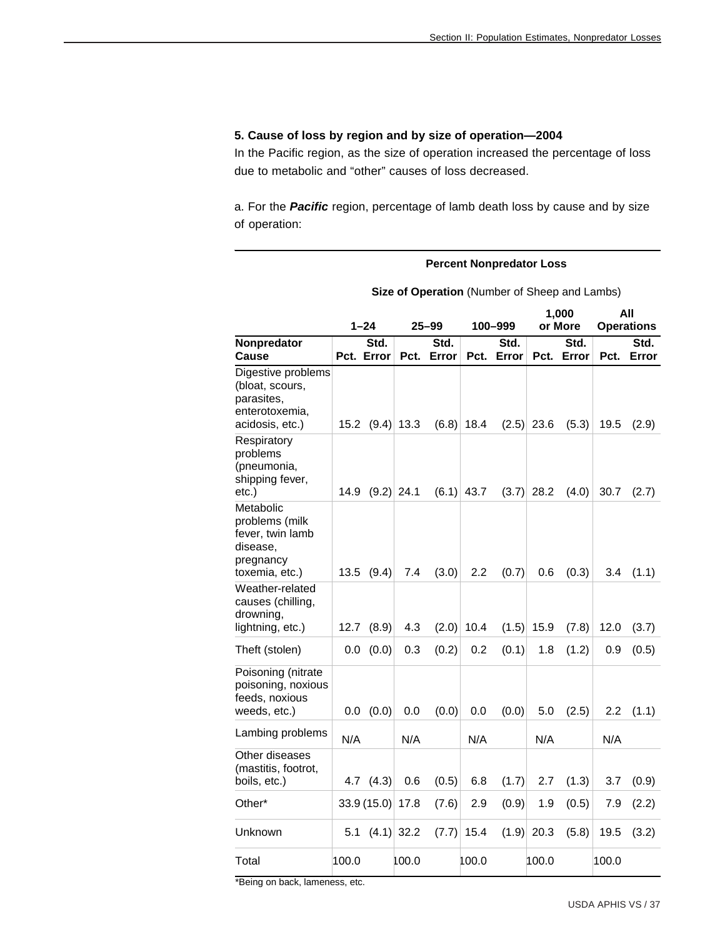#### **5. Cause of loss by region and by size of operation—2004**

In the Pacific region, as the size of operation increased the percentage of loss due to metabolic and "other" causes of loss decreased.

a. For the *Pacific* region, percentage of lamb death loss by cause and by size of operation:

#### **Percent Nonpredator Loss**

|                                                                                            | $1 - 24$ |              | 25–99        |       | 100-999 |       | 1,000<br>or More |       | All<br><b>Operations</b> |       |
|--------------------------------------------------------------------------------------------|----------|--------------|--------------|-------|---------|-------|------------------|-------|--------------------------|-------|
| Nonpredator                                                                                |          | Std.         |              | Std.  |         | Std.  |                  | Std.  |                          | Std.  |
| Cause                                                                                      |          | Pct. Error   | Pct.         | Error | Pct.    | Error | Pct.             | Error | Pct.                     | Error |
| Digestive problems<br>(bloat, scours,<br>parasites,<br>enterotoxemia,<br>acidosis, etc.)   | 15.2     |              | $(9.4)$ 13.3 | (6.8) | 18.4    | (2.5) | 23.6             | (5.3) | 19.5                     | (2.9) |
| Respiratory<br>problems<br>(pneumonia,<br>shipping fever,<br>etc.)                         | 14.9     | $(9.2)$ 24.1 |              | (6.1) | 43.7    | (3.7) | 28.2             | (4.0) | 30.7                     | (2.7) |
| Metabolic<br>problems (milk<br>fever, twin lamb<br>disease,<br>pregnancy<br>toxemia, etc.) | 13.5     | (9.4)        | 7.4          | (3.0) | 2.2     | (0.7) | 0.6              | (0.3) | 3.4                      | (1.1) |
| Weather-related<br>causes (chilling,<br>drowning,<br>lightning, etc.)                      | 12.7     | (8.9)        | 4.3          | (2.0) | 10.4    | (1.5) | 15.9             | (7.8) | 12.0                     | (3.7) |
| Theft (stolen)                                                                             | 0.0      | (0.0)        | 0.3          | (0.2) | 0.2     | (0.1) | 1.8              | (1.2) | 0.9                      | (0.5) |
| Poisoning (nitrate<br>poisoning, noxious<br>feeds, noxious<br>weeds, etc.)                 | 0.0      | (0.0)        | 0.0          | (0.0) | 0.0     | (0.0) | 5.0              | (2.5) | 2.2                      | (1.1) |
| Lambing problems                                                                           | N/A      |              | N/A          |       | N/A     |       | N/A              |       | N/A                      |       |
| Other diseases<br>(mastitis, footrot,<br>boils, etc.)                                      |          | 4.7 $(4.3)$  | 0.6          | (0.5) | 6.8     | (1.7) | 2.7              | (1.3) | 3.7                      | (0.9) |
| Other*                                                                                     |          | 33.9(15.0)   | 17.8         | (7.6) | 2.9     | (0.9) | 1.9              | (0.5) | 7.9                      | (2.2) |
| Unknown                                                                                    | 5.1      |              | $(4.1)$ 32.2 | (7.7) | 15.4    |       | $(1.9)$ 20.3     | (5.8) | 19.5                     | (3.2) |
| Total                                                                                      | 100.0    |              | 100.0        |       | 100.0   |       | 100.0            |       | 100.0                    |       |

**Size of Operation** (Number of Sheep and Lambs)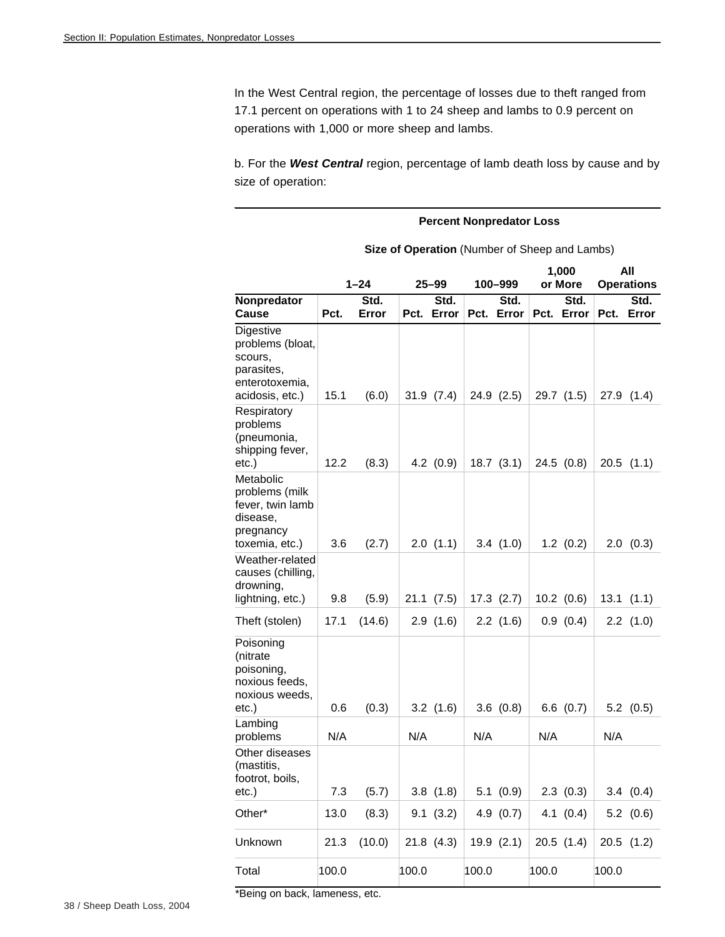In the West Central region, the percentage of losses due to theft ranged from 17.1 percent on operations with 1 to 24 sheep and lambs to 0.9 percent on operations with 1,000 or more sheep and lambs.

b. For the *West Central* region, percentage of lamb death loss by cause and by size of operation:

#### **Percent Nonpredator Loss Size of Operation** (Number of Sheep and Lambs)  **1–24 25–99 100–999 1,000 or More All Operations Nonpredator**  Cause Pct. **Std. Error Std.**  Pct. **Error Std.**  Pct. **Error Std.**  Pct. **Error Std. Error**  Digestive problems (bloat, scours, parasites, enterotoxemia, acidosis, etc.)  $\begin{array}{|l|l|l|l|} \hline 16.1 & (6.0) & 31.9 & (7.4) & 24.9 & (2.5) & 29.7 & (1.5) & 27.9 & (1.4) \hline \end{array}$ Respiratory problems (pneumonia, shipping fever, etc.) 12.2 (8.3) 4.2 (0.9) 18.7 (3.1) 24.5 (0.8) 20.5 (1.1) Metabolic problems (milk fever, twin lamb disease, pregnancy toxemia, etc.) 3.6 (2.7) 2.0 (1.1) 3.4 (1.0) 1.2 (0.2) 2.0 (0.3) Weather-related causes (chilling, drowning, lightning, etc.) 9.8 (5.9) 21.1 (7.5) 17.3 (2.7) 10.2 (0.6) 13.1 (1.1) Theft (stolen) 17.1 (14.6) 2.9 (1.6) 2.2 (1.6) 0.9 (0.4) 2.2 (1.0) Poisoning (nitrate poisoning, noxious feeds, noxious weeds, etc.) 0.6  $(0.3)$  3.2  $(1.6)$  3.6  $(0.8)$  6.6  $(0.7)$  5.2  $(0.5)$ Lambing problems | N/A | N/A | N/A | N/A | N/A Other diseases (mastitis, footrot, boils, etc.) 7.3 (5.7) 3.8 (1.8) 5.1 (0.9) 2.3 (0.3) 3.4 (0.4) Other\* 13.0 (8.3) 9.1 (3.2) 4.9 (0.7) 4.1 (0.4) 5.2 (0.6) Unknown 21.3 (10.0) 21.8 (4.3) 19.9 (2.1) 20.5 (1.4) 20.5 (1.2) Total 100.0 100.0 100.0 100.0 100.0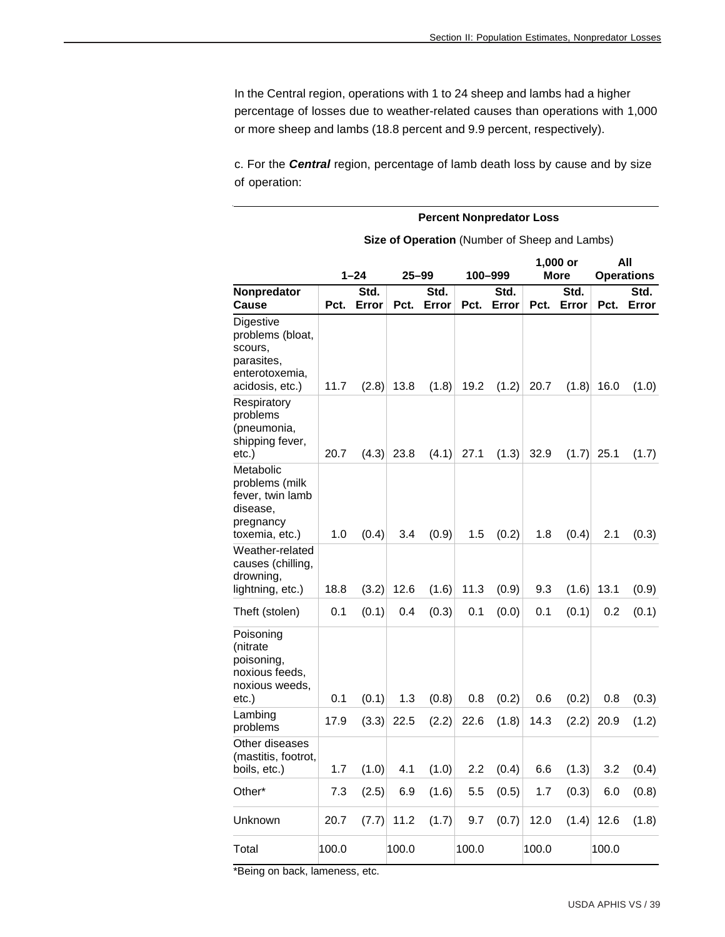In the Central region, operations with 1 to 24 sheep and lambs had a higher percentage of losses due to weather-related causes than operations with 1,000 or more sheep and lambs (18.8 percent and 9.9 percent, respectively).

c. For the *Central* region, percentage of lamb death loss by cause and by size of operation:

|                                                                                             | <b>Percent Nonpredator Loss</b> |               |           |               |       |               |       |                                               |              |                          |  |  |
|---------------------------------------------------------------------------------------------|---------------------------------|---------------|-----------|---------------|-------|---------------|-------|-----------------------------------------------|--------------|--------------------------|--|--|
|                                                                                             |                                 |               |           |               |       |               |       | Size of Operation (Number of Sheep and Lambs) |              |                          |  |  |
|                                                                                             |                                 | $1 - 24$      | $25 - 99$ |               |       | 100–999       |       | $1,000$ or<br><b>More</b>                     |              | All<br><b>Operations</b> |  |  |
| <b>Nonpredator</b><br>Cause                                                                 | Pct.                            | Std.<br>Error | Pct.      | Std.<br>Error | Pct.  | Std.<br>Error | Pct.  | Std.<br>Error                                 | Pct.         | Std.<br>Error            |  |  |
| Digestive<br>problems (bloat,<br>scours,<br>parasites,<br>enterotoxemia,<br>acidosis, etc.) | 11.7                            | (2.8)         | 13.8      | (1.8)         | 19.2  | (1.2)         | 20.7  | (1.8)                                         | 16.0         | (1.0)                    |  |  |
| Respiratory<br>problems<br>(pneumonia,<br>shipping fever,<br>etc.)                          | 20.7                            | (4.3)         | 23.8      | (4.1)         | 27.1  | (1.3)         | 32.9  | (1.7)                                         | 25.1         | (1.7)                    |  |  |
| Metabolic<br>problems (milk<br>fever, twin lamb<br>disease,<br>pregnancy<br>toxemia, etc.)  | 1.0                             | (0.4)         | 3.4       | (0.9)         | 1.5   | (0.2)         | 1.8   | (0.4)                                         | 2.1          | (0.3)                    |  |  |
| Weather-related<br>causes (chilling,<br>drowning,<br>lightning, etc.)                       | 18.8                            | (3.2)         | 12.6      | (1.6)         | 11.3  | (0.9)         | 9.3   | (1.6)                                         | 13.1         | (0.9)                    |  |  |
| Theft (stolen)                                                                              | 0.1                             | (0.1)         | 0.4       | (0.3)         | 0.1   | (0.0)         | 0.1   | (0.1)                                         | 0.2          | (0.1)                    |  |  |
| Poisoning<br>(nitrate<br>poisoning,<br>noxious feeds,<br>noxious weeds,<br>$etc.$ )         | 0.1                             | (0.1)         | 1.3       | (0.8)         | 0.8   | (0.2)         | 0.6   | (0.2)                                         | 0.8          | (0.3)                    |  |  |
| Lambing<br>problems                                                                         | 17.9                            | (3.3)         | 22.5      | (2.2)         | 22.6  | (1.8)         | 14.3  | (2.2)                                         | 20.9         | (1.2)                    |  |  |
| Other diseases<br>(mastitis, footrot,<br>boils, etc.)                                       | 1.7                             | (1.0)         | 4.1       | (1.0)         | 2.2   | (0.4)         | 6.6   | (1.3)                                         | 3.2          | (0.4)                    |  |  |
| Other*                                                                                      | 7.3                             | (2.5)         | 6.9       | (1.6)         | 5.5   | (0.5)         | 1.7   | (0.3)                                         | 6.0          | (0.8)                    |  |  |
| Unknown                                                                                     | 20.7                            | (7.7)         | 11.2      | (1.7)         | 9.7   | (0.7)         | 12.0  |                                               | $(1.4)$ 12.6 | (1.8)                    |  |  |
| Total                                                                                       | 100.0                           |               | 100.0     |               | 100.0 |               | 100.0 |                                               | 100.0        |                          |  |  |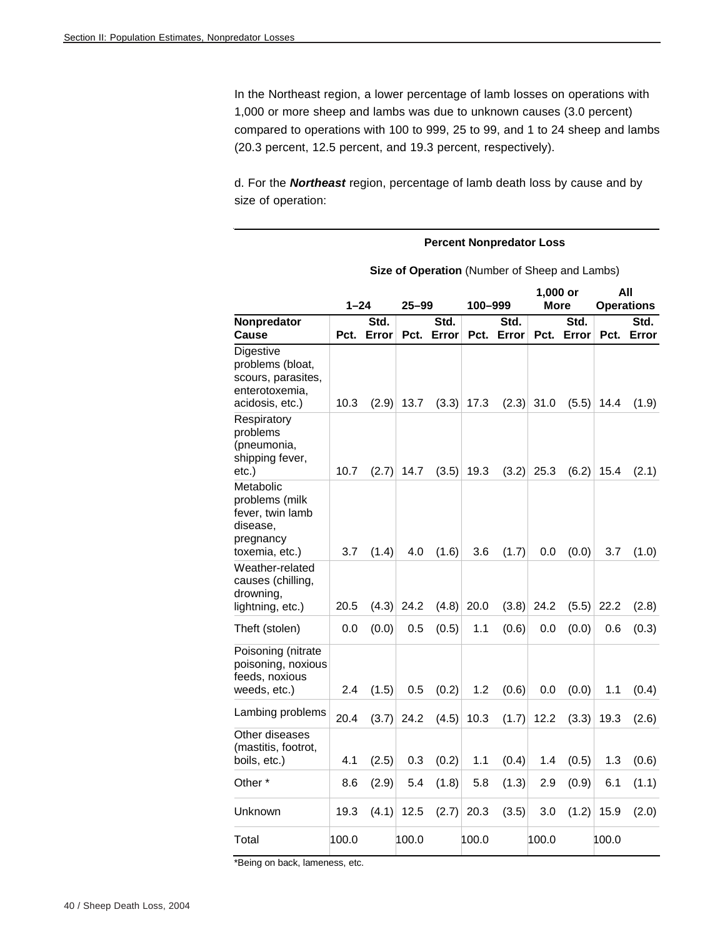In the Northeast region, a lower percentage of lamb losses on operations with 1,000 or more sheep and lambs was due to unknown causes (3.0 percent) compared to operations with 100 to 999, 25 to 99, and 1 to 24 sheep and lambs (20.3 percent, 12.5 percent, and 19.3 percent, respectively).

d. For the *Northeast* region, percentage of lamb death loss by cause and by size of operation:

|                                                                                            |       | <b>Percent Nonpredator Loss</b> |           |                                                      |         |               |                  |               |       |                          |  |  |  |
|--------------------------------------------------------------------------------------------|-------|---------------------------------|-----------|------------------------------------------------------|---------|---------------|------------------|---------------|-------|--------------------------|--|--|--|
|                                                                                            |       |                                 |           | <b>Size of Operation</b> (Number of Sheep and Lambs) |         |               |                  |               |       |                          |  |  |  |
|                                                                                            | 1–24  |                                 | $25 - 99$ |                                                      | 100-999 |               | 1,000 or<br>More |               |       | All<br><b>Operations</b> |  |  |  |
| Nonpredator<br>Cause                                                                       | Pct.  | Std.<br>Error                   | Pct.      | Std.<br>Error                                        | Pct.    | Std.<br>Error | Pct.             | Std.<br>Error | Pct.  | Std.<br>Error            |  |  |  |
| Digestive<br>problems (bloat,<br>scours, parasites,<br>enterotoxemia,<br>acidosis, etc.)   | 10.3  | (2.9)                           | 13.7      | (3.3)                                                | 17.3    | (2.3)         | 31.0             | (5.5)         | 14.4  | (1.9)                    |  |  |  |
| Respiratory<br>problems<br>(pneumonia,<br>shipping fever,<br>etc.)                         | 10.7  | (2.7)                           | 14.7      | (3.5)                                                | 19.3    | (3.2)         | 25.3             | (6.2)         | 15.4  | (2.1)                    |  |  |  |
| Metabolic<br>problems (milk<br>fever, twin lamb<br>disease,<br>pregnancy<br>toxemia, etc.) | 3.7   | (1.4)                           | 4.0       | (1.6)                                                | 3.6     | (1.7)         | 0.0              | (0.0)         | 3.7   | (1.0)                    |  |  |  |
| Weather-related<br>causes (chilling,<br>drowning,<br>lightning, etc.)                      | 20.5  | (4.3)                           | 24.2      | (4.8)                                                | 20.0    | (3.8)         | 24.2             | (5.5)         | 22.2  | (2.8)                    |  |  |  |
| Theft (stolen)                                                                             | 0.0   | (0.0)                           | 0.5       | (0.5)                                                | 1.1     | (0.6)         | 0.0              | (0.0)         | 0.6   | (0.3)                    |  |  |  |
| Poisoning (nitrate<br>poisoning, noxious<br>feeds, noxious<br>weeds, etc.)                 | 2.4   | (1.5)                           | 0.5       | (0.2)                                                | 1.2     | (0.6)         | 0.0              | (0.0)         | 1.1   | (0.4)                    |  |  |  |
| Lambing problems                                                                           | 20.4  | (3.7)                           | 24.2      | (4.5)                                                | 10.3    | (1.7)         | 12.2             | (3.3)         | 19.3  | (2.6)                    |  |  |  |
| Other diseases<br>(mastitis, footrot,<br>boils, etc.)                                      | 4.1   | (2.5)                           | 0.3       | (0.2)                                                | 1.1     | (0.4)         | 1.4              | (0.5)         | 1.3   | (0.6)                    |  |  |  |
| Other *                                                                                    | 8.6   | (2.9)                           | 5.4       | (1.8)                                                | 5.8     | (1.3)         | 2.9              | (0.9)         | 6.1   | (1.1)                    |  |  |  |
| Unknown                                                                                    | 19.3  | (4.1)                           | 12.5      | (2.7)                                                | 20.3    | (3.5)         | 3.0              | (1.2)         | 15.9  | (2.0)                    |  |  |  |
| Total                                                                                      | 100.0 |                                 | 100.0     |                                                      | 100.0   |               | 100.0            |               | 100.0 |                          |  |  |  |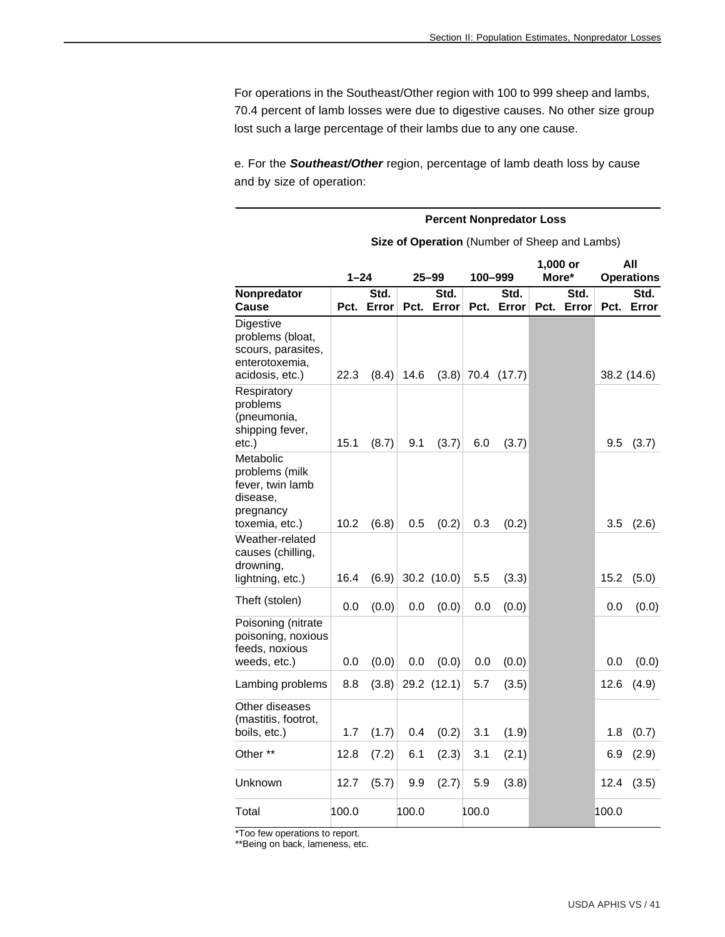For operations in the Southeast/Other region with 100 to 999 sheep and lambs, 70.4 percent of lamb losses were due to digestive causes. No other size group lost such a large percentage of their lambs due to any one cause.

e. For the *Southeast/Other* region, percentage of lamb death loss by cause and by size of operation:

|                                                                                            | <b>Percent Nonpredator Loss</b>                      |               |           |               |         |               |                   |               |                          |               |
|--------------------------------------------------------------------------------------------|------------------------------------------------------|---------------|-----------|---------------|---------|---------------|-------------------|---------------|--------------------------|---------------|
|                                                                                            | <b>Size of Operation</b> (Number of Sheep and Lambs) |               |           |               |         |               |                   |               |                          |               |
|                                                                                            | $1 - 24$                                             |               | $25 - 99$ |               | 100-999 |               | 1,000 or<br>More* |               | All<br><b>Operations</b> |               |
| Nonpredator<br>Cause                                                                       | Pct.                                                 | Std.<br>Error | Pct.      | Std.<br>Error | Pct.    | Std.<br>Error | Pct.              | Std.<br>Error | Pct.                     | Std.<br>Error |
| Digestive<br>problems (bloat,<br>scours, parasites,<br>enterotoxemia,<br>acidosis, etc.)   | 22.3                                                 | (8.4)         | 14.6      | (3.8)         |         | 70.4 (17.7)   |                   |               |                          | 38.2 (14.6)   |
| Respiratory<br>problems<br>(pneumonia,<br>shipping fever,<br>etc.)                         | 15.1                                                 | (8.7)         | 9.1       | (3.7)         | 6.0     | (3.7)         |                   |               | 9.5                      | (3.7)         |
| Metabolic<br>problems (milk<br>fever, twin lamb<br>disease.<br>pregnancy<br>toxemia, etc.) | 10.2                                                 | (6.8)         | 0.5       | (0.2)         | 0.3     | (0.2)         |                   |               | 3.5                      | (2.6)         |
| Weather-related<br>causes (chilling,<br>drowning,<br>lightning, etc.)                      | 16.4                                                 | (6.9)         |           | 30.2 (10.0)   | 5.5     | (3.3)         |                   |               | 15.2                     | (5.0)         |
| Theft (stolen)                                                                             | 0.0                                                  | (0.0)         | 0.0       | (0.0)         | 0.0     | (0.0)         |                   |               | 0.0                      | (0.0)         |
| Poisoning (nitrate<br>poisoning, noxious<br>feeds, noxious<br>weeds, etc.)                 | 0.0                                                  | (0.0)         | 0.0       | (0.0)         | 0.0     | (0.0)         |                   |               | 0.0                      | (0.0)         |
| Lambing problems                                                                           | 8.8                                                  | (3.8)         |           | 29.2 (12.1)   | 5.7     | (3.5)         |                   |               | 12.6                     | (4.9)         |
| Other diseases<br>(mastitis, footrot,<br>boils, etc.)                                      | 1.7                                                  | (1.7)         | 0.4       | (0.2)         | 3.1     | (1.9)         |                   |               | 1.8                      | (0.7)         |
| Other **                                                                                   | 12.8                                                 | (7.2)         | 6.1       | (2.3)         | 3.1     | (2.1)         |                   |               | 6.9                      | (2.9)         |
| Unknown                                                                                    | 12.7                                                 | (5.7)         | 9.9       | (2.7)         | 5.9     | (3.8)         |                   |               | 12.4                     | (3.5)         |
| Total                                                                                      | 100.0                                                |               | 100.0     |               | 100.0   |               |                   |               | 100.0                    |               |

\*Too few operations to report.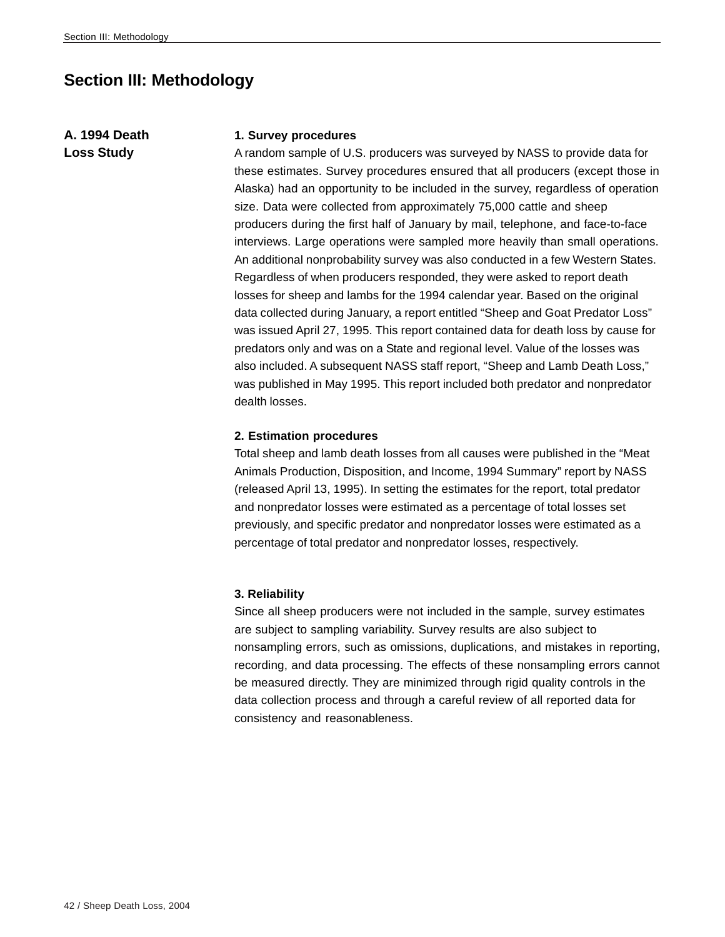# **Section III: Methodology**

# **A. 1994 Death Loss Study**

#### **1. Survey procedures**

A random sample of U.S. producers was surveyed by NASS to provide data for these estimates. Survey procedures ensured that all producers (except those in Alaska) had an opportunity to be included in the survey, regardless of operation size. Data were collected from approximately 75,000 cattle and sheep producers during the first half of January by mail, telephone, and face-to-face interviews. Large operations were sampled more heavily than small operations. An additional nonprobability survey was also conducted in a few Western States. Regardless of when producers responded, they were asked to report death losses for sheep and lambs for the 1994 calendar year. Based on the original data collected during January, a report entitled "Sheep and Goat Predator Loss" was issued April 27, 1995. This report contained data for death loss by cause for predators only and was on a State and regional level. Value of the losses was also included. A subsequent NASS staff report, "Sheep and Lamb Death Loss," was published in May 1995. This report included both predator and nonpredator dealth losses.

#### **2. Estimation procedures**

Total sheep and lamb death losses from all causes were published in the "Meat Animals Production, Disposition, and Income, 1994 Summary" report by NASS (released April 13, 1995). In setting the estimates for the report, total predator and nonpredator losses were estimated as a percentage of total losses set previously, and specific predator and nonpredator losses were estimated as a percentage of total predator and nonpredator losses, respectively.

#### **3. Reliability**

Since all sheep producers were not included in the sample, survey estimates are subject to sampling variability. Survey results are also subject to nonsampling errors, such as omissions, duplications, and mistakes in reporting, recording, and data processing. The effects of these nonsampling errors cannot be measured directly. They are minimized through rigid quality controls in the data collection process and through a careful review of all reported data for consistency and reasonableness.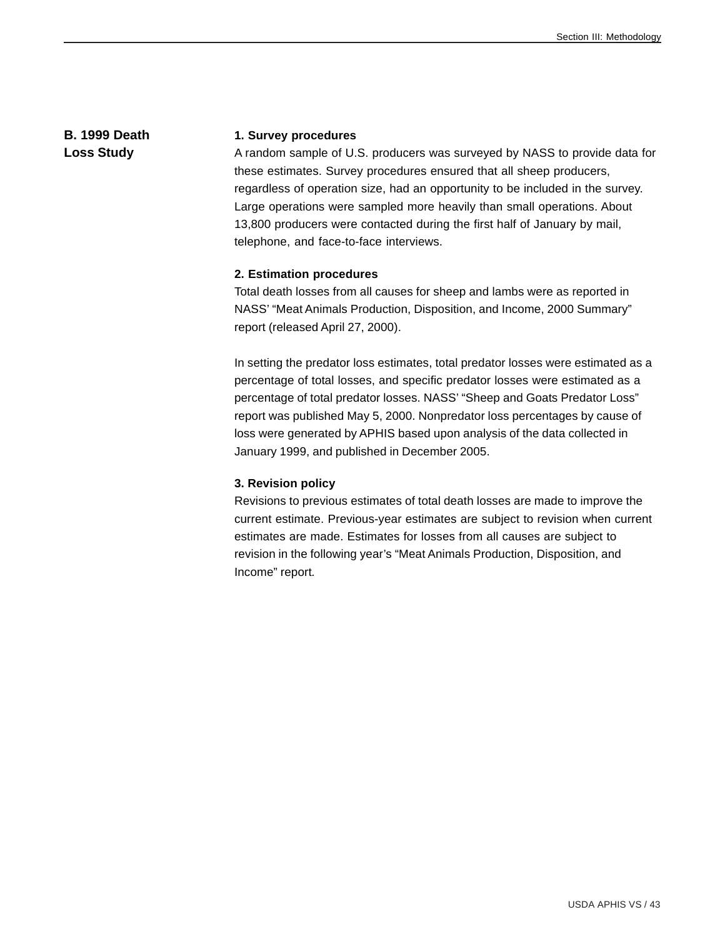### **B. 1999 Death Loss Study**

#### **1. Survey procedures**

A random sample of U.S. producers was surveyed by NASS to provide data for these estimates. Survey procedures ensured that all sheep producers, regardless of operation size, had an opportunity to be included in the survey. Large operations were sampled more heavily than small operations. About 13,800 producers were contacted during the first half of January by mail, telephone, and face-to-face interviews.

#### **2. Estimation procedures**

Total death losses from all causes for sheep and lambs were as reported in NASS' "Meat Animals Production, Disposition, and Income, 2000 Summary" report (released April 27, 2000).

In setting the predator loss estimates, total predator losses were estimated as a percentage of total losses, and specific predator losses were estimated as a percentage of total predator losses. NASS' "Sheep and Goats Predator Loss" report was published May 5, 2000. Nonpredator loss percentages by cause of loss were generated by APHIS based upon analysis of the data collected in January 1999, and published in December 2005.

#### **3. Revision policy**

Revisions to previous estimates of total death losses are made to improve the current estimate. Previous-year estimates are subject to revision when current estimates are made. Estimates for losses from all causes are subject to revision in the following year's "Meat Animals Production, Disposition, and Income" report*.*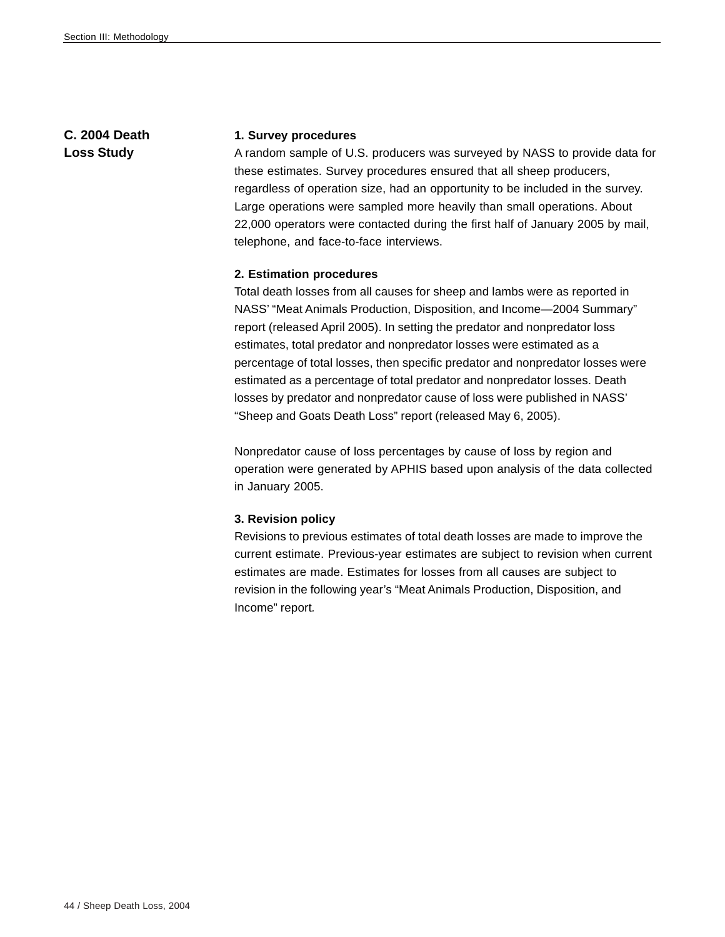# **C. 2004 Death Loss Study**

#### **1. Survey procedures**

A random sample of U.S. producers was surveyed by NASS to provide data for these estimates. Survey procedures ensured that all sheep producers, regardless of operation size, had an opportunity to be included in the survey. Large operations were sampled more heavily than small operations. About 22,000 operators were contacted during the first half of January 2005 by mail, telephone, and face-to-face interviews.

#### **2. Estimation procedures**

Total death losses from all causes for sheep and lambs were as reported in NASS' "Meat Animals Production, Disposition, and Income—2004 Summary" report (released April 2005). In setting the predator and nonpredator loss estimates, total predator and nonpredator losses were estimated as a percentage of total losses, then specific predator and nonpredator losses were estimated as a percentage of total predator and nonpredator losses. Death losses by predator and nonpredator cause of loss were published in NASS' "Sheep and Goats Death Loss" report (released May 6, 2005).

Nonpredator cause of loss percentages by cause of loss by region and operation were generated by APHIS based upon analysis of the data collected in January 2005.

#### **3. Revision policy**

Revisions to previous estimates of total death losses are made to improve the current estimate. Previous-year estimates are subject to revision when current estimates are made. Estimates for losses from all causes are subject to revision in the following year's "Meat Animals Production, Disposition, and Income" report*.*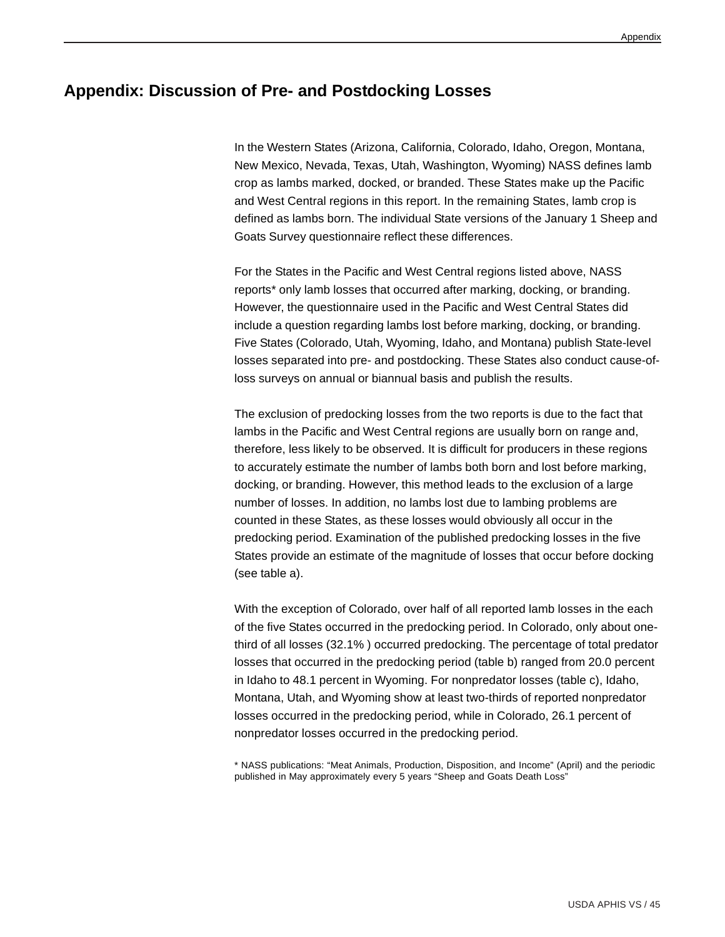# **Appendix: Discussion of Pre- and Postdocking Losses**

In the Western States (Arizona, California, Colorado, Idaho, Oregon, Montana, New Mexico, Nevada, Texas, Utah, Washington, Wyoming) NASS defines lamb crop as lambs marked, docked, or branded. These States make up the Pacific and West Central regions in this report. In the remaining States, lamb crop is defined as lambs born. The individual State versions of the January 1 Sheep and Goats Survey questionnaire reflect these differences.

For the States in the Pacific and West Central regions listed above, NASS reports\* only lamb losses that occurred after marking, docking, or branding. However, the questionnaire used in the Pacific and West Central States did include a question regarding lambs lost before marking, docking, or branding. Five States (Colorado, Utah, Wyoming, Idaho, and Montana) publish State-level losses separated into pre- and postdocking. These States also conduct cause-ofloss surveys on annual or biannual basis and publish the results.

The exclusion of predocking losses from the two reports is due to the fact that lambs in the Pacific and West Central regions are usually born on range and, therefore, less likely to be observed. It is difficult for producers in these regions to accurately estimate the number of lambs both born and lost before marking, docking, or branding. However, this method leads to the exclusion of a large number of losses. In addition, no lambs lost due to lambing problems are counted in these States, as these losses would obviously all occur in the predocking period. Examination of the published predocking losses in the five States provide an estimate of the magnitude of losses that occur before docking (see table a).

With the exception of Colorado, over half of all reported lamb losses in the each of the five States occurred in the predocking period. In Colorado, only about onethird of all losses (32.1% ) occurred predocking. The percentage of total predator losses that occurred in the predocking period (table b) ranged from 20.0 percent in Idaho to 48.1 percent in Wyoming. For nonpredator losses (table c), Idaho, Montana, Utah, and Wyoming show at least two-thirds of reported nonpredator losses occurred in the predocking period, while in Colorado, 26.1 percent of nonpredator losses occurred in the predocking period.

\* NASS publications: "Meat Animals, Production, Disposition, and Income" (April) and the periodic published in May approximately every 5 years "Sheep and Goats Death Loss"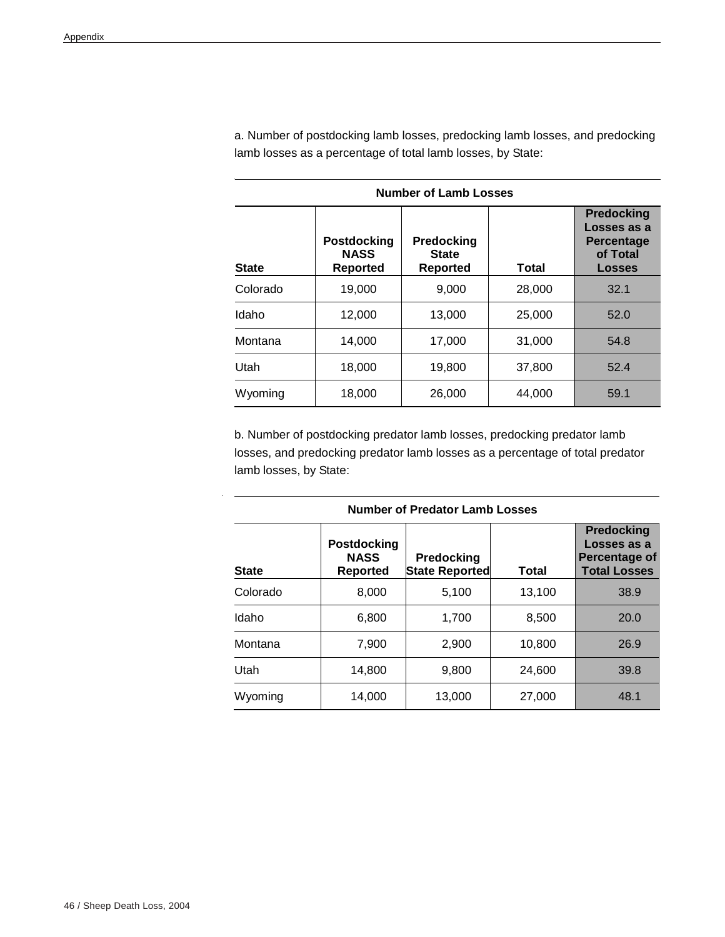| <b>Number of Lamb Losses</b> |                                                      |                                        |        |                                                                                    |  |  |
|------------------------------|------------------------------------------------------|----------------------------------------|--------|------------------------------------------------------------------------------------|--|--|
| <b>State</b>                 | <b>Postdocking</b><br><b>NASS</b><br><b>Reported</b> | Predocking<br><b>State</b><br>Reported | Total  | <b>Predocking</b><br>Losses as a<br><b>Percentage</b><br>of Total<br><b>Losses</b> |  |  |
| Colorado                     | 19,000                                               | 9,000                                  | 28,000 | 32.1                                                                               |  |  |
| Idaho                        | 12,000                                               | 13,000                                 | 25,000 | 52.0                                                                               |  |  |
| Montana                      | 14,000                                               | 17,000                                 | 31,000 | 54.8                                                                               |  |  |
| Utah                         | 18,000                                               | 19,800                                 | 37,800 | 52.4                                                                               |  |  |
| Wyoming                      | 18,000                                               | 26,000                                 | 44.000 | 59.1                                                                               |  |  |

a. Number of postdocking lamb losses, predocking lamb losses, and predocking lamb losses as a percentage of total lamb losses, by State:

b. Number of postdocking predator lamb losses, predocking predator lamb losses, and predocking predator lamb losses as a percentage of total predator lamb losses, by State:

| Number of Predator Lamb Losses |                                                      |                              |        |                                                                          |  |  |
|--------------------------------|------------------------------------------------------|------------------------------|--------|--------------------------------------------------------------------------|--|--|
| <b>State</b>                   | <b>Postdocking</b><br><b>NASS</b><br><b>Reported</b> | Predocking<br>State Reported | Total  | <b>Predocking</b><br>Losses as a<br>Percentage of<br><b>Total Losses</b> |  |  |
| Colorado                       | 8,000                                                | 5,100                        | 13,100 | 38.9                                                                     |  |  |
| Idaho                          | 6,800                                                | 1.700                        | 8,500  | 20.0                                                                     |  |  |
| Montana                        | 7,900                                                | 2,900                        | 10,800 | 26.9                                                                     |  |  |
| Utah                           | 14,800                                               | 9,800                        | 24.600 | 39.8                                                                     |  |  |
| Wyoming                        | 14,000                                               | 13,000                       | 27,000 | 48.1                                                                     |  |  |